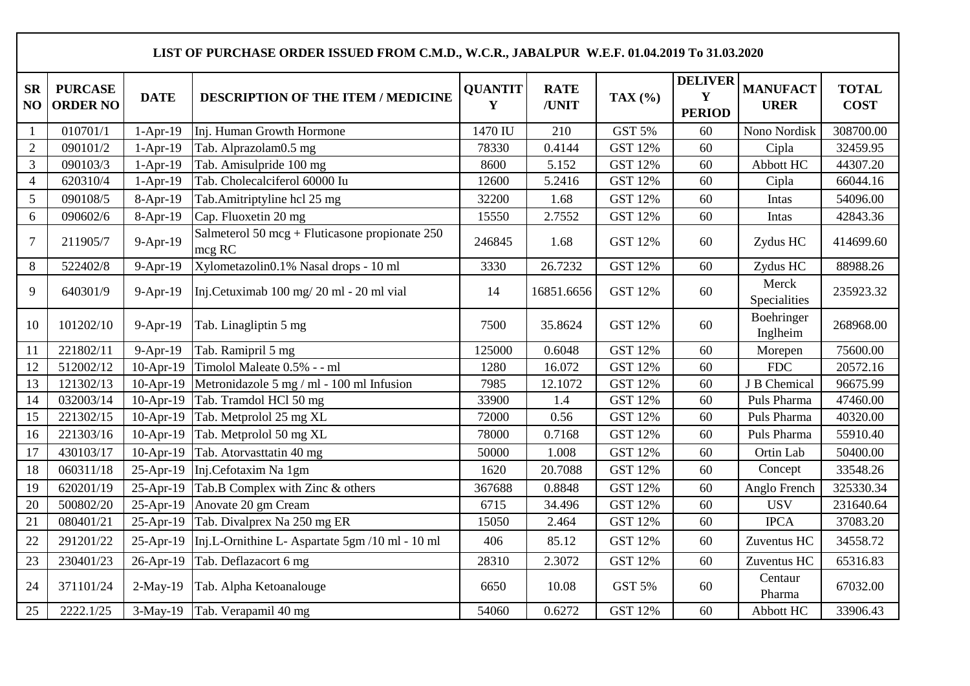|                 | LIST OF PURCHASE ORDER ISSUED FROM C.M.D., W.C.R., JABALPUR W.E.F. 01.04.2019 To 31.03.2020 |             |                                                          |                     |                      |                |                                                |                                |                             |  |  |  |
|-----------------|---------------------------------------------------------------------------------------------|-------------|----------------------------------------------------------|---------------------|----------------------|----------------|------------------------------------------------|--------------------------------|-----------------------------|--|--|--|
| <b>SR</b><br>NO | <b>PURCASE</b><br><b>ORDER NO</b>                                                           | <b>DATE</b> | <b>DESCRIPTION OF THE ITEM / MEDICINE</b>                | <b>QUANTIT</b><br>Y | <b>RATE</b><br>/UNIT | TAX $(%)$      | <b>DELIVER</b><br>$\mathbf Y$<br><b>PERIOD</b> | <b>MANUFACT</b><br><b>URER</b> | <b>TOTAL</b><br><b>COST</b> |  |  |  |
| $\mathbf{1}$    | 010701/1                                                                                    | $1-Apr-19$  | Inj. Human Growth Hormone                                | 1470 IU             | 210                  | GST 5%         | 60                                             | Nono Nordisk                   | 308700.00                   |  |  |  |
| $\overline{2}$  | 090101/2                                                                                    | $1-Apr-19$  | Tab. Alprazolam0.5 mg                                    | 78330               | 0.4144               | <b>GST 12%</b> | 60                                             | Cipla                          | 32459.95                    |  |  |  |
| $\mathfrak{Z}$  | 090103/3                                                                                    | $1-Apr-19$  | Tab. Amisulpride 100 mg                                  | 8600                | 5.152                | <b>GST 12%</b> | 60                                             | Abbott HC                      | 44307.20                    |  |  |  |
| $\overline{4}$  | 620310/4                                                                                    | $1-Apr-19$  | Tab. Cholecalciferol 60000 Iu                            | 12600               | 5.2416               | <b>GST 12%</b> | 60                                             | Cipla                          | 66044.16                    |  |  |  |
| 5               | 090108/5                                                                                    | 8-Apr-19    | Tab.Amitriptyline hcl 25 mg                              | 32200               | 1.68                 | <b>GST 12%</b> | 60                                             | Intas                          | 54096.00                    |  |  |  |
| 6               | 090602/6                                                                                    | 8-Apr-19    | Cap. Fluoxetin 20 mg                                     | 15550               | 2.7552               | <b>GST 12%</b> | 60                                             | Intas                          | 42843.36                    |  |  |  |
| $\overline{7}$  | 211905/7                                                                                    | 9-Apr-19    | Salmeterol 50 mcg + Fluticasone propionate 250<br>mcg RC | 246845              | 1.68                 | <b>GST 12%</b> | 60                                             | Zydus HC                       | 414699.60                   |  |  |  |
| 8               | 522402/8                                                                                    | 9-Apr-19    | Xylometazolin0.1% Nasal drops - 10 ml                    | 3330                | 26.7232              | <b>GST 12%</b> | 60                                             | Zydus HC                       | 88988.26                    |  |  |  |
| 9               | 640301/9                                                                                    | 9-Apr-19    | Inj.Cetuximab 100 mg/20 ml - 20 ml vial                  | 14                  | 16851.6656           | <b>GST 12%</b> | 60                                             | Merck<br>Specialities          | 235923.32                   |  |  |  |
| 10              | 101202/10                                                                                   | 9-Apr-19    | Tab. Linagliptin 5 mg                                    | 7500                | 35.8624              | <b>GST 12%</b> | 60                                             | Boehringer<br>Inglheim         | 268968.00                   |  |  |  |
| 11              | 221802/11                                                                                   | $9-Apr-19$  | Tab. Ramipril 5 mg                                       | 125000              | 0.6048               | <b>GST 12%</b> | 60                                             | Morepen                        | 75600.00                    |  |  |  |
| 12              | 512002/12                                                                                   | 10-Apr-19   | Timolol Maleate 0.5% - - ml                              | 1280                | 16.072               | <b>GST 12%</b> | 60                                             | <b>FDC</b>                     | 20572.16                    |  |  |  |
| 13              | 121302/13                                                                                   | $10-Apr-19$ | Metronidazole 5 mg / ml - 100 ml Infusion                | 7985                | 12.1072              | <b>GST 12%</b> | 60                                             | J B Chemical                   | 96675.99                    |  |  |  |
| 14              | 032003/14                                                                                   | $10-Apr-19$ | Tab. Tramdol HCl 50 mg                                   | 33900               | 1.4                  | <b>GST 12%</b> | 60                                             | Puls Pharma                    | 47460.00                    |  |  |  |
| 15              | 221302/15                                                                                   | 10-Apr-19   | Tab. Metprolol 25 mg XL                                  | 72000               | 0.56                 | <b>GST 12%</b> | 60                                             | Puls Pharma                    | 40320.00                    |  |  |  |
| 16              | 221303/16                                                                                   | 10-Apr-19   | Tab. Metprolol 50 mg XL                                  | 78000               | 0.7168               | <b>GST 12%</b> | 60                                             | Puls Pharma                    | 55910.40                    |  |  |  |
| 17              | 430103/17                                                                                   | 10-Apr-19   | Tab. Atorvasttatin 40 mg                                 | 50000               | 1.008                | <b>GST 12%</b> | 60                                             | Ortin Lab                      | 50400.00                    |  |  |  |
| 18              | 060311/18                                                                                   | 25-Apr-19   | Inj.Cefotaxim Na 1gm                                     | 1620                | 20.7088              | <b>GST 12%</b> | 60                                             | Concept                        | 33548.26                    |  |  |  |
| 19              | 620201/19                                                                                   | 25-Apr-19   | Tab.B Complex with Zinc & others                         | 367688              | 0.8848               | <b>GST 12%</b> | 60                                             | Anglo French                   | 325330.34                   |  |  |  |
| 20              | 500802/20                                                                                   | 25-Apr-19   | Anovate 20 gm Cream                                      | 6715                | 34.496               | <b>GST 12%</b> | 60                                             | <b>USV</b>                     | 231640.64                   |  |  |  |
| 21              | 080401/21                                                                                   | 25-Apr-19   | Tab. Divalprex Na 250 mg ER                              | 15050               | 2.464                | <b>GST 12%</b> | 60                                             | <b>IPCA</b>                    | 37083.20                    |  |  |  |
| 22              | 291201/22                                                                                   | 25-Apr-19   | Inj.L-Ornithine L- Aspartate 5gm /10 ml - 10 ml          | 406                 | 85.12                | <b>GST 12%</b> | 60                                             | Zuventus HC                    | 34558.72                    |  |  |  |
| 23              | 230401/23                                                                                   | 26-Apr-19   | Tab. Deflazacort 6 mg                                    | 28310               | 2.3072               | <b>GST 12%</b> | 60                                             | Zuventus HC                    | 65316.83                    |  |  |  |
| 24              | 371101/24                                                                                   | $2-May-19$  | Tab. Alpha Ketoanalouge                                  | 6650                | 10.08                | GST 5%         | 60                                             | Centaur<br>Pharma              | 67032.00                    |  |  |  |
| 25              | 2222.1/25                                                                                   |             | 3-May-19 Tab. Verapamil 40 mg                            | 54060               | 0.6272               | <b>GST 12%</b> | 60                                             | Abbott HC                      | 33906.43                    |  |  |  |

 $\mathbf{I}$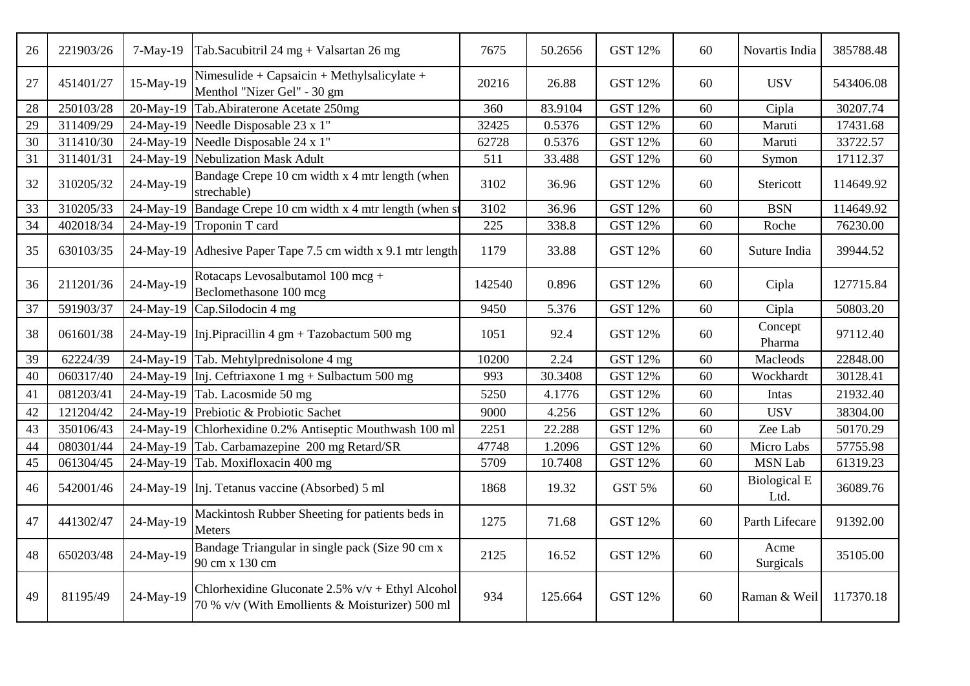| 26 | 221903/26 | $7-May-19$ | Tab.Sacubitril 24 mg + Valsartan 26 mg                                                                 | 7675   | 50.2656 | <b>GST 12%</b> | 60 | Novartis India              | 385788.48 |
|----|-----------|------------|--------------------------------------------------------------------------------------------------------|--------|---------|----------------|----|-----------------------------|-----------|
| 27 | 451401/27 | 15-May-19  | Nimesulide + Capsaicin + Methylsalicylate +<br>Menthol "Nizer Gel" - 30 gm                             | 20216  | 26.88   | <b>GST 12%</b> | 60 | <b>USV</b>                  | 543406.08 |
| 28 | 250103/28 | 20-May-19  | Tab.Abiraterone Acetate 250mg                                                                          | 360    | 83.9104 | <b>GST 12%</b> | 60 | Cipla                       | 30207.74  |
| 29 | 311409/29 | 24-May-19  | Needle Disposable 23 x 1"                                                                              | 32425  | 0.5376  | <b>GST 12%</b> | 60 | Maruti                      | 17431.68  |
| 30 | 311410/30 | 24-May-19  | Needle Disposable 24 x 1"                                                                              | 62728  | 0.5376  | <b>GST 12%</b> | 60 | Maruti                      | 33722.57  |
| 31 | 311401/31 | 24-May-19  | Nebulization Mask Adult                                                                                | 511    | 33.488  | <b>GST 12%</b> | 60 | Symon                       | 17112.37  |
| 32 | 310205/32 | 24-May-19  | Bandage Crepe 10 cm width x 4 mtr length (when<br>strechable)                                          | 3102   | 36.96   | <b>GST 12%</b> | 60 | Stericott                   | 114649.92 |
| 33 | 310205/33 | 24-May-19  | Bandage Crepe 10 cm width x 4 mtr length (when s                                                       | 3102   | 36.96   | <b>GST 12%</b> | 60 | <b>BSN</b>                  | 114649.92 |
| 34 | 402018/34 | 24-May-19  | Troponin T card                                                                                        | 225    | 338.8   | <b>GST 12%</b> | 60 | Roche                       | 76230.00  |
| 35 | 630103/35 |            | 24-May-19 Adhesive Paper Tape 7.5 cm width x 9.1 mtr length                                            | 1179   | 33.88   | <b>GST 12%</b> | 60 | Suture India                | 39944.52  |
| 36 | 211201/36 | 24-May-19  | Rotacaps Levosalbutamol 100 mcg +<br>Beclomethasone 100 mcg                                            | 142540 | 0.896   | <b>GST 12%</b> | 60 | Cipla                       | 127715.84 |
| 37 | 591903/37 | 24-May-19  | Cap.Silodocin 4 mg                                                                                     | 9450   | 5.376   | <b>GST 12%</b> | 60 | Cipla                       | 50803.20  |
| 38 | 061601/38 | 24-May-19  | Inj. Pipracillin 4 gm + Tazobactum 500 mg                                                              | 1051   | 92.4    | <b>GST 12%</b> | 60 | Concept<br>Pharma           | 97112.40  |
| 39 | 62224/39  | 24-May-19  | Tab. Mehtylprednisolone 4 mg                                                                           | 10200  | 2.24    | <b>GST 12%</b> | 60 | Macleods                    | 22848.00  |
| 40 | 060317/40 | 24-May-19  | Inj. Ceftriaxone 1 mg + Sulbactum 500 mg                                                               | 993    | 30.3408 | <b>GST 12%</b> | 60 | Wockhardt                   | 30128.41  |
| 41 | 081203/41 | 24-May-19  | Tab. Lacosmide 50 mg                                                                                   | 5250   | 4.1776  | <b>GST 12%</b> | 60 | Intas                       | 21932.40  |
| 42 | 121204/42 | 24-May-19  | Prebiotic & Probiotic Sachet                                                                           | 9000   | 4.256   | <b>GST 12%</b> | 60 | <b>USV</b>                  | 38304.00  |
| 43 | 350106/43 | 24-May-19  | Chlorhexidine 0.2% Antiseptic Mouthwash 100 ml                                                         | 2251   | 22.288  | <b>GST 12%</b> | 60 | Zee Lab                     | 50170.29  |
| 44 | 080301/44 | 24-May-19  | Tab. Carbamazepine 200 mg Retard/SR                                                                    | 47748  | 1.2096  | <b>GST 12%</b> | 60 | Micro Labs                  | 57755.98  |
| 45 | 061304/45 | 24-May-19  | Tab. Moxifloxacin 400 mg                                                                               | 5709   | 10.7408 | <b>GST 12%</b> | 60 | <b>MSN Lab</b>              | 61319.23  |
| 46 | 542001/46 |            | 24-May-19 Inj. Tetanus vaccine (Absorbed) 5 ml                                                         | 1868   | 19.32   | GST 5%         | 60 | <b>Biological E</b><br>Ltd. | 36089.76  |
| 47 | 441302/47 | 24-May-19  | Mackintosh Rubber Sheeting for patients beds in<br>Meters                                              | 1275   | 71.68   | <b>GST 12%</b> | 60 | Parth Lifecare              | 91392.00  |
| 48 | 650203/48 | 24-May-19  | Bandage Triangular in single pack (Size 90 cm x<br>90 cm x 130 cm                                      | 2125   | 16.52   | <b>GST 12%</b> | 60 | Acme<br>Surgicals           | 35105.00  |
| 49 | 81195/49  | 24-May-19  | Chlorhexidine Gluconate $2.5\%$ v/v + Ethyl Alcohol<br>70 % v/v (With Emollients & Moisturizer) 500 ml | 934    | 125.664 | <b>GST 12%</b> | 60 | Raman & Weil                | 117370.18 |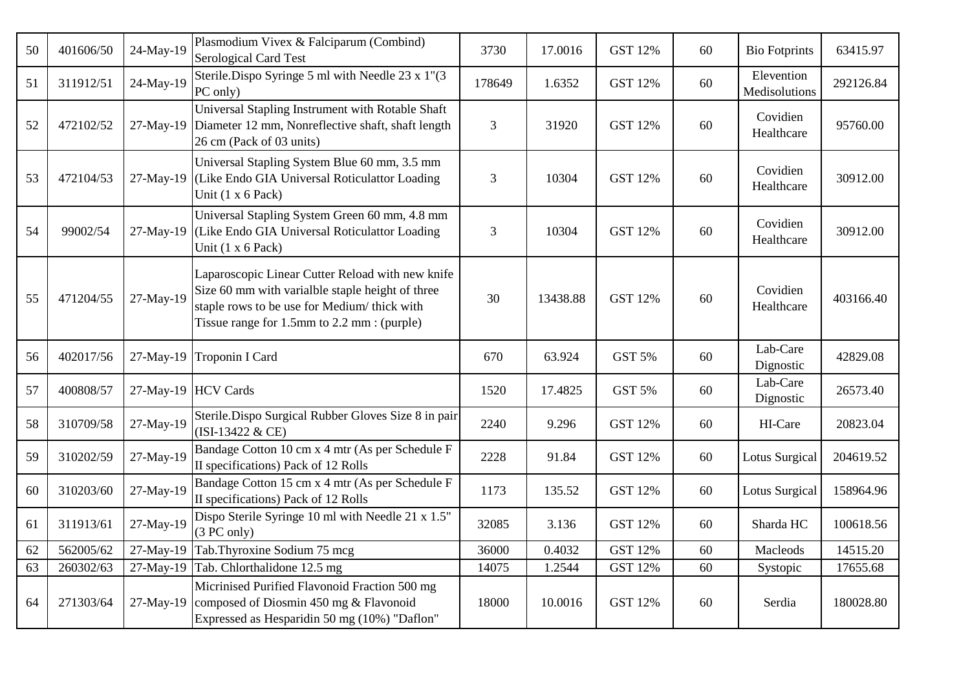| 50 | 401606/50 | 24-May-19 | Plasmodium Vivex & Falciparum (Combind)<br>Serological Card Test                                                                                                                                    | 3730   | 17.0016  | <b>GST 12%</b> | 60 | <b>Bio Fotprints</b>        | 63415.97  |
|----|-----------|-----------|-----------------------------------------------------------------------------------------------------------------------------------------------------------------------------------------------------|--------|----------|----------------|----|-----------------------------|-----------|
| 51 | 311912/51 | 24-May-19 | Sterile.Dispo Syringe 5 ml with Needle 23 x 1"(3)<br>PC only)                                                                                                                                       | 178649 | 1.6352   | <b>GST 12%</b> | 60 | Elevention<br>Medisolutions | 292126.84 |
| 52 | 472102/52 | 27-May-19 | Universal Stapling Instrument with Rotable Shaft<br>Diameter 12 mm, Nonreflective shaft, shaft length<br>26 cm (Pack of 03 units)                                                                   | 3      | 31920    | <b>GST 12%</b> | 60 | Covidien<br>Healthcare      | 95760.00  |
| 53 | 472104/53 | 27-May-19 | Universal Stapling System Blue 60 mm, 3.5 mm<br>(Like Endo GIA Universal Roticulattor Loading<br>Unit $(1 \times 6$ Pack)                                                                           | 3      | 10304    | <b>GST 12%</b> | 60 | Covidien<br>Healthcare      | 30912.00  |
| 54 | 99002/54  | 27-May-19 | Universal Stapling System Green 60 mm, 4.8 mm<br>(Like Endo GIA Universal Roticulattor Loading<br>Unit $(1 x 6$ Pack)                                                                               | 3      | 10304    | <b>GST 12%</b> | 60 | Covidien<br>Healthcare      | 30912.00  |
| 55 | 471204/55 | 27-May-19 | Laparoscopic Linear Cutter Reload with new knife<br>Size 60 mm with varialble staple height of three<br>staple rows to be use for Medium/ thick with<br>Tissue range for 1.5mm to 2.2 mm : (purple) | 30     | 13438.88 | <b>GST 12%</b> | 60 | Covidien<br>Healthcare      | 403166.40 |
| 56 | 402017/56 | 27-May-19 | Troponin I Card                                                                                                                                                                                     | 670    | 63.924   | GST 5%         | 60 | Lab-Care<br>Dignostic       | 42829.08  |
| 57 | 400808/57 |           | 27-May-19 HCV Cards                                                                                                                                                                                 | 1520   | 17.4825  | GST 5%         | 60 | Lab-Care<br>Dignostic       | 26573.40  |
| 58 | 310709/58 | 27-May-19 | Sterile.Dispo Surgical Rubber Gloves Size 8 in pair<br>(ISI-13422 & CE)                                                                                                                             | 2240   | 9.296    | <b>GST 12%</b> | 60 | HI-Care                     | 20823.04  |
| 59 | 310202/59 | 27-May-19 | Bandage Cotton 10 cm x 4 mtr (As per Schedule F<br>II specifications) Pack of 12 Rolls                                                                                                              | 2228   | 91.84    | <b>GST 12%</b> | 60 | Lotus Surgical              | 204619.52 |
| 60 | 310203/60 | 27-May-19 | Bandage Cotton 15 cm x 4 mtr (As per Schedule F<br>II specifications) Pack of 12 Rolls                                                                                                              | 1173   | 135.52   | <b>GST 12%</b> | 60 | Lotus Surgical              | 158964.96 |
| 61 | 311913/61 | 27-May-19 | Dispo Sterile Syringe 10 ml with Needle 21 x 1.5"<br>(3 PC only)                                                                                                                                    | 32085  | 3.136    | <b>GST 12%</b> | 60 | Sharda HC                   | 100618.56 |
| 62 | 562005/62 | 27-May-19 | Tab.Thyroxine Sodium 75 mcg                                                                                                                                                                         | 36000  | 0.4032   | <b>GST 12%</b> | 60 | Macleods                    | 14515.20  |
| 63 | 260302/63 | 27-May-19 | Tab. Chlorthalidone 12.5 mg                                                                                                                                                                         | 14075  | 1.2544   | <b>GST 12%</b> | 60 | Systopic                    | 17655.68  |
| 64 | 271303/64 | 27-May-19 | Micrinised Purified Flavonoid Fraction 500 mg<br>composed of Diosmin 450 mg & Flavonoid<br>Expressed as Hesparidin 50 mg (10%) "Daflon"                                                             | 18000  | 10.0016  | <b>GST 12%</b> | 60 | Serdia                      | 180028.80 |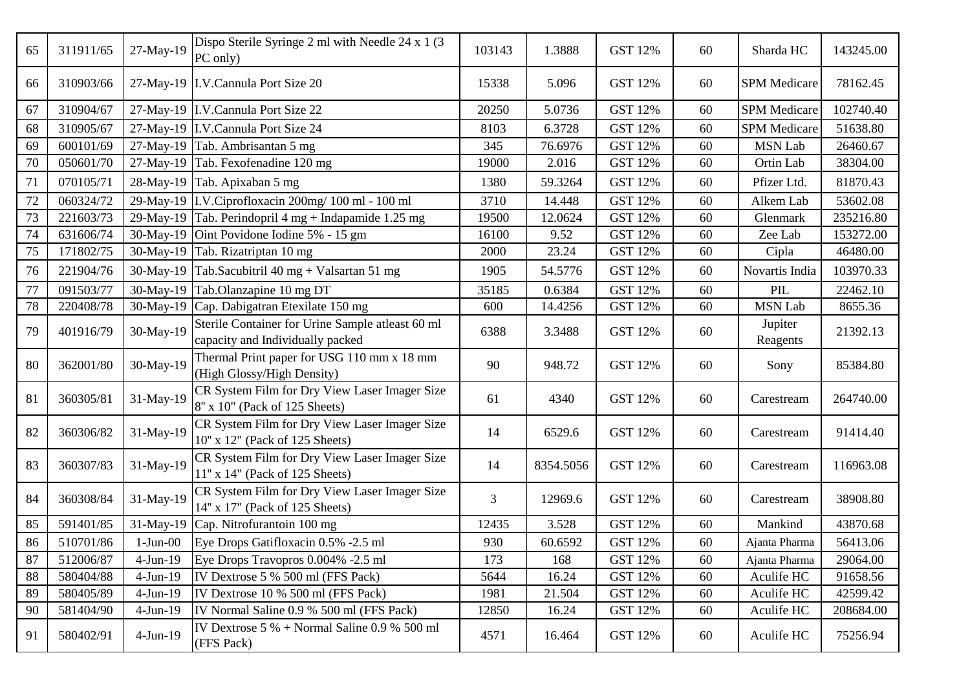| 65 | 311911/65 | 27-May-19  | Dispo Sterile Syringe 2 ml with Needle 24 x 1 (3)<br>PC only)                        | 103143 | 1.3888    | <b>GST 12%</b> | 60 | Sharda HC           | 143245.00 |
|----|-----------|------------|--------------------------------------------------------------------------------------|--------|-----------|----------------|----|---------------------|-----------|
| 66 | 310903/66 |            | 27-May-19 I.V.Cannula Port Size 20                                                   | 15338  | 5.096     | GST 12%        | 60 | SPM Medicare        | 78162.45  |
| 67 | 310904/67 |            | 27-May-19 I.V.Cannula Port Size 22                                                   | 20250  | 5.0736    | GST 12%        | 60 | <b>SPM</b> Medicare | 102740.40 |
| 68 | 310905/67 |            | 27-May-19 I.V.Cannula Port Size 24                                                   | 8103   | 6.3728    | <b>GST 12%</b> | 60 | <b>SPM</b> Medicare | 51638.80  |
| 69 | 600101/69 |            | 27-May-19 Tab. Ambrisantan 5 mg                                                      | 345    | 76.6976   | <b>GST 12%</b> | 60 | <b>MSN Lab</b>      | 26460.67  |
| 70 | 050601/70 |            | 27-May-19 Tab. Fexofenadine 120 mg                                                   | 19000  | 2.016     | <b>GST 12%</b> | 60 | Ortin Lab           | 38304.00  |
| 71 | 070105/71 |            | 28-May-19 Tab. Apixaban 5 mg                                                         | 1380   | 59.3264   | <b>GST 12%</b> | 60 | Pfizer Ltd.         | 81870.43  |
| 72 | 060324/72 |            | 29-May-19 I.V.Ciprofloxacin 200mg/100 ml - 100 ml                                    | 3710   | 14.448    | <b>GST 12%</b> | 60 | Alkem Lab           | 53602.08  |
| 73 | 221603/73 |            | 29-May-19 Tab. Perindopril $4 \text{ mg} + \text{Indapamide} 1.25 \text{ mg}$        | 19500  | 12.0624   | <b>GST 12%</b> | 60 | Glenmark            | 235216.80 |
| 74 | 631606/74 |            | 30-May-19 Oint Povidone Iodine $5\%$ - 15 gm                                         | 16100  | 9.52      | GST 12%        | 60 | Zee Lab             | 153272.00 |
| 75 | 171802/75 |            | 30-May-19 Tab. Rizatriptan 10 mg                                                     | 2000   | 23.24     | <b>GST 12%</b> | 60 | Cipla               | 46480.00  |
| 76 | 221904/76 |            | 30-May-19 Tab.Sacubitril 40 mg + Valsartan 51 mg                                     | 1905   | 54.5776   | <b>GST 12%</b> | 60 | Novartis India      | 103970.33 |
| 77 | 091503/77 | 30-May-19  | Tab.Olanzapine 10 mg DT                                                              | 35185  | 0.6384    | <b>GST 12%</b> | 60 | PIL                 | 22462.10  |
| 78 | 220408/78 | 30-May-19  | Cap. Dabigatran Etexilate 150 mg                                                     | 600    | 14.4256   | <b>GST 12%</b> | 60 | <b>MSN Lab</b>      | 8655.36   |
| 79 | 401916/79 | 30-May-19  | Sterile Container for Urine Sample atleast 60 ml<br>capacity and Individually packed | 6388   | 3.3488    | <b>GST 12%</b> | 60 | Jupiter<br>Reagents | 21392.13  |
| 80 | 362001/80 | 30-May-19  | Thermal Print paper for USG 110 mm x 18 mm<br>(High Glossy/High Density)             | 90     | 948.72    | <b>GST 12%</b> | 60 | Sony                | 85384.80  |
| 81 | 360305/81 | 31-May-19  | CR System Film for Dry View Laser Imager Size<br>8" x 10" (Pack of 125 Sheets)       | 61     | 4340      | GST 12%        | 60 | Carestream          | 264740.00 |
| 82 | 360306/82 | 31-May-19  | CR System Film for Dry View Laser Imager Size<br>10" x 12" (Pack of 125 Sheets)      | 14     | 6529.6    | <b>GST 12%</b> | 60 | Carestream          | 91414.40  |
| 83 | 360307/83 | 31-May-19  | CR System Film for Dry View Laser Imager Size<br>11" x 14" (Pack of 125 Sheets)      | 14     | 8354.5056 | <b>GST 12%</b> | 60 | Carestream          | 116963.08 |
| 84 | 360308/84 | 31-May-19  | CR System Film for Dry View Laser Imager Size<br>14" x 17" (Pack of 125 Sheets)      | 3      | 12969.6   | <b>GST 12%</b> | 60 | Carestream          | 38908.80  |
| 85 | 591401/85 | 31-May-19  | Cap. Nitrofurantoin 100 mg                                                           | 12435  | 3.528     | <b>GST 12%</b> | 60 | Mankind             | 43870.68  |
| 86 | 510701/86 | $1-Jun-00$ | Eye Drops Gatifloxacin 0.5% -2.5 ml                                                  | 930    | 60.6592   | <b>GST 12%</b> | 60 | Ajanta Pharma       | 56413.06  |
| 87 | 512006/87 | $4-Jun-19$ | Eye Drops Travopros 0.004% -2.5 ml                                                   | 173    | 168       | <b>GST 12%</b> | 60 | Ajanta Pharma       | 29064.00  |
| 88 | 580404/88 | $4-Jun-19$ | IV Dextrose 5 % 500 ml (FFS Pack)                                                    | 5644   | 16.24     | <b>GST 12%</b> | 60 | Aculife HC          | 91658.56  |
| 89 | 580405/89 | $4-Jun-19$ | IV Dextrose 10 % 500 ml (FFS Pack)                                                   | 1981   | 21.504    | <b>GST 12%</b> | 60 | Aculife HC          | 42599.42  |
| 90 | 581404/90 | $4-Jun-19$ | IV Normal Saline 0.9 % 500 ml (FFS Pack)                                             | 12850  | 16.24     | GST 12%        | 60 | Aculife HC          | 208684.00 |
| 91 | 580402/91 | $4-Jun-19$ | IV Dextrose $5\%$ + Normal Saline 0.9 % 500 ml<br>(FFS Pack)                         | 4571   | 16.464    | GST 12%        | 60 | Aculife HC          | 75256.94  |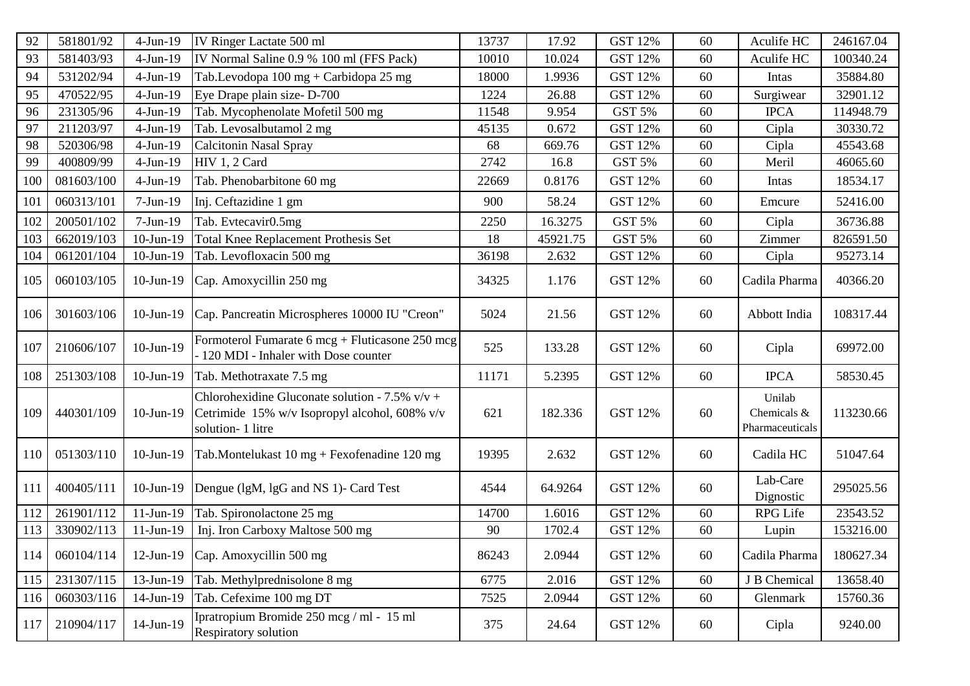| 92  | 581801/92  | $4-Jun-19$      | IV Ringer Lactate 500 ml                                                                                              | 13737 | 17.92    | <b>GST 12%</b> | 60 | Aculife HC                               | 246167.04 |
|-----|------------|-----------------|-----------------------------------------------------------------------------------------------------------------------|-------|----------|----------------|----|------------------------------------------|-----------|
| 93  | 581403/93  | $4-Jun-19$      | IV Normal Saline 0.9 % 100 ml (FFS Pack)                                                                              | 10010 | 10.024   | <b>GST 12%</b> | 60 | Aculife HC                               | 100340.24 |
| 94  | 531202/94  | $4-Jun-19$      | Tab.Levodopa 100 mg + Carbidopa 25 mg                                                                                 | 18000 | 1.9936   | <b>GST 12%</b> | 60 | Intas                                    | 35884.80  |
| 95  | 470522/95  | $4-Jun-19$      | Eye Drape plain size-D-700                                                                                            | 1224  | 26.88    | <b>GST 12%</b> | 60 | Surgiwear                                | 32901.12  |
| 96  | 231305/96  | $4-Jun-19$      | Tab. Mycophenolate Mofetil 500 mg                                                                                     | 11548 | 9.954    | GST 5%         | 60 | <b>IPCA</b>                              | 114948.79 |
| 97  | 211203/97  | $4-Jun-19$      | Tab. Levosalbutamol 2 mg                                                                                              | 45135 | 0.672    | <b>GST 12%</b> | 60 | Cipla                                    | 30330.72  |
| 98  | 520306/98  | $4-Jun-19$      | Calcitonin Nasal Spray                                                                                                | 68    | 669.76   | <b>GST 12%</b> | 60 | Cipla                                    | 45543.68  |
| 99  | 400809/99  | $4-Jun-19$      | HIV 1, 2 Card                                                                                                         | 2742  | 16.8     | GST 5%         | 60 | Meril                                    | 46065.60  |
| 100 | 081603/100 | $4-Jun-19$      | Tab. Phenobarbitone 60 mg                                                                                             | 22669 | 0.8176   | <b>GST 12%</b> | 60 | Intas                                    | 18534.17  |
| 101 | 060313/101 | $7-Jun-19$      | Inj. Ceftazidine 1 gm                                                                                                 | 900   | 58.24    | <b>GST 12%</b> | 60 | Emcure                                   | 52416.00  |
| 102 | 200501/102 | $7-Jun-19$      | Tab. Evtecavir0.5mg                                                                                                   | 2250  | 16.3275  | GST 5%         | 60 | Cipla                                    | 36736.88  |
| 103 | 662019/103 | $10-Jun-19$     | Total Knee Replacement Prothesis Set                                                                                  | 18    | 45921.75 | GST 5%         | 60 | Zimmer                                   | 826591.50 |
| 104 | 061201/104 | $10$ -Jun- $19$ | Tab. Levofloxacin 500 mg                                                                                              | 36198 | 2.632    | <b>GST 12%</b> | 60 | Cipla                                    | 95273.14  |
| 105 | 060103/105 | 10-Jun-19       | Cap. Amoxycillin 250 mg                                                                                               | 34325 | 1.176    | <b>GST 12%</b> | 60 | Cadila Pharma                            | 40366.20  |
| 106 | 301603/106 | $10-Jun-19$     | Cap. Pancreatin Microspheres 10000 IU "Creon"                                                                         | 5024  | 21.56    | <b>GST 12%</b> | 60 | Abbott India                             | 108317.44 |
| 107 | 210606/107 | $10-Jun-19$     | Formoterol Fumarate 6 mcg + Fluticasone 250 mcg<br>- 120 MDI - Inhaler with Dose counter                              | 525   | 133.28   | <b>GST 12%</b> | 60 | Cipla                                    | 69972.00  |
| 108 | 251303/108 | $10-Jun-19$     | Tab. Methotraxate 7.5 mg                                                                                              | 11171 | 5.2395   | <b>GST 12%</b> | 60 | <b>IPCA</b>                              | 58530.45  |
| 109 | 440301/109 | 10-Jun-19       | Chlorohexidine Gluconate solution - 7.5% $v/v +$<br>Cetrimide 15% w/v Isopropyl alcohol, 608% v/v<br>solution-1 litre | 621   | 182.336  | GST 12%        | 60 | Unilab<br>Chemicals &<br>Pharmaceuticals | 113230.66 |
| 110 | 051303/110 | $10$ -Jun- $19$ | Tab.Montelukast $10 \text{ mg} + \text{Fexofenadine} 120 \text{ mg}$                                                  | 19395 | 2.632    | <b>GST 12%</b> | 60 | Cadila HC                                | 51047.64  |
| 111 | 400405/111 | $10$ -Jun- $19$ | Dengue (lgM, lgG and NS 1)- Card Test                                                                                 | 4544  | 64.9264  | <b>GST 12%</b> | 60 | Lab-Care<br>Dignostic                    | 295025.56 |
| 112 | 261901/112 | $11-Jun-19$     | Tab. Spironolactone 25 mg                                                                                             | 14700 | 1.6016   | <b>GST 12%</b> | 60 | <b>RPG</b> Life                          | 23543.52  |
| 113 | 330902/113 | 11-Jun-19       | Inj. Iron Carboxy Maltose 500 mg                                                                                      | 90    | 1702.4   | <b>GST 12%</b> | 60 | Lupin                                    | 153216.00 |
| 114 | 060104/114 | $12$ -Jun-19    | Cap. Amoxycillin 500 mg                                                                                               | 86243 | 2.0944   | <b>GST 12%</b> | 60 | Cadila Pharma                            | 180627.34 |
| 115 | 231307/115 | 13-Jun-19       | Tab. Methylprednisolone 8 mg                                                                                          | 6775  | 2.016    | <b>GST 12%</b> | 60 | J B Chemical                             | 13658.40  |
| 116 | 060303/116 | 14-Jun-19       | Tab. Cefexime 100 mg DT                                                                                               | 7525  | 2.0944   | GST 12%        | 60 | Glenmark                                 | 15760.36  |
| 117 | 210904/117 | 14-Jun-19       | Ipratropium Bromide 250 mcg / ml - 15 ml<br><b>Respiratory solution</b>                                               | 375   | 24.64    | GST 12%        | 60 | Cipla                                    | 9240.00   |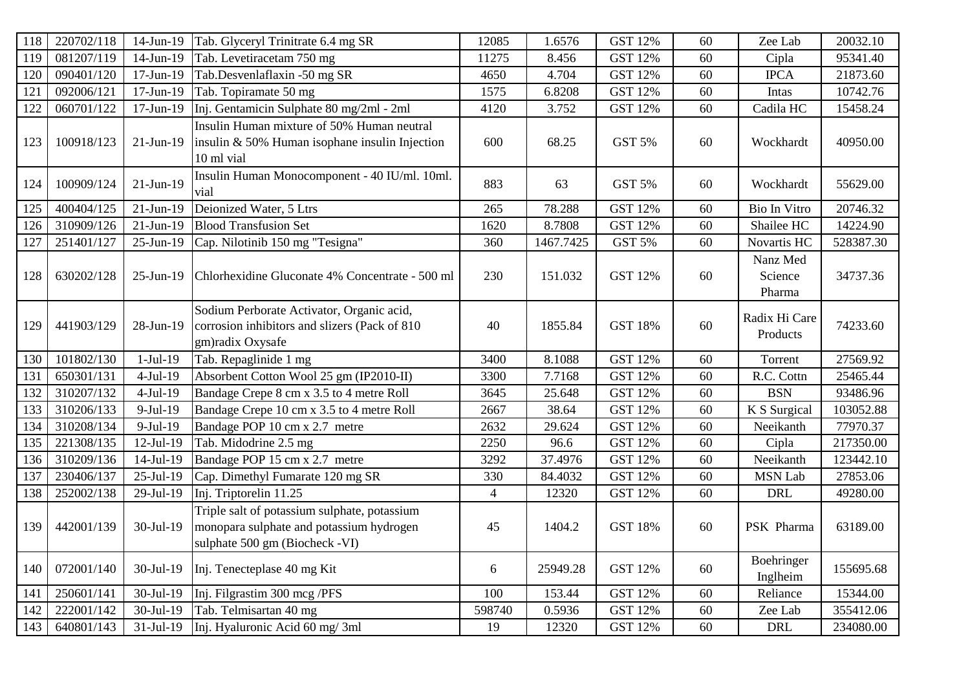| 118 | 220702/118 | 14-Jun-19   | Tab. Glyceryl Trinitrate 6.4 mg SR                                                                                         | 12085          | 1.6576    | <b>GST 12%</b> | 60 | Zee Lab                       | 20032.10  |
|-----|------------|-------------|----------------------------------------------------------------------------------------------------------------------------|----------------|-----------|----------------|----|-------------------------------|-----------|
| 119 | 081207/119 | 14-Jun-19   | Tab. Levetiracetam 750 mg                                                                                                  | 11275          | 8.456     | <b>GST 12%</b> | 60 | Cipla                         | 95341.40  |
| 120 | 090401/120 | 17-Jun-19   | Tab.Desvenlaflaxin -50 mg SR                                                                                               | 4650           | 4.704     | <b>GST 12%</b> | 60 | <b>IPCA</b>                   | 21873.60  |
| 121 | 092006/121 | 17-Jun-19   | Tab. Topiramate 50 mg                                                                                                      | 1575           | 6.8208    | <b>GST 12%</b> | 60 | Intas                         | 10742.76  |
| 122 | 060701/122 | 17-Jun-19   | Inj. Gentamicin Sulphate 80 mg/2ml - 2ml                                                                                   | 4120           | 3.752     | <b>GST 12%</b> | 60 | Cadila HC                     | 15458.24  |
| 123 | 100918/123 | $21-Jun-19$ | Insulin Human mixture of 50% Human neutral<br>insulin $&50\%$ Human isophane insulin Injection<br>10 ml vial               | 600            | 68.25     | GST 5%         | 60 | Wockhardt                     | 40950.00  |
| 124 | 100909/124 | $21-Jun-19$ | Insulin Human Monocomponent - 40 IU/ml. 10ml.<br>vial                                                                      | 883            | 63        | GST 5%         | 60 | Wockhardt                     | 55629.00  |
| 125 | 400404/125 | $21-Jun-19$ | Deionized Water, 5 Ltrs                                                                                                    | 265            | 78.288    | <b>GST 12%</b> | 60 | Bio In Vitro                  | 20746.32  |
| 126 | 310909/126 | $21-Jun-19$ | <b>Blood Transfusion Set</b>                                                                                               | 1620           | 8.7808    | <b>GST 12%</b> | 60 | Shailee HC                    | 14224.90  |
| 127 | 251401/127 | 25-Jun-19   | Cap. Nilotinib 150 mg "Tesigna"                                                                                            | 360            | 1467.7425 | GST 5%         | 60 | Novartis HC                   | 528387.30 |
| 128 | 630202/128 | 25-Jun-19   | Chlorhexidine Gluconate 4% Concentrate - 500 ml                                                                            | 230            | 151.032   | <b>GST 12%</b> | 60 | Nanz Med<br>Science<br>Pharma | 34737.36  |
| 129 | 441903/129 | 28-Jun-19   | Sodium Perborate Activator, Organic acid,<br>corrosion inhibitors and slizers (Pack of 810<br>gm)radix Oxysafe             | 40             | 1855.84   | <b>GST 18%</b> | 60 | Radix Hi Care<br>Products     | 74233.60  |
| 130 | 101802/130 | $1-Jul-19$  | Tab. Repaglinide 1 mg                                                                                                      | 3400           | 8.1088    | <b>GST 12%</b> | 60 | Torrent                       | 27569.92  |
| 131 | 650301/131 | $4-Jul-19$  | Absorbent Cotton Wool 25 gm (IP2010-II)                                                                                    | 3300           | 7.7168    | <b>GST 12%</b> | 60 | R.C. Cottn                    | 25465.44  |
| 132 | 310207/132 | $4-Jul-19$  | Bandage Crepe 8 cm x 3.5 to 4 metre Roll                                                                                   | 3645           | 25.648    | <b>GST 12%</b> | 60 | <b>BSN</b>                    | 93486.96  |
| 133 | 310206/133 | 9-Jul-19    | Bandage Crepe 10 cm x 3.5 to 4 metre Roll                                                                                  | 2667           | 38.64     | <b>GST 12%</b> | 60 | K S Surgical                  | 103052.88 |
| 134 | 310208/134 | $9-Jul-19$  | Bandage POP 10 cm x 2.7 metre                                                                                              | 2632           | 29.624    | <b>GST 12%</b> | 60 | Neeikanth                     | 77970.37  |
| 135 | 221308/135 | $12-Jul-19$ | Tab. Midodrine 2.5 mg                                                                                                      | 2250           | 96.6      | <b>GST 12%</b> | 60 | Cipla                         | 217350.00 |
| 136 | 310209/136 | $14-Jul-19$ | Bandage POP 15 cm x 2.7 metre                                                                                              | 3292           | 37.4976   | <b>GST 12%</b> | 60 | Neeikanth                     | 123442.10 |
| 137 | 230406/137 | 25-Jul-19   | Cap. Dimethyl Fumarate 120 mg SR                                                                                           | 330            | 84.4032   | <b>GST 12%</b> | 60 | MSN Lab                       | 27853.06  |
| 138 | 252002/138 | 29-Jul-19   | Inj. Triptorelin 11.25                                                                                                     | $\overline{4}$ | 12320     | <b>GST 12%</b> | 60 | <b>DRL</b>                    | 49280.00  |
| 139 | 442001/139 | 30-Jul-19   | Triple salt of potassium sulphate, potassium<br>monopara sulphate and potassium hydrogen<br>sulphate 500 gm (Biocheck -VI) | 45             | 1404.2    | <b>GST 18%</b> | 60 | PSK Pharma                    | 63189.00  |
| 140 | 072001/140 | 30-Jul-19   | Inj. Tenecteplase 40 mg Kit                                                                                                | 6              | 25949.28  | <b>GST 12%</b> | 60 | Boehringer<br>Inglheim        | 155695.68 |
| 141 | 250601/141 | 30-Jul-19   | Inj. Filgrastim 300 mcg /PFS                                                                                               | 100            | 153.44    | <b>GST 12%</b> | 60 | Reliance                      | 15344.00  |
| 142 | 222001/142 | 30-Jul-19   | Tab. Telmisartan 40 mg                                                                                                     | 598740         | 0.5936    | <b>GST 12%</b> | 60 | Zee Lab                       | 355412.06 |
| 143 | 640801/143 | 31-Jul-19   | Inj. Hyaluronic Acid 60 mg/3ml                                                                                             | 19             | 12320     | <b>GST 12%</b> | 60 | <b>DRL</b>                    | 234080.00 |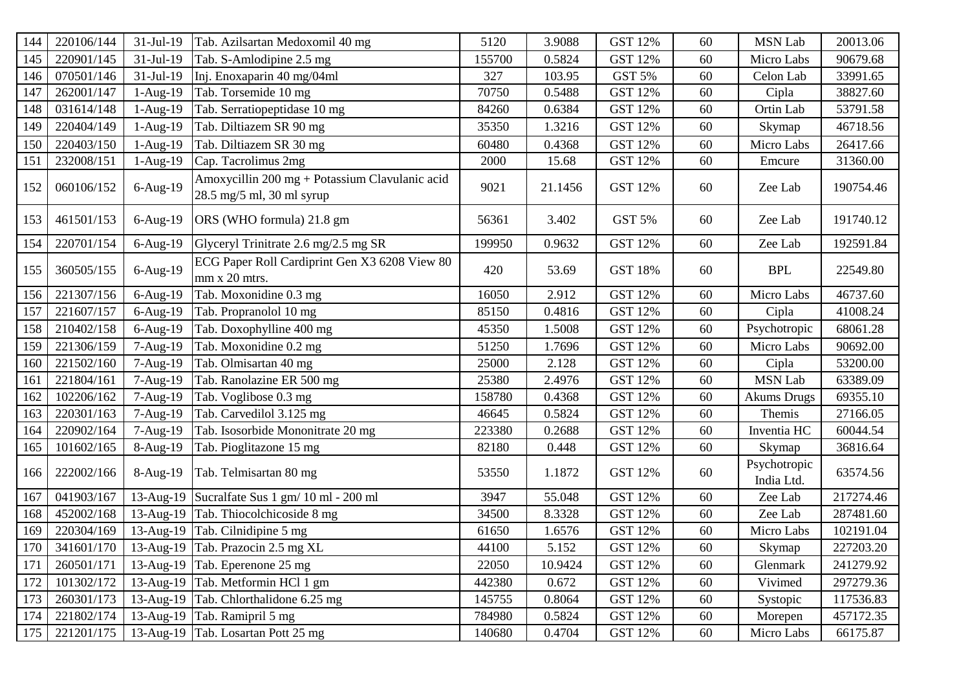| 144 | 220106/144 | 31-Jul-19   | Tab. Azilsartan Medoxomil 40 mg                                             | 5120   | 3.9088  | <b>GST 12%</b> | 60 | <b>MSN Lab</b>             | 20013.06  |
|-----|------------|-------------|-----------------------------------------------------------------------------|--------|---------|----------------|----|----------------------------|-----------|
| 145 | 220901/145 | 31-Jul-19   | Tab. S-Amlodipine 2.5 mg                                                    | 155700 | 0.5824  | <b>GST 12%</b> | 60 | Micro Labs                 | 90679.68  |
| 146 | 070501/146 | $31-Jul-19$ | Inj. Enoxaparin 40 mg/04ml                                                  | 327    | 103.95  | GST 5%         | 60 | Celon Lab                  | 33991.65  |
| 147 | 262001/147 | 1-Aug-19    | Tab. Torsemide 10 mg                                                        | 70750  | 0.5488  | <b>GST 12%</b> | 60 | Cipla                      | 38827.60  |
| 148 | 031614/148 | $1-Aug-19$  | Tab. Serratiopeptidase 10 mg                                                | 84260  | 0.6384  | <b>GST 12%</b> | 60 | Ortin Lab                  | 53791.58  |
| 149 | 220404/149 | $1-Aug-19$  | Tab. Diltiazem SR 90 mg                                                     | 35350  | 1.3216  | <b>GST 12%</b> | 60 | Skymap                     | 46718.56  |
| 150 | 220403/150 | $1-Aug-19$  | Tab. Diltiazem SR 30 mg                                                     | 60480  | 0.4368  | <b>GST 12%</b> | 60 | Micro Labs                 | 26417.66  |
| 151 | 232008/151 | $1-Aug-19$  | Cap. Tacrolimus 2mg                                                         | 2000   | 15.68   | <b>GST 12%</b> | 60 | Emcure                     | 31360.00  |
| 152 | 060106/152 | 6-Aug-19    | Amoxycillin 200 mg + Potassium Clavulanic acid<br>28.5 mg/5 ml, 30 ml syrup | 9021   | 21.1456 | <b>GST 12%</b> | 60 | Zee Lab                    | 190754.46 |
| 153 | 461501/153 | 6-Aug-19    | ORS (WHO formula) 21.8 gm                                                   | 56361  | 3.402   | <b>GST 5%</b>  | 60 | Zee Lab                    | 191740.12 |
| 154 | 220701/154 | 6-Aug-19    | Glyceryl Trinitrate 2.6 mg/2.5 mg SR                                        | 199950 | 0.9632  | <b>GST 12%</b> | 60 | Zee Lab                    | 192591.84 |
| 155 | 360505/155 | $6-Aug-19$  | ECG Paper Roll Cardiprint Gen X3 6208 View 80<br>mm x 20 mtrs.              | 420    | 53.69   | <b>GST 18%</b> | 60 | <b>BPL</b>                 | 22549.80  |
| 156 | 221307/156 | $6-Aug-19$  | Tab. Moxonidine 0.3 mg                                                      | 16050  | 2.912   | <b>GST 12%</b> | 60 | Micro Labs                 | 46737.60  |
| 157 | 221607/157 | 6-Aug-19    | Tab. Propranolol 10 mg                                                      | 85150  | 0.4816  | GST 12%        | 60 | Cipla                      | 41008.24  |
| 158 | 210402/158 | $6-Aug-19$  | Tab. Doxophylline 400 mg                                                    | 45350  | 1.5008  | <b>GST 12%</b> | 60 | Psychotropic               | 68061.28  |
| 159 | 221306/159 | 7-Aug-19    | Tab. Moxonidine 0.2 mg                                                      | 51250  | 1.7696  | <b>GST 12%</b> | 60 | Micro Labs                 | 90692.00  |
| 160 | 221502/160 | 7-Aug-19    | Tab. Olmisartan 40 mg                                                       | 25000  | 2.128   | <b>GST 12%</b> | 60 | Cipla                      | 53200.00  |
| 161 | 221804/161 | 7-Aug-19    | Tab. Ranolazine ER 500 mg                                                   | 25380  | 2.4976  | <b>GST 12%</b> | 60 | <b>MSN Lab</b>             | 63389.09  |
| 162 | 102206/162 | $7-Aug-19$  | Tab. Voglibose 0.3 mg                                                       | 158780 | 0.4368  | <b>GST 12%</b> | 60 | <b>Akums Drugs</b>         | 69355.10  |
| 163 | 220301/163 | 7-Aug-19    | Tab. Carvedilol 3.125 mg                                                    | 46645  | 0.5824  | <b>GST 12%</b> | 60 | Themis                     | 27166.05  |
| 164 | 220902/164 | 7-Aug-19    | Tab. Isosorbide Mononitrate 20 mg                                           | 223380 | 0.2688  | <b>GST 12%</b> | 60 | Inventia HC                | 60044.54  |
| 165 | 101602/165 | 8-Aug-19    | Tab. Pioglitazone 15 mg                                                     | 82180  | 0.448   | GST 12%        | 60 | Skymap                     | 36816.64  |
| 166 | 222002/166 | 8-Aug-19    | Tab. Telmisartan 80 mg                                                      | 53550  | 1.1872  | GST 12%        | 60 | Psychotropic<br>India Ltd. | 63574.56  |
| 167 | 041903/167 | 13-Aug-19   | Sucralfate Sus 1 gm/ 10 ml - 200 ml                                         | 3947   | 55.048  | <b>GST 12%</b> | 60 | Zee Lab                    | 217274.46 |
| 168 | 452002/168 | 13-Aug-19   | Tab. Thiocolchicoside 8 mg                                                  | 34500  | 8.3328  | <b>GST 12%</b> | 60 | Zee Lab                    | 287481.60 |
| 169 | 220304/169 |             | 13-Aug-19 Tab. Cilnidipine 5 mg                                             | 61650  | 1.6576  | <b>GST 12%</b> | 60 | Micro Labs                 | 102191.04 |
| 170 |            |             | 341601/170 13-Aug-19 Tab. Prazocin 2.5 mg XL                                | 44100  | 5.152   | GST 12%        | 60 | Skymap                     | 227203.20 |
| 171 | 260501/171 |             | 13-Aug-19 Tab. Eperenone 25 mg                                              | 22050  | 10.9424 | GST 12%        | 60 | Glenmark                   | 241279.92 |
| 172 | 101302/172 |             | 13-Aug-19 Tab. Metformin HCl 1 gm                                           | 442380 | 0.672   | <b>GST 12%</b> | 60 | Vivimed                    | 297279.36 |
| 173 | 260301/173 |             | 13-Aug-19 Tab. Chlorthalidone 6.25 mg                                       | 145755 | 0.8064  | GST 12%        | 60 | Systopic                   | 117536.83 |
| 174 | 221802/174 |             | 13-Aug-19 Tab. Ramipril 5 mg                                                | 784980 | 0.5824  | GST 12%        | 60 | Morepen                    | 457172.35 |
| 175 | 221201/175 |             | 13-Aug-19 Tab. Losartan Pott 25 mg                                          | 140680 | 0.4704  | GST 12%        | 60 | Micro Labs                 | 66175.87  |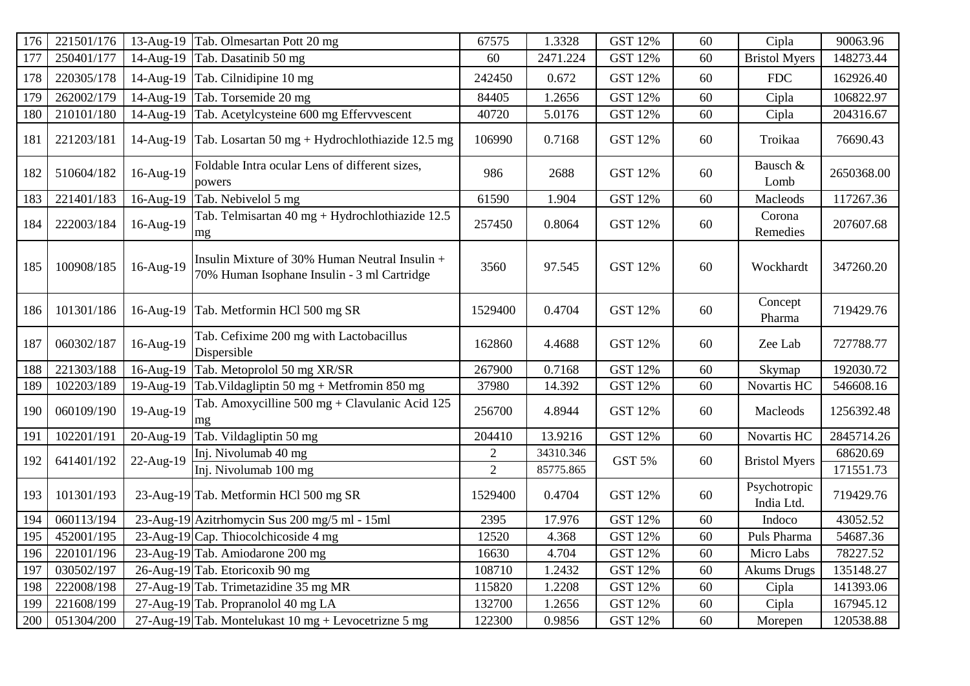| 176 | 221501/176 | $13$ -Aug-19 | Tab. Olmesartan Pott 20 mg                                                                    | 67575          | 1.3328    | <b>GST 12%</b> | 60 | Cipla                      | 90063.96   |
|-----|------------|--------------|-----------------------------------------------------------------------------------------------|----------------|-----------|----------------|----|----------------------------|------------|
| 177 | 250401/177 | 14-Aug-19    | Tab. Dasatinib 50 mg                                                                          | 60             | 2471.224  | <b>GST 12%</b> | 60 | <b>Bristol Myers</b>       | 148273.44  |
| 178 | 220305/178 | 14-Aug-19    | Tab. Cilnidipine 10 mg                                                                        | 242450         | 0.672     | <b>GST 12%</b> | 60 | <b>FDC</b>                 | 162926.40  |
| 179 | 262002/179 | 14-Aug-19    | Tab. Torsemide 20 mg                                                                          | 84405          | 1.2656    | <b>GST 12%</b> | 60 | Cipla                      | 106822.97  |
| 180 | 210101/180 | 14-Aug-19    | Tab. Acetylcysteine 600 mg Effervvescent                                                      | 40720          | 5.0176    | <b>GST 12%</b> | 60 | Cipla                      | 204316.67  |
| 181 | 221203/181 | 14-Aug-19    | Tab. Losartan 50 mg + Hydrochlothiazide 12.5 mg                                               | 106990         | 0.7168    | <b>GST 12%</b> | 60 | Troikaa                    | 76690.43   |
| 182 | 510604/182 | 16-Aug-19    | Foldable Intra ocular Lens of different sizes,<br>powers                                      | 986            | 2688      | <b>GST 12%</b> | 60 | Bausch &<br>Lomb           | 2650368.00 |
| 183 | 221401/183 | 16-Aug-19    | Tab. Nebivelol 5 mg                                                                           | 61590          | 1.904     | <b>GST 12%</b> | 60 | Macleods                   | 117267.36  |
| 184 | 222003/184 | 16-Aug-19    | Tab. Telmisartan 40 mg + Hydrochlothiazide 12.5<br>mg                                         | 257450         | 0.8064    | <b>GST 12%</b> | 60 | Corona<br>Remedies         | 207607.68  |
| 185 | 100908/185 | 16-Aug-19    | Insulin Mixture of 30% Human Neutral Insulin +<br>70% Human Isophane Insulin - 3 ml Cartridge | 3560           | 97.545    | <b>GST 12%</b> | 60 | Wockhardt                  | 347260.20  |
| 186 | 101301/186 | 16-Aug-19    | Tab. Metformin HCl 500 mg SR                                                                  | 1529400        | 0.4704    | <b>GST 12%</b> | 60 | Concept<br>Pharma          | 719429.76  |
| 187 | 060302/187 | 16-Aug-19    | Tab. Cefixime 200 mg with Lactobacillus<br>Dispersible                                        | 162860         | 4.4688    | <b>GST 12%</b> | 60 | Zee Lab                    | 727788.77  |
| 188 | 221303/188 | 16-Aug-19    | Tab. Metoprolol 50 mg XR/SR                                                                   | 267900         | 0.7168    | <b>GST 12%</b> | 60 | Skymap                     | 192030.72  |
| 189 | 102203/189 | 19-Aug-19    | Tab. Vildagliptin 50 mg + Metfromin 850 mg                                                    | 37980          | 14.392    | <b>GST 12%</b> | 60 | Novartis HC                | 546608.16  |
| 190 | 060109/190 | 19-Aug-19    | Tab. Amoxycilline 500 mg + Clavulanic Acid 125<br>mg                                          | 256700         | 4.8944    | <b>GST 12%</b> | 60 | Macleods                   | 1256392.48 |
| 191 | 102201/191 | 20-Aug-19    | Tab. Vildagliptin 50 mg                                                                       | 204410         | 13.9216   | <b>GST 12%</b> | 60 | Novartis HC                | 2845714.26 |
| 192 | 641401/192 | 22-Aug-19    | Inj. Nivolumab 40 mg                                                                          | $\overline{2}$ | 34310.346 | <b>GST 5%</b>  | 60 | <b>Bristol Myers</b>       | 68620.69   |
|     |            |              | Inj. Nivolumab 100 mg                                                                         | $\overline{2}$ | 85775.865 |                |    |                            | 171551.73  |
| 193 | 101301/193 |              | 23-Aug-19 Tab. Metformin HCl 500 mg SR                                                        | 1529400        | 0.4704    | <b>GST 12%</b> | 60 | Psychotropic<br>India Ltd. | 719429.76  |
| 194 | 060113/194 |              | 23-Aug-19 Azitrhomycin Sus 200 mg/5 ml - 15ml                                                 | 2395           | 17.976    | <b>GST 12%</b> | 60 | Indoco                     | 43052.52   |
| 195 | 452001/195 |              | 23-Aug-19 Cap. Thiocolchicoside $4 \text{ mg}$                                                | 12520          | 4.368     | <b>GST 12%</b> | 60 | Puls Pharma                | 54687.36   |
| 196 | 220101/196 |              | 23-Aug-19 Tab. Amiodarone 200 mg                                                              | 16630          | 4.704     | <b>GST 12%</b> | 60 | Micro Labs                 | 78227.52   |
| 197 | 030502/197 |              | 26-Aug-19 Tab. Etoricoxib 90 mg                                                               | 108710         | 1.2432    | GST 12%        | 60 | <b>Akums Drugs</b>         | 135148.27  |
| 198 | 222008/198 |              | 27-Aug-19 Tab. Trimetazidine 35 mg MR                                                         | 115820         | 1.2208    | <b>GST 12%</b> | 60 | Cipla                      | 141393.06  |
| 199 | 221608/199 |              | 27-Aug-19 Tab. Propranolol 40 mg LA                                                           | 132700         | 1.2656    | <b>GST 12%</b> | 60 | Cipla                      | 167945.12  |
| 200 | 051304/200 |              | 27-Aug-19 Tab. Montelukast 10 mg + Levocetrizne 5 mg                                          | 122300         | 0.9856    | <b>GST 12%</b> | 60 | Morepen                    | 120538.88  |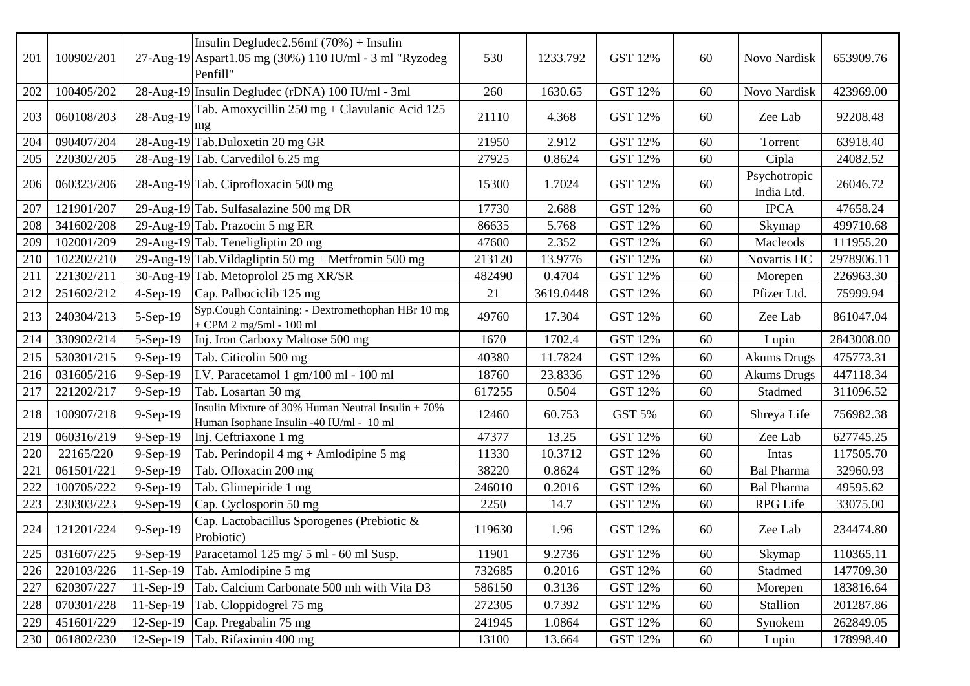| 201 | 100902/201 |              | Insulin Degludec2.56mf $(70%) +$ Insulin<br>27-Aug-19 Aspart1.05 mg (30%) 110 IU/ml - 3 ml "Ryzodeg<br>Penfill" | 530    | 1233.792  | <b>GST 12%</b> | 60 | Novo Nardisk               | 653909.76  |
|-----|------------|--------------|-----------------------------------------------------------------------------------------------------------------|--------|-----------|----------------|----|----------------------------|------------|
| 202 | 100405/202 |              | 28-Aug-19 Insulin Degludec (rDNA) 100 IU/ml - 3ml                                                               | 260    | 1630.65   | <b>GST 12%</b> | 60 | Novo Nardisk               | 423969.00  |
| 203 | 060108/203 | 28-Aug-19    | Tab. Amoxycillin 250 mg + Clavulanic Acid 125<br>mg                                                             | 21110  | 4.368     | <b>GST 12%</b> | 60 | Zee Lab                    | 92208.48   |
| 204 | 090407/204 |              | 28-Aug-19 Tab.Duloxetin 20 mg GR                                                                                | 21950  | 2.912     | <b>GST 12%</b> | 60 | Torrent                    | 63918.40   |
| 205 | 220302/205 |              | 28-Aug-19 Tab. Carvedilol 6.25 mg                                                                               | 27925  | 0.8624    | <b>GST 12%</b> | 60 | Cipla                      | 24082.52   |
| 206 | 060323/206 |              | 28-Aug-19 Tab. Ciprofloxacin 500 mg                                                                             | 15300  | 1.7024    | <b>GST 12%</b> | 60 | Psychotropic<br>India Ltd. | 26046.72   |
| 207 | 121901/207 |              | 29-Aug-19 Tab. Sulfasalazine 500 mg DR                                                                          | 17730  | 2.688     | <b>GST 12%</b> | 60 | <b>IPCA</b>                | 47658.24   |
| 208 | 341602/208 |              | 29-Aug-19 Tab. Prazocin 5 mg ER                                                                                 | 86635  | 5.768     | <b>GST 12%</b> | 60 | Skymap                     | 499710.68  |
| 209 | 102001/209 |              | 29-Aug-19 Tab. Teneligliptin 20 mg                                                                              | 47600  | 2.352     | <b>GST 12%</b> | 60 | Macleods                   | 111955.20  |
| 210 | 102202/210 |              | 29-Aug-19 Tab. Vildagliptin 50 mg + Metfromin 500 mg                                                            | 213120 | 13.9776   | <b>GST 12%</b> | 60 | Novartis HC                | 2978906.11 |
| 211 | 221302/211 |              | 30-Aug-19 Tab. Metoprolol 25 mg XR/SR                                                                           | 482490 | 0.4704    | <b>GST 12%</b> | 60 | Morepen                    | 226963.30  |
| 212 | 251602/212 | $4-Sep-19$   | Cap. Palbociclib 125 mg                                                                                         | 21     | 3619.0448 | <b>GST 12%</b> | 60 | Pfizer Ltd.                | 75999.94   |
| 213 | 240304/213 | 5-Sep-19     | Syp.Cough Containing: - Dextromethophan HBr 10 mg<br>$+$ CPM 2 mg/5ml - 100 ml                                  | 49760  | 17.304    | <b>GST 12%</b> | 60 | Zee Lab                    | 861047.04  |
| 214 | 330902/214 | 5-Sep-19     | Inj. Iron Carboxy Maltose 500 mg                                                                                | 1670   | 1702.4    | <b>GST 12%</b> | 60 | Lupin                      | 2843008.00 |
| 215 | 530301/215 | 9-Sep-19     | Tab. Citicolin 500 mg                                                                                           | 40380  | 11.7824   | <b>GST 12%</b> | 60 | <b>Akums Drugs</b>         | 475773.31  |
| 216 | 031605/216 | 9-Sep-19     | I.V. Paracetamol 1 gm/100 ml - 100 ml                                                                           | 18760  | 23.8336   | <b>GST 12%</b> | 60 | <b>Akums Drugs</b>         | 447118.34  |
| 217 | 221202/217 | 9-Sep-19     | Tab. Losartan 50 mg                                                                                             | 617255 | 0.504     | <b>GST 12%</b> | 60 | Stadmed                    | 311096.52  |
| 218 | 100907/218 | 9-Sep-19     | Insulin Mixture of 30% Human Neutral Insulin $+70%$<br>Human Isophane Insulin -40 IU/ml - 10 ml                 | 12460  | 60.753    | <b>GST 5%</b>  | 60 | Shreya Life                | 756982.38  |
| 219 | 060316/219 | 9-Sep-19     | Inj. Ceftriaxone 1 mg                                                                                           | 47377  | 13.25     | GST 12%        | 60 | Zee Lab                    | 627745.25  |
| 220 | 22165/220  | $9-Sep-19$   | Tab. Perindopil $4 mg + Amlodipine 5 mg$                                                                        | 11330  | 10.3712   | <b>GST 12%</b> | 60 | Intas                      | 117505.70  |
| 221 | 061501/221 | 9-Sep-19     | Tab. Ofloxacin 200 mg                                                                                           | 38220  | 0.8624    | <b>GST 12%</b> | 60 | <b>Bal Pharma</b>          | 32960.93   |
| 222 | 100705/222 | 9-Sep-19     | Tab. Glimepiride 1 mg                                                                                           | 246010 | 0.2016    | <b>GST 12%</b> | 60 | <b>Bal Pharma</b>          | 49595.62   |
| 223 | 230303/223 | 9-Sep-19     | Cap. Cyclosporin 50 mg                                                                                          | 2250   | 14.7      | <b>GST 12%</b> | 60 | RPG Life                   | 33075.00   |
| 224 | 121201/224 | 9-Sep-19     | Cap. Lactobacillus Sporogenes (Prebiotic &<br>Probiotic)                                                        | 119630 | 1.96      | <b>GST 12%</b> | 60 | Zee Lab                    | 234474.80  |
| 225 | 031607/225 | $9-Sep-19$   | Paracetamol 125 mg/ 5 ml - 60 ml Susp.                                                                          | 11901  | 9.2736    | <b>GST 12%</b> | 60 | Skymap                     | 110365.11  |
| 226 | 220103/226 | $11-Sep-19$  | Tab. Amlodipine 5 mg                                                                                            | 732685 | 0.2016    | <b>GST 12%</b> | 60 | Stadmed                    | 147709.30  |
| 227 | 620307/227 | $11-Sep-19$  | Tab. Calcium Carbonate 500 mh with Vita D3                                                                      | 586150 | 0.3136    | <b>GST 12%</b> | 60 | Morepen                    | 183816.64  |
| 228 | 070301/228 | $11-Sep-19$  | Tab. Cloppidogrel 75 mg                                                                                         | 272305 | 0.7392    | <b>GST 12%</b> | 60 | Stallion                   | 201287.86  |
| 229 | 451601/229 | $12$ -Sep-19 | Cap. Pregabalin 75 mg                                                                                           | 241945 | 1.0864    | <b>GST 12%</b> | 60 | Synokem                    | 262849.05  |
| 230 | 061802/230 | $12-Sep-19$  | Tab. Rifaximin 400 mg                                                                                           | 13100  | 13.664    | GST 12%        | 60 | Lupin                      | 178998.40  |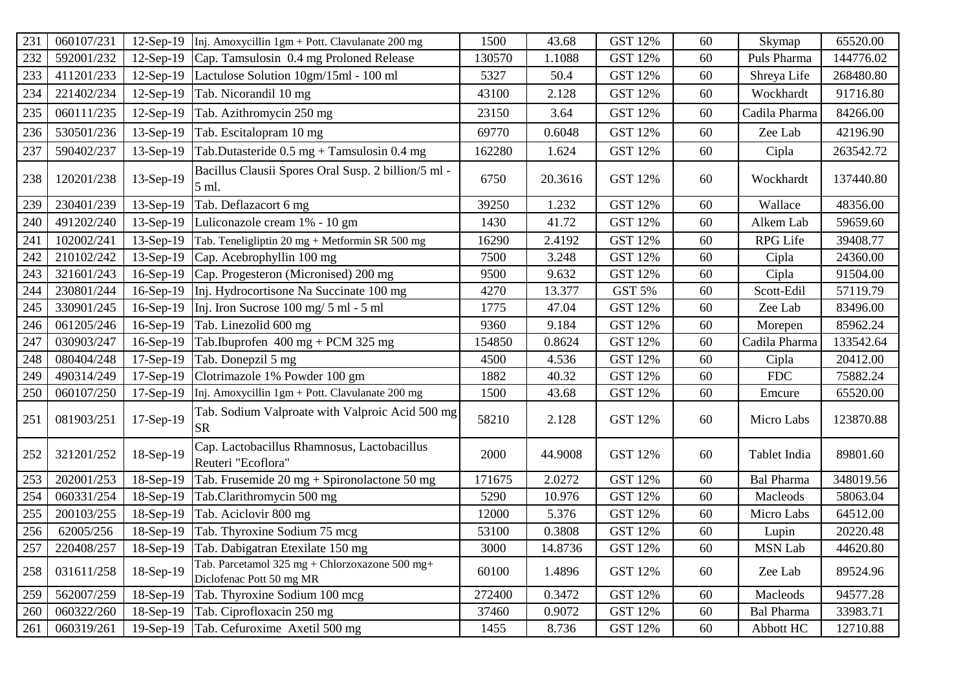| 231     | 060107/231 | $12$ -Sep-19 | Inj. Amoxycillin 1gm + Pott. Clavulanate 200 mg                            | 1500   | 43.68   | <b>GST 12%</b> | 60 | Skymap            | 65520.00  |
|---------|------------|--------------|----------------------------------------------------------------------------|--------|---------|----------------|----|-------------------|-----------|
| 232     | 592001/232 | $12-Sep-19$  | Cap. Tamsulosin 0.4 mg Proloned Release                                    | 130570 | 1.1088  | <b>GST 12%</b> | 60 | Puls Pharma       | 144776.02 |
| 233     | 411201/233 | $12-Sep-19$  | Lactulose Solution 10gm/15ml - 100 ml                                      | 5327   | 50.4    | GST 12%        | 60 | Shreya Life       | 268480.80 |
| 234     | 221402/234 | $12-Sep-19$  | Tab. Nicorandil 10 mg                                                      | 43100  | 2.128   | <b>GST 12%</b> | 60 | Wockhardt         | 91716.80  |
| 235     | 060111/235 | $12$ -Sep-19 | Tab. Azithromycin 250 mg                                                   | 23150  | 3.64    | <b>GST 12%</b> | 60 | Cadila Pharma     | 84266.00  |
| 236     | 530501/236 | $13-Sep-19$  | Tab. Escitalopram 10 mg                                                    | 69770  | 0.6048  | GST 12%        | 60 | Zee Lab           | 42196.90  |
| 237     | 590402/237 | 13-Sep-19    | Tab.Dutasteride $0.5 \text{ mg} +$ Tamsulosin 0.4 mg                       | 162280 | 1.624   | GST 12%        | 60 | Cipla             | 263542.72 |
| 238     | 120201/238 | 13-Sep-19    | Bacillus Clausii Spores Oral Susp. 2 billion/5 ml -<br>5 ml.               | 6750   | 20.3616 | <b>GST 12%</b> | 60 | Wockhardt         | 137440.80 |
| 239     | 230401/239 | $13-Sep-19$  | Tab. Deflazacort 6 mg                                                      | 39250  | 1.232   | <b>GST 12%</b> | 60 | Wallace           | 48356.00  |
| 240     | 491202/240 | $13-Sep-19$  | Luliconazole cream 1% - 10 gm                                              | 1430   | 41.72   | <b>GST 12%</b> | 60 | Alkem Lab         | 59659.60  |
| 241     | 102002/241 | $13-Sep-19$  | Tab. Teneligliptin 20 mg + Metformin SR 500 mg                             | 16290  | 2.4192  | <b>GST 12%</b> | 60 | RPG Life          | 39408.77  |
| 242     | 210102/242 | $13-Sep-19$  | Cap. Acebrophyllin 100 mg                                                  | 7500   | 3.248   | <b>GST 12%</b> | 60 | Cipla             | 24360.00  |
| 243     | 321601/243 |              | 16-Sep-19 Cap. Progesteron (Micronised) 200 mg                             | 9500   | 9.632   | <b>GST 12%</b> | 60 | Cipla             | 91504.00  |
| 244     | 230801/244 | $16-Sep-19$  | Inj. Hydrocortisone Na Succinate 100 mg                                    | 4270   | 13.377  | <b>GST 5%</b>  | 60 | Scott-Edil        | 57119.79  |
| 245     | 330901/245 | $16-Sep-19$  | Inj. Iron Sucrose 100 mg/ 5 ml - 5 ml                                      | 1775   | 47.04   | <b>GST 12%</b> | 60 | Zee Lab           | 83496.00  |
| 246     | 061205/246 | $16-Sep-19$  | Tab. Linezolid 600 mg                                                      | 9360   | 9.184   | <b>GST 12%</b> | 60 | Morepen           | 85962.24  |
| 247     | 030903/247 | $16-Sep-19$  | Tab.Ibuprofen $400 \text{ mg} + \text{PCM } 325 \text{ mg}$                | 154850 | 0.8624  | <b>GST 12%</b> | 60 | Cadila Pharma     | 133542.64 |
| 248     | 080404/248 | $17-Sep-19$  | Tab. Donepzil 5 mg                                                         | 4500   | 4.536   | <b>GST 12%</b> | 60 | Cipla             | 20412.00  |
| 249     | 490314/249 | 17-Sep-19    | Clotrimazole 1% Powder 100 gm                                              | 1882   | 40.32   | <b>GST 12%</b> | 60 | <b>FDC</b>        | 75882.24  |
| 250     | 060107/250 | $17-Sep-19$  | Inj. Amoxycillin 1gm + Pott. Clavulanate 200 mg                            | 1500   | 43.68   | GST 12%        | 60 | Emcure            | 65520.00  |
| 251     | 081903/251 | 17-Sep-19    | Tab. Sodium Valproate with Valproic Acid 500 mg<br><b>SR</b>               | 58210  | 2.128   | GST 12%        | 60 | Micro Labs        | 123870.88 |
| 252     | 321201/252 | 18-Sep-19    | Cap. Lactobacillus Rhamnosus, Lactobacillus<br>Reuteri "Ecoflora"          | 2000   | 44.9008 | <b>GST 12%</b> | 60 | Tablet India      | 89801.60  |
| 253     | 202001/253 | 18-Sep-19    | Tab. Frusemide 20 mg + Spironolactone 50 mg                                | 171675 | 2.0272  | <b>GST 12%</b> | 60 | <b>Bal Pharma</b> | 348019.56 |
| 254     | 060331/254 | $18-Sep-19$  | Tab.Clarithromycin 500 mg                                                  | 5290   | 10.976  | <b>GST 12%</b> | 60 | Macleods          | 58063.04  |
| 255     | 200103/255 | 18-Sep-19    | Tab. Aciclovir 800 mg                                                      | 12000  | 5.376   | <b>GST 12%</b> | 60 | Micro Labs        | 64512.00  |
| 256     | 62005/256  | $18-Sep-19$  | Tab. Thyroxine Sodium 75 mcg                                               | 53100  | 0.3808  | <b>GST 12%</b> | 60 | Lupin             | 20220.48  |
| $257\,$ | 220408/257 |              | 18-Sep-19 Tab. Dabigatran Etexilate 150 mg                                 | 3000   | 14.8736 | <b>GST 12%</b> | 60 | <b>MSN Lab</b>    | 44620.80  |
| 258     | 031611/258 | 18-Sep-19    | Tab. Parcetamol 325 mg + Chlorzoxazone 500 mg+<br>Diclofenac Pott 50 mg MR | 60100  | 1.4896  | GST 12%        | 60 | Zee Lab           | 89524.96  |
| 259     | 562007/259 | 18-Sep-19    | Tab. Thyroxine Sodium 100 mcg                                              | 272400 | 0.3472  | <b>GST 12%</b> | 60 | Macleods          | 94577.28  |
| 260     | 060322/260 |              | 18-Sep-19 Tab. Ciprofloxacin 250 mg                                        | 37460  | 0.9072  | GST 12%        | 60 | <b>Bal Pharma</b> | 33983.71  |
| 261     | 060319/261 | $19-Sep-19$  | Tab. Cefuroxime Axetil 500 mg                                              | 1455   | 8.736   | GST 12%        | 60 | Abbott HC         | 12710.88  |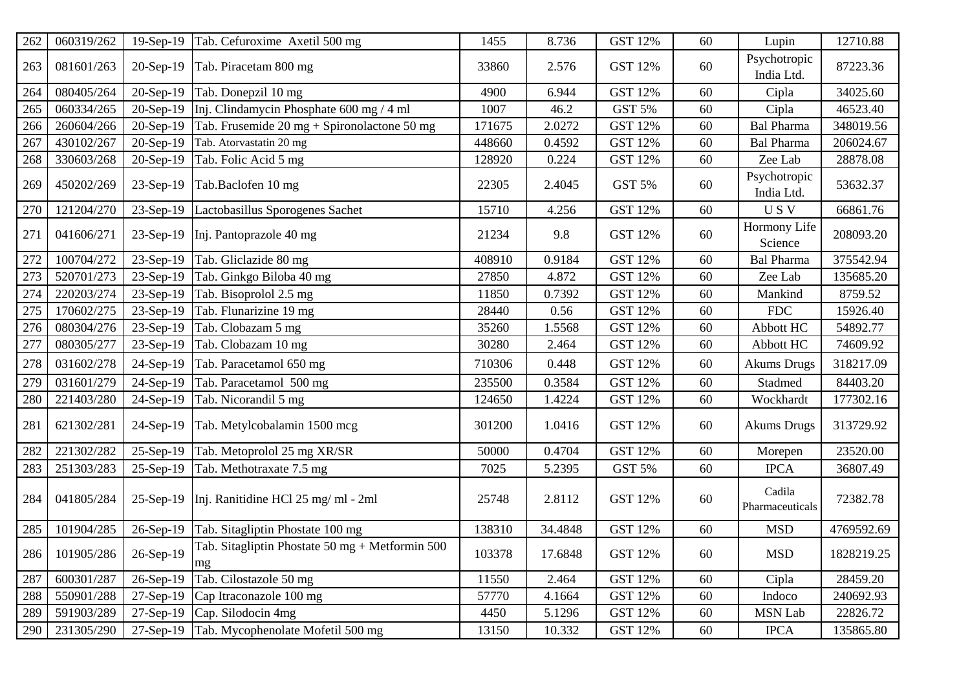| 262 | 060319/262 | $19-Sep-19$ | Tab. Cefuroxime Axetil 500 mg                                        | 1455   | 8.736   | <b>GST 12%</b> | 60 | Lupin                      | 12710.88   |
|-----|------------|-------------|----------------------------------------------------------------------|--------|---------|----------------|----|----------------------------|------------|
| 263 | 081601/263 | 20-Sep-19   | Tab. Piracetam 800 mg                                                | 33860  | 2.576   | <b>GST 12%</b> | 60 | Psychotropic<br>India Ltd. | 87223.36   |
| 264 | 080405/264 | $20-Sep-19$ | Tab. Donepzil 10 mg                                                  | 4900   | 6.944   | <b>GST 12%</b> | 60 | Cipla                      | 34025.60   |
| 265 | 060334/265 | $20-Sep-19$ | Inj. Clindamycin Phosphate 600 mg / 4 ml                             | 1007   | 46.2    | GST 5%         | 60 | Cipla                      | 46523.40   |
| 266 | 260604/266 | $20-Sep-19$ | Tab. Frusemide $20 \text{ mg} + \text{Spironolactone} 50 \text{ mg}$ | 171675 | 2.0272  | <b>GST 12%</b> | 60 | <b>Bal Pharma</b>          | 348019.56  |
| 267 | 430102/267 | $20-Sep-19$ | Tab. Atorvastatin 20 mg                                              | 448660 | 0.4592  | <b>GST 12%</b> | 60 | <b>Bal Pharma</b>          | 206024.67  |
| 268 | 330603/268 | $20-Sep-19$ | Tab. Folic Acid 5 mg                                                 | 128920 | 0.224   | <b>GST 12%</b> | 60 | Zee Lab                    | 28878.08   |
| 269 | 450202/269 | 23-Sep-19   | Tab.Baclofen 10 mg                                                   | 22305  | 2.4045  | GST 5%         | 60 | Psychotropic<br>India Ltd. | 53632.37   |
| 270 | 121204/270 | 23-Sep-19   | Lactobasillus Sporogenes Sachet                                      | 15710  | 4.256   | <b>GST 12%</b> | 60 | USV                        | 66861.76   |
| 271 | 041606/271 | $23-Sep-19$ | Inj. Pantoprazole 40 mg                                              | 21234  | 9.8     | <b>GST 12%</b> | 60 | Hormony Life<br>Science    | 208093.20  |
| 272 | 100704/272 | $23-Sep-19$ | Tab. Gliclazide 80 mg                                                | 408910 | 0.9184  | <b>GST 12%</b> | 60 | <b>Bal Pharma</b>          | 375542.94  |
| 273 | 520701/273 | 23-Sep-19   | Tab. Ginkgo Biloba 40 mg                                             | 27850  | 4.872   | <b>GST 12%</b> | 60 | Zee Lab                    | 135685.20  |
| 274 | 220203/274 | $23-Sep-19$ | Tab. Bisoprolol 2.5 mg                                               | 11850  | 0.7392  | <b>GST 12%</b> | 60 | Mankind                    | 8759.52    |
| 275 | 170602/275 | 23-Sep-19   | Tab. Flunarizine 19 mg                                               | 28440  | 0.56    | <b>GST 12%</b> | 60 | <b>FDC</b>                 | 15926.40   |
| 276 | 080304/276 | 23-Sep-19   | Tab. Clobazam 5 mg                                                   | 35260  | 1.5568  | <b>GST 12%</b> | 60 | Abbott HC                  | 54892.77   |
| 277 | 080305/277 | 23-Sep-19   | Tab. Clobazam 10 mg                                                  | 30280  | 2.464   | <b>GST 12%</b> | 60 | Abbott HC                  | 74609.92   |
| 278 | 031602/278 | 24-Sep-19   | Tab. Paracetamol 650 mg                                              | 710306 | 0.448   | <b>GST 12%</b> | 60 | <b>Akums Drugs</b>         | 318217.09  |
| 279 | 031601/279 | 24-Sep-19   | Tab. Paracetamol 500 mg                                              | 235500 | 0.3584  | <b>GST 12%</b> | 60 | Stadmed                    | 84403.20   |
| 280 | 221403/280 | 24-Sep-19   | Tab. Nicorandil 5 mg                                                 | 124650 | 1.4224  | GST 12%        | 60 | Wockhardt                  | 177302.16  |
| 281 | 621302/281 | 24-Sep-19   | Tab. Metylcobalamin 1500 mcg                                         | 301200 | 1.0416  | <b>GST 12%</b> | 60 | <b>Akums Drugs</b>         | 313729.92  |
| 282 | 221302/282 | $25-Sep-19$ | Tab. Metoprolol 25 mg XR/SR                                          | 50000  | 0.4704  | <b>GST 12%</b> | 60 | Morepen                    | 23520.00   |
| 283 | 251303/283 | 25-Sep-19   | Tab. Methotraxate 7.5 mg                                             | 7025   | 5.2395  | GST 5%         | 60 | <b>IPCA</b>                | 36807.49   |
| 284 | 041805/284 | $25-Sep-19$ | Inj. Ranitidine HCl 25 mg/ ml - 2ml                                  | 25748  | 2.8112  | <b>GST 12%</b> | 60 | Cadila<br>Pharmaceuticals  | 72382.78   |
| 285 | 101904/285 | 26-Sep-19   | Tab. Sitagliptin Phostate 100 mg                                     | 138310 | 34.4848 | <b>GST 12%</b> | 60 | <b>MSD</b>                 | 4769592.69 |
| 286 | 101905/286 | 26-Sep-19   | Tab. Sitagliptin Phostate 50 mg + Metformin 500<br>mg                | 103378 | 17.6848 | <b>GST 12%</b> | 60 | <b>MSD</b>                 | 1828219.25 |
| 287 | 600301/287 | 26-Sep-19   | Tab. Cilostazole 50 mg                                               | 11550  | 2.464   | <b>GST 12%</b> | 60 | Cipla                      | 28459.20   |
| 288 | 550901/288 | $27-Sep-19$ | Cap Itraconazole 100 mg                                              | 57770  | 4.1664  | <b>GST 12%</b> | 60 | Indoco                     | 240692.93  |
| 289 | 591903/289 | $27-Sep-19$ | Cap. Silodocin 4mg                                                   | 4450   | 5.1296  | GST 12%        | 60 | <b>MSN Lab</b>             | 22826.72   |
| 290 | 231305/290 | 27-Sep-19   | Tab. Mycophenolate Mofetil 500 mg                                    | 13150  | 10.332  | <b>GST 12%</b> | 60 | <b>IPCA</b>                | 135865.80  |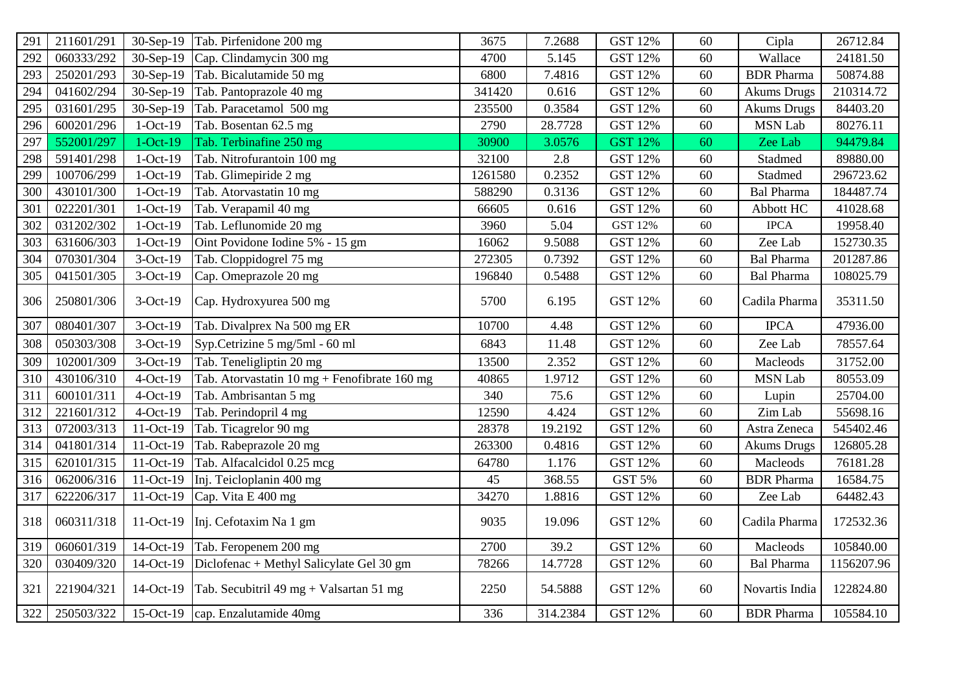| 291 | 211601/291 | 30-Sep-19  | Tab. Pirfenidone 200 mg                                                | 3675    | 7.2688   | <b>GST 12%</b> | 60 | Cipla              | 26712.84   |
|-----|------------|------------|------------------------------------------------------------------------|---------|----------|----------------|----|--------------------|------------|
| 292 | 060333/292 | 30-Sep-19  | Cap. Clindamycin 300 mg                                                | 4700    | 5.145    | <b>GST 12%</b> | 60 | Wallace            | 24181.50   |
| 293 | 250201/293 | 30-Sep-19  | Tab. Bicalutamide 50 mg                                                | 6800    | 7.4816   | GST 12%        | 60 | <b>BDR</b> Pharma  | 50874.88   |
| 294 | 041602/294 | 30-Sep-19  | Tab. Pantoprazole 40 mg                                                | 341420  | 0.616    | <b>GST 12%</b> | 60 | <b>Akums Drugs</b> | 210314.72  |
| 295 | 031601/295 | 30-Sep-19  | Tab. Paracetamol 500 mg                                                | 235500  | 0.3584   | <b>GST 12%</b> | 60 | <b>Akums Drugs</b> | 84403.20   |
| 296 | 600201/296 | $1-Oct-19$ | Tab. Bosentan 62.5 mg                                                  | 2790    | 28.7728  | <b>GST 12%</b> | 60 | <b>MSN Lab</b>     | 80276.11   |
| 297 | 552001/297 | $1-Oct-19$ | Tab. Terbinafine 250 mg                                                | 30900   | 3.0576   | <b>GST 12%</b> | 60 | Zee Lab            | 94479.84   |
| 298 | 591401/298 | $1-Oct-19$ | Tab. Nitrofurantoin 100 mg                                             | 32100   | 2.8      | <b>GST 12%</b> | 60 | Stadmed            | 89880.00   |
| 299 | 100706/299 | $1-Oct-19$ | Tab. Glimepiride 2 mg                                                  | 1261580 | 0.2352   | <b>GST 12%</b> | 60 | Stadmed            | 296723.62  |
| 300 | 430101/300 | $1-Oct-19$ | Tab. Atorvastatin 10 mg                                                | 588290  | 0.3136   | <b>GST 12%</b> | 60 | <b>Bal Pharma</b>  | 184487.74  |
| 301 | 022201/301 | $1-Oct-19$ | Tab. Verapamil 40 mg                                                   | 66605   | 0.616    | <b>GST 12%</b> | 60 | Abbott HC          | 41028.68   |
| 302 | 031202/302 | $1-Oct-19$ | Tab. Leflunomide 20 mg                                                 | 3960    | 5.04     | GST 12%        | 60 | <b>IPCA</b>        | 19958.40   |
| 303 | 631606/303 | $1-Oct-19$ | Oint Povidone Iodine 5% - 15 gm                                        | 16062   | 9.5088   | <b>GST 12%</b> | 60 | Zee Lab            | 152730.35  |
| 304 | 070301/304 | 3-Oct-19   | Tab. Cloppidogrel 75 mg                                                | 272305  | 0.7392   | <b>GST 12%</b> | 60 | <b>Bal Pharma</b>  | 201287.86  |
| 305 | 041501/305 | 3-Oct-19   | Cap. Omeprazole 20 mg                                                  | 196840  | 0.5488   | <b>GST 12%</b> | 60 | Bal Pharma         | 108025.79  |
| 306 | 250801/306 | 3-Oct-19   | Cap. Hydroxyurea 500 mg                                                | 5700    | 6.195    | <b>GST 12%</b> | 60 | Cadila Pharma      | 35311.50   |
| 307 | 080401/307 | 3-Oct-19   | Tab. Divalprex Na 500 mg ER                                            | 10700   | 4.48     | <b>GST 12%</b> | 60 | <b>IPCA</b>        | 47936.00   |
| 308 | 050303/308 | 3-Oct-19   | Syp.Cetrizine 5 mg/5ml - 60 ml                                         | 6843    | 11.48    | <b>GST 12%</b> | 60 | Zee Lab            | 78557.64   |
| 309 | 102001/309 | 3-Oct-19   | Tab. Teneligliptin 20 mg                                               | 13500   | 2.352    | <b>GST 12%</b> | 60 | Macleods           | 31752.00   |
| 310 | 430106/310 | $4-Oct-19$ | Tab. Atorvastatin $10 \text{ mg} + \text{Fenofibrate } 160 \text{ mg}$ | 40865   | 1.9712   | <b>GST 12%</b> | 60 | <b>MSN Lab</b>     | 80553.09   |
| 311 | 600101/311 | 4-Oct-19   | Tab. Ambrisantan 5 mg                                                  | 340     | 75.6     | <b>GST 12%</b> | 60 | Lupin              | 25704.00   |
| 312 | 221601/312 | $4-Oct-19$ | Tab. Perindopril 4 mg                                                  | 12590   | 4.424    | <b>GST 12%</b> | 60 | Zim Lab            | 55698.16   |
| 313 | 072003/313 | 11-Oct-19  | Tab. Ticagrelor 90 mg                                                  | 28378   | 19.2192  | GST 12%        | 60 | Astra Zeneca       | 545402.46  |
| 314 | 041801/314 | 11-Oct-19  | Tab. Rabeprazole 20 mg                                                 | 263300  | 0.4816   | <b>GST 12%</b> | 60 | <b>Akums Drugs</b> | 126805.28  |
| 315 | 620101/315 | 11-Oct-19  | Tab. Alfacalcidol 0.25 mcg                                             | 64780   | 1.176    | <b>GST 12%</b> | 60 | Macleods           | 76181.28   |
| 316 | 062006/316 | 11-Oct-19  | Inj. Teicloplanin 400 mg                                               | 45      | 368.55   | GST 5%         | 60 | <b>BDR</b> Pharma  | 16584.75   |
| 317 | 622206/317 | 11-Oct-19  | Cap. Vita E 400 mg                                                     | 34270   | 1.8816   | <b>GST 12%</b> | 60 | Zee Lab            | 64482.43   |
| 318 | 060311/318 | 11-Oct-19  | Inj. Cefotaxim Na 1 gm                                                 | 9035    | 19.096   | <b>GST 12%</b> | 60 | Cadila Pharma      | 172532.36  |
| 319 | 060601/319 | 14-Oct-19  | Tab. Feropenem 200 mg                                                  | 2700    | 39.2     | <b>GST 12%</b> | 60 | Macleods           | 105840.00  |
| 320 | 030409/320 | 14-Oct-19  | Diclofenac + Methyl Salicylate Gel 30 gm                               | 78266   | 14.7728  | GST 12%        | 60 | <b>Bal Pharma</b>  | 1156207.96 |
| 321 | 221904/321 | 14-Oct-19  | Tab. Secubitril 49 mg + Valsartan 51 mg                                | 2250    | 54.5888  | <b>GST 12%</b> | 60 | Novartis India     | 122824.80  |
| 322 | 250503/322 |            | 15-Oct-19 cap. Enzalutamide 40mg                                       | 336     | 314.2384 | <b>GST 12%</b> | 60 | <b>BDR</b> Pharma  | 105584.10  |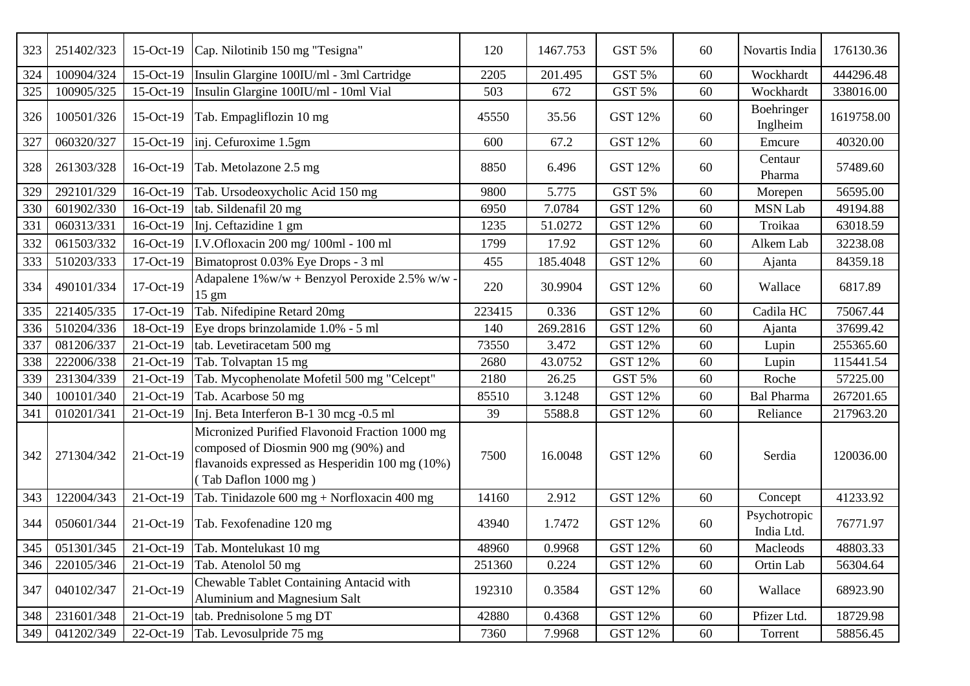| 323 | 251402/323 | 15-Oct-19    | Cap. Nilotinib 150 mg "Tesigna"                                                                                                                                   | 120    | 1467.753 | <b>GST 5%</b>  | 60 | Novartis India             | 176130.36  |
|-----|------------|--------------|-------------------------------------------------------------------------------------------------------------------------------------------------------------------|--------|----------|----------------|----|----------------------------|------------|
| 324 | 100904/324 | 15-Oct-19    | Insulin Glargine 100IU/ml - 3ml Cartridge                                                                                                                         | 2205   | 201.495  | <b>GST 5%</b>  | 60 | Wockhardt                  | 444296.48  |
| 325 | 100905/325 | 15-Oct-19    | Insulin Glargine 100IU/ml - 10ml Vial                                                                                                                             | 503    | 672      | GST 5%         | 60 | Wockhardt                  | 338016.00  |
| 326 | 100501/326 | 15-Oct-19    | Tab. Empagliflozin 10 mg                                                                                                                                          | 45550  | 35.56    | GST 12%        | 60 | Boehringer<br>Inglheim     | 1619758.00 |
| 327 | 060320/327 | 15-Oct-19    | inj. Cefuroxime 1.5gm                                                                                                                                             | 600    | 67.2     | <b>GST 12%</b> | 60 | Emcure                     | 40320.00   |
| 328 | 261303/328 | 16-Oct-19    | Tab. Metolazone 2.5 mg                                                                                                                                            | 8850   | 6.496    | GST 12%        | 60 | Centaur<br>Pharma          | 57489.60   |
| 329 | 292101/329 | 16-Oct-19    | Tab. Ursodeoxycholic Acid 150 mg                                                                                                                                  | 9800   | 5.775    | <b>GST 5%</b>  | 60 | Morepen                    | 56595.00   |
| 330 | 601902/330 | 16-Oct-19    | tab. Sildenafil 20 mg                                                                                                                                             | 6950   | 7.0784   | <b>GST 12%</b> | 60 | <b>MSN Lab</b>             | 49194.88   |
| 331 | 060313/331 | 16-Oct-19    | Inj. Ceftazidine 1 gm                                                                                                                                             | 1235   | 51.0272  | <b>GST 12%</b> | 60 | Troikaa                    | 63018.59   |
| 332 | 061503/332 | 16-Oct-19    | I.V.Ofloxacin 200 mg/ 100ml - 100 ml                                                                                                                              | 1799   | 17.92    | <b>GST 12%</b> | 60 | Alkem Lab                  | 32238.08   |
| 333 | 510203/333 | 17-Oct-19    | Bimatoprost 0.03% Eye Drops - 3 ml                                                                                                                                | 455    | 185.4048 | <b>GST 12%</b> | 60 | Ajanta                     | 84359.18   |
| 334 | 490101/334 | 17-Oct-19    | Adapalene $1\%$ w/w + Benzyol Peroxide 2.5% w/w ·<br>$15 \text{ gm}$                                                                                              | 220    | 30.9904  | GST 12%        | 60 | Wallace                    | 6817.89    |
| 335 | 221405/335 | $17$ -Oct-19 | Tab. Nifedipine Retard 20mg                                                                                                                                       | 223415 | 0.336    | GST 12%        | 60 | Cadila HC                  | 75067.44   |
| 336 | 510204/336 | 18-Oct-19    | Eye drops brinzolamide 1.0% - 5 ml                                                                                                                                | 140    | 269.2816 | <b>GST 12%</b> | 60 | Ajanta                     | 37699.42   |
| 337 | 081206/337 | 21-Oct-19    | tab. Levetiracetam 500 mg                                                                                                                                         | 73550  | 3.472    | <b>GST 12%</b> | 60 | Lupin                      | 255365.60  |
| 338 | 222006/338 | 21-Oct-19    | Tab. Tolvaptan 15 mg                                                                                                                                              | 2680   | 43.0752  | <b>GST 12%</b> | 60 | Lupin                      | 115441.54  |
| 339 | 231304/339 | 21-Oct-19    | Tab. Mycophenolate Mofetil 500 mg "Celcept"                                                                                                                       | 2180   | 26.25    | <b>GST 5%</b>  | 60 | Roche                      | 57225.00   |
| 340 | 100101/340 | $21-Oct-19$  | Tab. Acarbose 50 mg                                                                                                                                               | 85510  | 3.1248   | <b>GST 12%</b> | 60 | <b>Bal Pharma</b>          | 267201.65  |
| 341 | 010201/341 | 21-Oct-19    | Inj. Beta Interferon B-1 30 mcg -0.5 ml                                                                                                                           | 39     | 5588.8   | <b>GST 12%</b> | 60 | Reliance                   | 217963.20  |
| 342 | 271304/342 | 21-Oct-19    | Micronized Purified Flavonoid Fraction 1000 mg<br>composed of Diosmin 900 mg (90%) and<br>flavanoids expressed as Hesperidin 100 mg (10%)<br>(Tab Daflon 1000 mg) | 7500   | 16.0048  | GST 12%        | 60 | Serdia                     | 120036.00  |
| 343 | 122004/343 | 21-Oct-19    | Tab. Tinidazole 600 mg + Norfloxacin 400 mg                                                                                                                       | 14160  | 2.912    | <b>GST 12%</b> | 60 | Concept                    | 41233.92   |
| 344 | 050601/344 | 21-Oct-19    | Tab. Fexofenadine 120 mg                                                                                                                                          | 43940  | 1.7472   | <b>GST 12%</b> | 60 | Psychotropic<br>India Ltd. | 76771.97   |
|     |            |              | 345   051301/345   21-Oct-19   Tab. Montelukast 10 mg                                                                                                             | 48960  | 0.9968   | <b>GST 12%</b> | 60 | Macleods                   | 48803.33   |
| 346 | 220105/346 | $21-Oct-19$  | Tab. Atenolol 50 mg                                                                                                                                               | 251360 | 0.224    | <b>GST 12%</b> | 60 | Ortin Lab                  | 56304.64   |
| 347 | 040102/347 | 21-Oct-19    | Chewable Tablet Containing Antacid with<br>Aluminium and Magnesium Salt                                                                                           | 192310 | 0.3584   | <b>GST 12%</b> | 60 | Wallace                    | 68923.90   |
| 348 | 231601/348 | $21-Oct-19$  | tab. Prednisolone 5 mg DT                                                                                                                                         | 42880  | 0.4368   | GST 12%        | 60 | Pfizer Ltd.                | 18729.98   |
| 349 | 041202/349 | $22-Oct-19$  | Tab. Levosulpride 75 mg                                                                                                                                           | 7360   | 7.9968   | GST 12%        | 60 | Torrent                    | 58856.45   |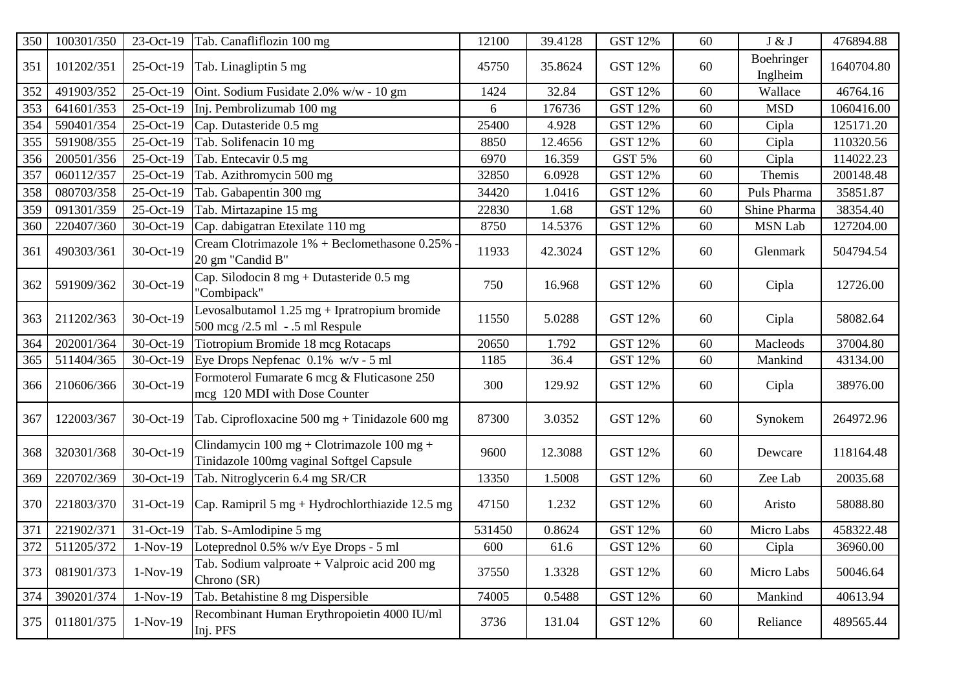| 350 | 100301/350 | 23-Oct-19    | Tab. Canafliflozin 100 mg                                                              | 12100  | 39.4128 | <b>GST 12%</b> | 60 | J & J                  | 476894.88  |
|-----|------------|--------------|----------------------------------------------------------------------------------------|--------|---------|----------------|----|------------------------|------------|
| 351 | 101202/351 | 25-Oct-19    | Tab. Linagliptin 5 mg                                                                  | 45750  | 35.8624 | GST 12%        | 60 | Boehringer<br>Inglheim | 1640704.80 |
| 352 | 491903/352 | 25-Oct-19    | Oint. Sodium Fusidate 2.0% w/w - 10 gm                                                 | 1424   | 32.84   | <b>GST 12%</b> | 60 | Wallace                | 46764.16   |
| 353 | 641601/353 | 25-Oct-19    | Inj. Pembrolizumab 100 mg                                                              | 6      | 176736  | <b>GST 12%</b> | 60 | <b>MSD</b>             | 1060416.00 |
| 354 | 590401/354 | 25-Oct-19    | Cap. Dutasteride 0.5 mg                                                                | 25400  | 4.928   | <b>GST 12%</b> | 60 | Cipla                  | 125171.20  |
| 355 | 591908/355 | 25-Oct-19    | Tab. Solifenacin 10 mg                                                                 | 8850   | 12.4656 | <b>GST 12%</b> | 60 | Cipla                  | 110320.56  |
| 356 | 200501/356 | $25$ -Oct-19 | Tab. Entecavir 0.5 mg                                                                  | 6970   | 16.359  | GST 5%         | 60 | Cipla                  | 114022.23  |
| 357 | 060112/357 | 25-Oct-19    | Tab. Azithromycin 500 mg                                                               | 32850  | 6.0928  | <b>GST 12%</b> | 60 | Themis                 | 200148.48  |
| 358 | 080703/358 | 25-Oct-19    | Tab. Gabapentin 300 mg                                                                 | 34420  | 1.0416  | <b>GST 12%</b> | 60 | Puls Pharma            | 35851.87   |
| 359 | 091301/359 | 25-Oct-19    | Tab. Mirtazapine 15 mg                                                                 | 22830  | 1.68    | <b>GST 12%</b> | 60 | Shine Pharma           | 38354.40   |
| 360 | 220407/360 | 30-Oct-19    | Cap. dabigatran Etexilate 110 mg                                                       | 8750   | 14.5376 | <b>GST 12%</b> | 60 | <b>MSN Lab</b>         | 127204.00  |
| 361 | 490303/361 | 30-Oct-19    | Cream Clotrimazole 1% + Beclomethasone 0.25%<br>20 gm "Candid B"                       | 11933  | 42.3024 | <b>GST 12%</b> | 60 | Glenmark               | 504794.54  |
| 362 | 591909/362 | 30-Oct-19    | Cap. Silodocin 8 mg + Dutasteride 0.5 mg<br>"Combipack"                                | 750    | 16.968  | GST 12%        | 60 | Cipla                  | 12726.00   |
| 363 | 211202/363 | 30-Oct-19    | Levosalbutamol $1.25$ mg + Ipratropium bromide<br>500 mcg /2.5 ml - .5 ml Respule      | 11550  | 5.0288  | <b>GST 12%</b> | 60 | Cipla                  | 58082.64   |
| 364 | 202001/364 | 30-Oct-19    | Tiotropium Bromide 18 mcg Rotacaps                                                     | 20650  | 1.792   | <b>GST 12%</b> | 60 | Macleods               | 37004.80   |
| 365 | 511404/365 | 30-Oct-19    | Eye Drops Nepfenac $0.1\%$ w/v - 5 ml                                                  | 1185   | 36.4    | <b>GST 12%</b> | 60 | Mankind                | 43134.00   |
| 366 | 210606/366 | 30-Oct-19    | Formoterol Fumarate 6 mcg & Fluticasone 250<br>mcg 120 MDI with Dose Counter           | 300    | 129.92  | <b>GST 12%</b> | 60 | Cipla                  | 38976.00   |
| 367 | 122003/367 | 30-Oct-19    | Tab. Ciprofloxacine $500 \text{ mg} + \text{Tindazole } 600 \text{ mg}$                | 87300  | 3.0352  | <b>GST 12%</b> | 60 | Synokem                | 264972.96  |
| 368 | 320301/368 | 30-Oct-19    | Clindamycin 100 mg + Clotrimazole 100 mg +<br>Tinidazole 100mg vaginal Softgel Capsule | 9600   | 12.3088 | GST 12%        | 60 | Dewcare                | 118164.48  |
| 369 | 220702/369 | 30-Oct-19    | Tab. Nitroglycerin 6.4 mg SR/CR                                                        | 13350  | 1.5008  | <b>GST 12%</b> | 60 | Zee Lab                | 20035.68   |
| 370 | 221803/370 | 31-Oct-19    | Cap. Ramipril 5 mg + Hydrochlorthiazide 12.5 mg                                        | 47150  | 1.232   | <b>GST 12%</b> | 60 | Aristo                 | 58088.80   |
| 371 | 221902/371 | 31-Oct-19    | Tab. S-Amlodipine 5 mg                                                                 | 531450 | 0.8624  | <b>GST 12%</b> | 60 | Micro Labs             | 458322.48  |
| 372 | 511205/372 |              | 1-Nov-19  Loteprednol 0.5% w/v Eye Drops - 5 ml                                        | 600    | 61.6    | <b>GST 12%</b> | 60 | Cipla                  | 36960.00   |
| 373 | 081901/373 | $1-Nov-19$   | Tab. Sodium valproate $+$ Valproic acid 200 mg<br>Chrono (SR)                          | 37550  | 1.3328  | <b>GST 12%</b> | 60 | Micro Labs             | 50046.64   |
| 374 | 390201/374 | $1-Nov-19$   | Tab. Betahistine 8 mg Dispersible                                                      | 74005  | 0.5488  | <b>GST 12%</b> | 60 | Mankind                | 40613.94   |
| 375 | 011801/375 | $1-Nov-19$   | Recombinant Human Erythropoietin 4000 IU/ml<br>Inj. PFS                                | 3736   | 131.04  | <b>GST 12%</b> | 60 | Reliance               | 489565.44  |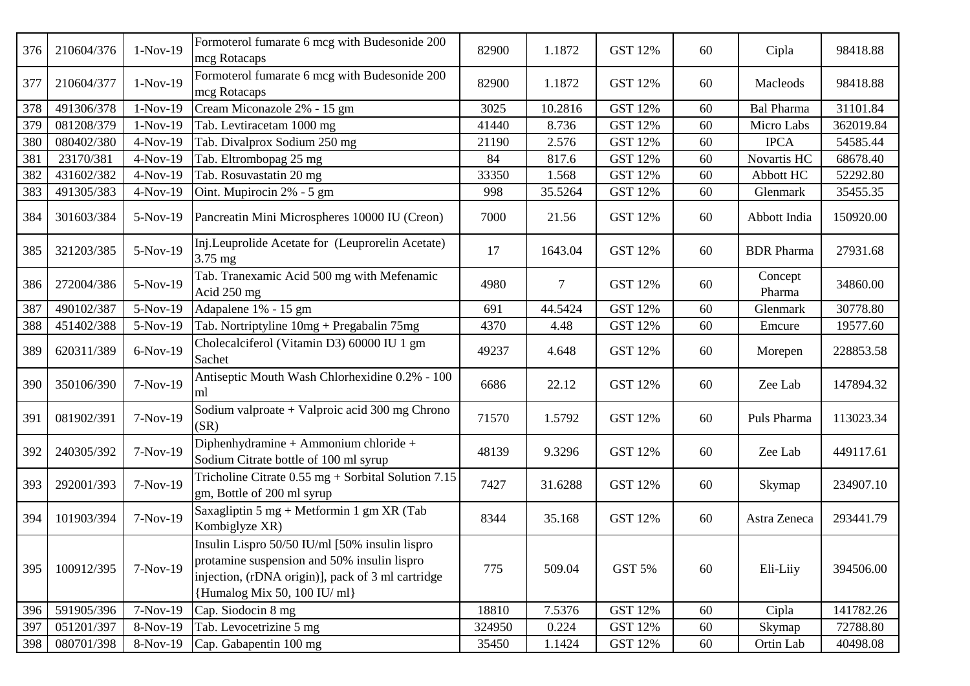| 376 | 210604/376 | $1-Nov-19$ | Formoterol fumarate 6 mcg with Budesonide 200<br>mcg Rotacaps                                                                                                                      | 82900  | 1.1872         | <b>GST 12%</b> | 60 | Cipla             | 98418.88  |
|-----|------------|------------|------------------------------------------------------------------------------------------------------------------------------------------------------------------------------------|--------|----------------|----------------|----|-------------------|-----------|
| 377 | 210604/377 | $1-Nov-19$ | Formoterol fumarate 6 mcg with Budesonide 200<br>mcg Rotacaps                                                                                                                      | 82900  | 1.1872         | <b>GST 12%</b> | 60 | Macleods          | 98418.88  |
| 378 | 491306/378 | $1-Nov-19$ | Cream Miconazole 2% - 15 gm                                                                                                                                                        | 3025   | 10.2816        | <b>GST 12%</b> | 60 | <b>Bal Pharma</b> | 31101.84  |
| 379 | 081208/379 | $1-Nov-19$ | Tab. Levtiracetam 1000 mg                                                                                                                                                          | 41440  | 8.736          | <b>GST 12%</b> | 60 | Micro Labs        | 362019.84 |
| 380 | 080402/380 | 4-Nov-19   | Tab. Divalprox Sodium 250 mg                                                                                                                                                       | 21190  | 2.576          | <b>GST 12%</b> | 60 | <b>IPCA</b>       | 54585.44  |
| 381 | 23170/381  | 4-Nov-19   | Tab. Eltrombopag 25 mg                                                                                                                                                             | 84     | 817.6          | <b>GST 12%</b> | 60 | Novartis HC       | 68678.40  |
| 382 | 431602/382 | 4-Nov-19   | Tab. Rosuvastatin 20 mg                                                                                                                                                            | 33350  | 1.568          | <b>GST 12%</b> | 60 | Abbott HC         | 52292.80  |
| 383 | 491305/383 | 4-Nov-19   | Oint. Mupirocin 2% - 5 gm                                                                                                                                                          | 998    | 35.5264        | <b>GST 12%</b> | 60 | Glenmark          | 35455.35  |
| 384 | 301603/384 | 5-Nov-19   | Pancreatin Mini Microspheres 10000 IU (Creon)                                                                                                                                      | 7000   | 21.56          | <b>GST 12%</b> | 60 | Abbott India      | 150920.00 |
| 385 | 321203/385 | 5-Nov-19   | Inj.Leuprolide Acetate for (Leuprorelin Acetate)<br>3.75 mg                                                                                                                        | 17     | 1643.04        | <b>GST 12%</b> | 60 | <b>BDR</b> Pharma | 27931.68  |
| 386 | 272004/386 | 5-Nov-19   | Tab. Tranexamic Acid 500 mg with Mefenamic<br>Acid 250 mg                                                                                                                          | 4980   | $\overline{7}$ | <b>GST 12%</b> | 60 | Concept<br>Pharma | 34860.00  |
| 387 | 490102/387 | 5-Nov-19   | Adapalene 1% - 15 gm                                                                                                                                                               | 691    | 44.5424        | <b>GST 12%</b> | 60 | Glenmark          | 30778.80  |
| 388 | 451402/388 | 5-Nov-19   | Tab. Nortriptyline 10mg + Pregabalin 75mg                                                                                                                                          | 4370   | 4.48           | <b>GST 12%</b> | 60 | Emcure            | 19577.60  |
| 389 | 620311/389 | 6-Nov-19   | Cholecalciferol (Vitamin D3) 60000 IU 1 gm<br>Sachet                                                                                                                               | 49237  | 4.648          | <b>GST 12%</b> | 60 | Morepen           | 228853.58 |
| 390 | 350106/390 | $7-Nov-19$ | Antiseptic Mouth Wash Chlorhexidine 0.2% - 100<br>ml                                                                                                                               | 6686   | 22.12          | <b>GST 12%</b> | 60 | Zee Lab           | 147894.32 |
| 391 | 081902/391 | 7-Nov-19   | Sodium valproate + Valproic acid 300 mg Chrono<br>(SR)                                                                                                                             | 71570  | 1.5792         | <b>GST 12%</b> | 60 | Puls Pharma       | 113023.34 |
| 392 | 240305/392 | 7-Nov-19   | Diphenhydramine + Ammonium chloride +<br>Sodium Citrate bottle of 100 ml syrup                                                                                                     | 48139  | 9.3296         | <b>GST 12%</b> | 60 | Zee Lab           | 449117.61 |
| 393 | 292001/393 | $7-Nov-19$ | Tricholine Citrate 0.55 mg + Sorbital Solution 7.15<br>gm, Bottle of 200 ml syrup                                                                                                  | 7427   | 31.6288        | <b>GST 12%</b> | 60 | Skymap            | 234907.10 |
| 394 | 101903/394 | $7-Nov-19$ | Saxagliptin 5 mg + Metformin 1 gm XR (Tab<br>Kombiglyze XR)                                                                                                                        | 8344   | 35.168         | <b>GST 12%</b> | 60 | Astra Zeneca      | 293441.79 |
| 395 | 100912/395 | 7-Nov-19   | Insulin Lispro 50/50 IU/ml [50% insulin lispro<br>protamine suspension and 50% insulin lispro<br>injection, (rDNA origin)], pack of 3 ml cartridge<br>{Humalog Mix 50, 100 IU/ ml} | 775    | 509.04         | GST 5%         | 60 | Eli-Liiy          | 394506.00 |
| 396 | 591905/396 | 7-Nov-19   | Cap. Siodocin 8 mg                                                                                                                                                                 | 18810  | 7.5376         | <b>GST 12%</b> | 60 | Cipla             | 141782.26 |
| 397 | 051201/397 | 8-Nov-19   | Tab. Levocetrizine 5 mg                                                                                                                                                            | 324950 | 0.224          | GST 12%        | 60 | Skymap            | 72788.80  |
| 398 | 080701/398 | 8-Nov-19   | Cap. Gabapentin 100 mg                                                                                                                                                             | 35450  | 1.1424         | <b>GST 12%</b> | 60 | Ortin Lab         | 40498.08  |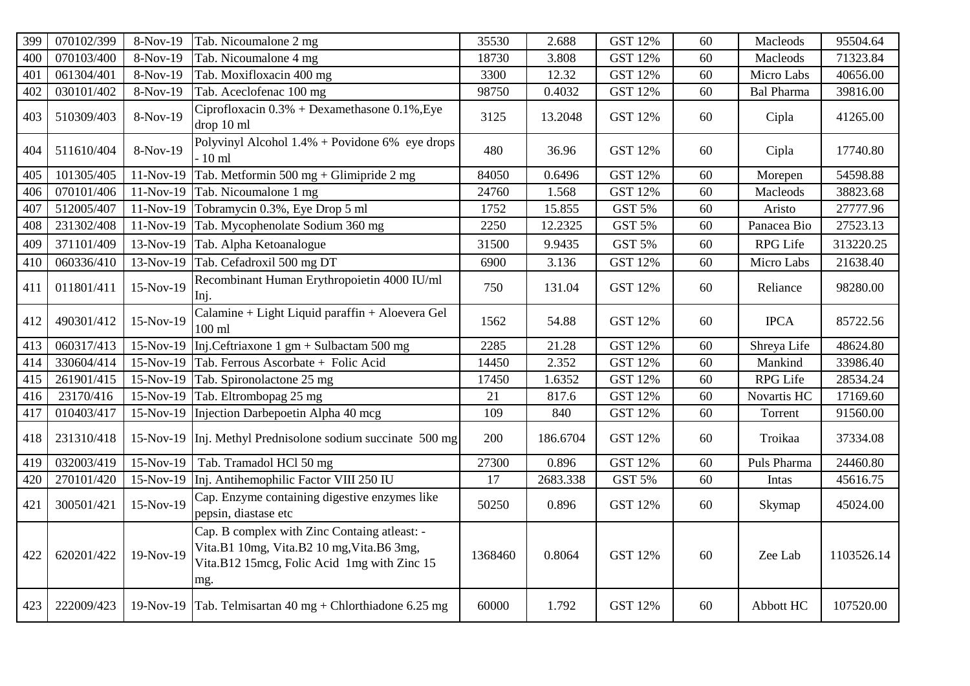| 399 | 070102/399 | 8-Nov-19  | Tab. Nicoumalone 2 mg                                                                                                                           | 35530   | 2.688    | <b>GST 12%</b> | 60 | Macleods          | 95504.64   |
|-----|------------|-----------|-------------------------------------------------------------------------------------------------------------------------------------------------|---------|----------|----------------|----|-------------------|------------|
| 400 | 070103/400 | 8-Nov-19  | Tab. Nicoumalone 4 mg                                                                                                                           | 18730   | 3.808    | <b>GST 12%</b> | 60 | Macleods          | 71323.84   |
| 401 | 061304/401 | 8-Nov-19  | Tab. Moxifloxacin 400 mg                                                                                                                        | 3300    | 12.32    | <b>GST 12%</b> | 60 | Micro Labs        | 40656.00   |
| 402 | 030101/402 | 8-Nov-19  | Tab. Aceclofenac 100 mg                                                                                                                         | 98750   | 0.4032   | <b>GST 12%</b> | 60 | <b>Bal Pharma</b> | 39816.00   |
| 403 | 510309/403 | 8-Nov-19  | Ciprofloxacin $0.3%$ + Dexamethasone 0.1%, Eye<br>drop 10 ml                                                                                    | 3125    | 13.2048  | <b>GST 12%</b> | 60 | Cipla             | 41265.00   |
| 404 | 511610/404 | 8-Nov-19  | Polyvinyl Alcohol $1.4%$ + Povidone 6% eye drops<br>$-10$ ml                                                                                    | 480     | 36.96    | <b>GST 12%</b> | 60 | Cipla             | 17740.80   |
| 405 | 101305/405 | 11-Nov-19 | Tab. Metformin 500 mg + Glimipride 2 mg                                                                                                         | 84050   | 0.6496   | <b>GST 12%</b> | 60 | Morepen           | 54598.88   |
| 406 | 070101/406 | 11-Nov-19 | Tab. Nicoumalone 1 mg                                                                                                                           | 24760   | 1.568    | <b>GST 12%</b> | 60 | Macleods          | 38823.68   |
| 407 | 512005/407 | 11-Nov-19 | Tobramycin 0.3%, Eye Drop 5 ml                                                                                                                  | 1752    | 15.855   | GST 5%         | 60 | Aristo            | 27777.96   |
| 408 | 231302/408 | 11-Nov-19 | Tab. Mycophenolate Sodium 360 mg                                                                                                                | 2250    | 12.2325  | GST 5%         | 60 | Panacea Bio       | 27523.13   |
| 409 | 371101/409 | 13-Nov-19 | Tab. Alpha Ketoanalogue                                                                                                                         | 31500   | 9.9435   | GST 5%         | 60 | RPG Life          | 313220.25  |
| 410 | 060336/410 | 13-Nov-19 | Tab. Cefadroxil 500 mg DT                                                                                                                       | 6900    | 3.136    | <b>GST 12%</b> | 60 | Micro Labs        | 21638.40   |
| 411 | 011801/411 | 15-Nov-19 | Recombinant Human Erythropoietin 4000 IU/ml<br>Inj.                                                                                             | 750     | 131.04   | <b>GST 12%</b> | 60 | Reliance          | 98280.00   |
| 412 | 490301/412 | 15-Nov-19 | Calamine + Light Liquid paraffin + Aloevera Gel<br>$100$ ml                                                                                     | 1562    | 54.88    | <b>GST 12%</b> | 60 | <b>IPCA</b>       | 85722.56   |
| 413 | 060317/413 | 15-Nov-19 | Inj.Ceftriaxone 1 gm + Sulbactam 500 mg                                                                                                         | 2285    | 21.28    | <b>GST 12%</b> | 60 | Shreya Life       | 48624.80   |
| 414 | 330604/414 | 15-Nov-19 | Tab. Ferrous Ascorbate + Folic Acid                                                                                                             | 14450   | 2.352    | <b>GST 12%</b> | 60 | Mankind           | 33986.40   |
| 415 | 261901/415 | 15-Nov-19 | Tab. Spironolactone 25 mg                                                                                                                       | 17450   | 1.6352   | <b>GST 12%</b> | 60 | RPG Life          | 28534.24   |
| 416 | 23170/416  | 15-Nov-19 | Tab. Eltrombopag 25 mg                                                                                                                          | 21      | 817.6    | <b>GST 12%</b> | 60 | Novartis HC       | 17169.60   |
| 417 | 010403/417 | 15-Nov-19 | Injection Darbepoetin Alpha 40 mcg                                                                                                              | 109     | 840      | <b>GST 12%</b> | 60 | Torrent           | 91560.00   |
| 418 | 231310/418 | 15-Nov-19 | Inj. Methyl Prednisolone sodium succinate 500 mg                                                                                                | 200     | 186.6704 | <b>GST 12%</b> | 60 | Troikaa           | 37334.08   |
| 419 | 032003/419 | 15-Nov-19 | Tab. Tramadol HCl 50 mg                                                                                                                         | 27300   | 0.896    | <b>GST 12%</b> | 60 | Puls Pharma       | 24460.80   |
| 420 | 270101/420 | 15-Nov-19 | Inj. Antihemophilic Factor VIII 250 IU                                                                                                          | 17      | 2683.338 | GST 5%         | 60 | Intas             | 45616.75   |
| 421 | 300501/421 | 15-Nov-19 | Cap. Enzyme containing digestive enzymes like<br>pepsin, diastase etc                                                                           | 50250   | 0.896    | <b>GST 12%</b> | 60 | Skymap            | 45024.00   |
| 422 | 620201/422 | 19-Nov-19 | Cap. B complex with Zinc Containg atleast: -<br>Vita.B1 10mg, Vita.B2 10 mg, Vita.B6 3mg,<br>Vita.B12 15mcg, Folic Acid 1mg with Zinc 15<br>mg. | 1368460 | 0.8064   | <b>GST 12%</b> | 60 | Zee Lab           | 1103526.14 |
| 423 | 222009/423 |           | 19-Nov-19   Tab. Telmisartan 40 mg + Chlorthiadone 6.25 mg                                                                                      | 60000   | 1.792    | <b>GST 12%</b> | 60 | Abbott HC         | 107520.00  |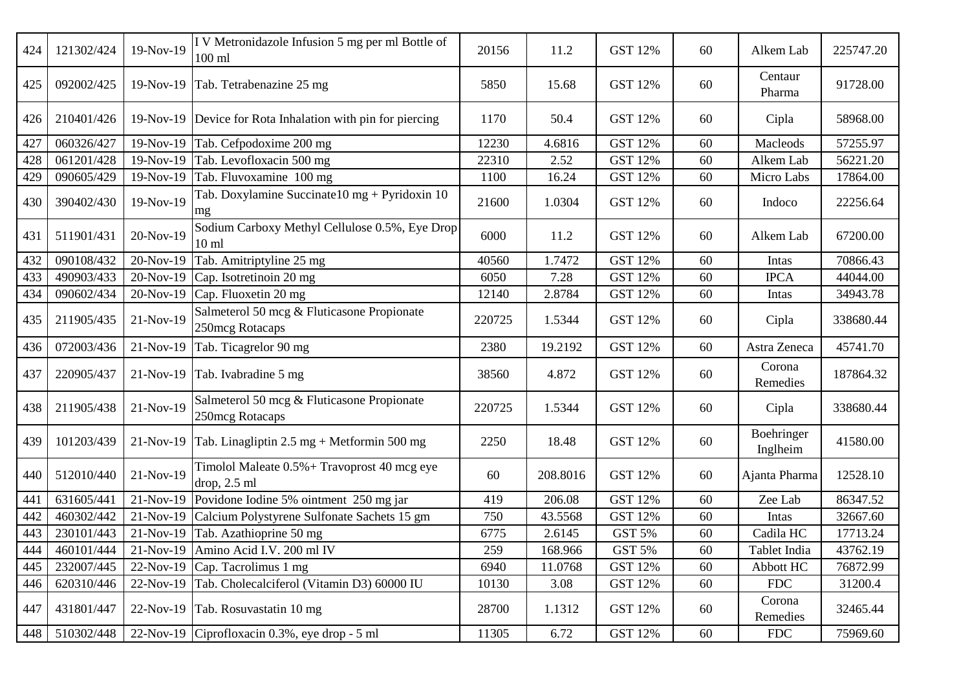| 424 | 121302/424 | 19-Nov-19 | I V Metronidazole Infusion 5 mg per ml Bottle of<br>$100$ ml          | 20156  | 11.2     | <b>GST 12%</b> | 60 | Alkem Lab              | 225747.20 |
|-----|------------|-----------|-----------------------------------------------------------------------|--------|----------|----------------|----|------------------------|-----------|
| 425 | 092002/425 | 19-Nov-19 | Tab. Tetrabenazine 25 mg                                              | 5850   | 15.68    | <b>GST 12%</b> | 60 | Centaur<br>Pharma      | 91728.00  |
| 426 | 210401/426 | 19-Nov-19 | Device for Rota Inhalation with pin for piercing                      | 1170   | 50.4     | <b>GST 12%</b> | 60 | Cipla                  | 58968.00  |
| 427 | 060326/427 | 19-Nov-19 | Tab. Cefpodoxime 200 mg                                               | 12230  | 4.6816   | <b>GST 12%</b> | 60 | Macleods               | 57255.97  |
| 428 | 061201/428 | 19-Nov-19 | Tab. Levofloxacin 500 mg                                              | 22310  | 2.52     | <b>GST 12%</b> | 60 | Alkem Lab              | 56221.20  |
| 429 | 090605/429 | 19-Nov-19 | Tab. Fluvoxamine 100 mg                                               | 1100   | 16.24    | <b>GST 12%</b> | 60 | Micro Labs             | 17864.00  |
| 430 | 390402/430 | 19-Nov-19 | Tab. Doxylamine Succinate $10 \text{ mg} + \text{Pyridoxin} 10$<br>mg | 21600  | 1.0304   | <b>GST 12%</b> | 60 | Indoco                 | 22256.64  |
| 431 | 511901/431 | 20-Nov-19 | Sodium Carboxy Methyl Cellulose 0.5%, Eye Drop<br>10 <sub>ml</sub>    | 6000   | 11.2     | <b>GST 12%</b> | 60 | Alkem Lab              | 67200.00  |
| 432 | 090108/432 | 20-Nov-19 | Tab. Amitriptyline 25 mg                                              | 40560  | 1.7472   | <b>GST 12%</b> | 60 | Intas                  | 70866.43  |
| 433 | 490903/433 | 20-Nov-19 | Cap. Isotretinoin 20 mg                                               | 6050   | 7.28     | <b>GST 12%</b> | 60 | <b>IPCA</b>            | 44044.00  |
| 434 | 090602/434 | 20-Nov-19 | Cap. Fluoxetin 20 mg                                                  | 12140  | 2.8784   | <b>GST 12%</b> | 60 | Intas                  | 34943.78  |
| 435 | 211905/435 | 21-Nov-19 | Salmeterol 50 mcg & Fluticasone Propionate<br>250mcg Rotacaps         | 220725 | 1.5344   | <b>GST 12%</b> | 60 | Cipla                  | 338680.44 |
| 436 | 072003/436 | 21-Nov-19 | Tab. Ticagrelor 90 mg                                                 | 2380   | 19.2192  | <b>GST 12%</b> | 60 | Astra Zeneca           | 45741.70  |
| 437 | 220905/437 | 21-Nov-19 | Tab. Ivabradine 5 mg                                                  | 38560  | 4.872    | <b>GST 12%</b> | 60 | Corona<br>Remedies     | 187864.32 |
| 438 | 211905/438 | 21-Nov-19 | Salmeterol 50 mcg & Fluticasone Propionate<br>250mcg Rotacaps         | 220725 | 1.5344   | <b>GST 12%</b> | 60 | Cipla                  | 338680.44 |
| 439 | 101203/439 | 21-Nov-19 | Tab. Linagliptin $2.5 \text{ mg} + \text{Metformin } 500 \text{ mg}$  | 2250   | 18.48    | <b>GST 12%</b> | 60 | Boehringer<br>Inglheim | 41580.00  |
| 440 | 512010/440 | 21-Nov-19 | Timolol Maleate 0.5% + Travoprost 40 mcg eye<br>drop, 2.5 ml          | 60     | 208.8016 | <b>GST 12%</b> | 60 | Ajanta Pharma          | 12528.10  |
| 441 | 631605/441 | 21-Nov-19 | Povidone Iodine 5% ointment 250 mg jar                                | 419    | 206.08   | <b>GST 12%</b> | 60 | Zee Lab                | 86347.52  |
| 442 | 460302/442 | 21-Nov-19 | Calcium Polystyrene Sulfonate Sachets 15 gm                           | 750    | 43.5568  | <b>GST 12%</b> | 60 | Intas                  | 32667.60  |
| 443 | 230101/443 | 21-Nov-19 | Tab. Azathioprine 50 mg                                               | 6775   | 2.6145   | GST 5%         | 60 | Cadila HC              | 17713.24  |
| 444 |            |           | 460101/444 21-Nov-19 Amino Acid I.V. 200 ml IV                        | 259    | 168.966  | <b>GST 5%</b>  | 60 | Tablet India           | 43762.19  |
| 445 | 232007/445 | 22-Nov-19 | Cap. Tacrolimus 1 mg                                                  | 6940   | 11.0768  | <b>GST 12%</b> | 60 | Abbott HC              | 76872.99  |
| 446 | 620310/446 | 22-Nov-19 | Tab. Cholecalciferol (Vitamin D3) 60000 IU                            | 10130  | 3.08     | GST 12%        | 60 | <b>FDC</b>             | 31200.4   |
| 447 | 431801/447 | 22-Nov-19 | Tab. Rosuvastatin 10 mg                                               | 28700  | 1.1312   | <b>GST 12%</b> | 60 | Corona<br>Remedies     | 32465.44  |
| 448 | 510302/448 | 22-Nov-19 | Ciprofloxacin $0.3\%$ , eye drop - 5 ml                               | 11305  | 6.72     | <b>GST 12%</b> | 60 | <b>FDC</b>             | 75969.60  |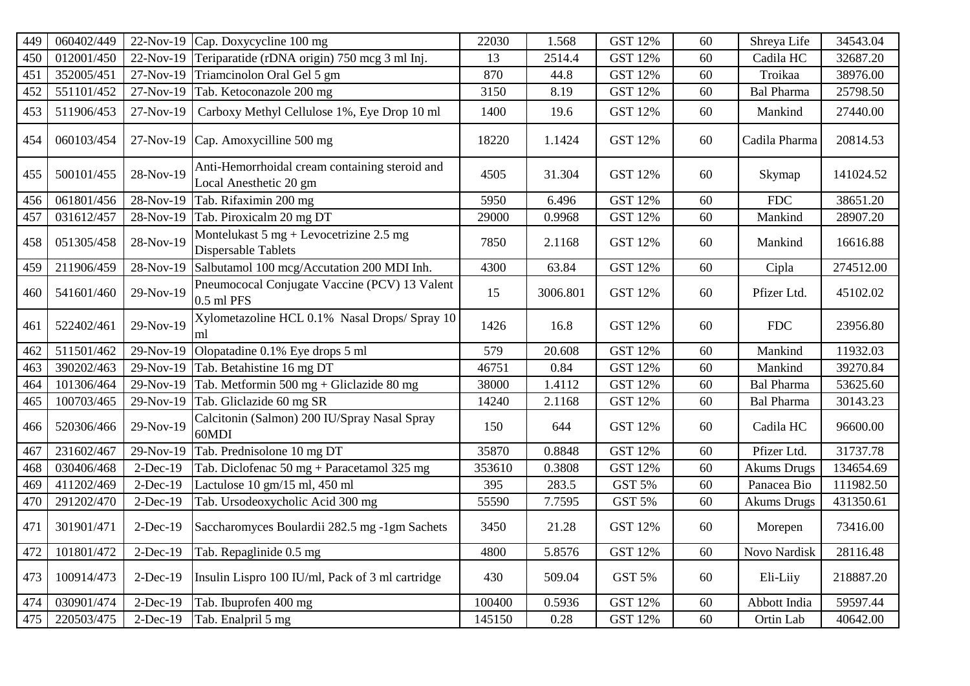| 449 | 060402/449 | 22-Nov-19   | Cap. Doxycycline 100 mg                                                                  | 22030  | 1.568    | <b>GST 12%</b> | 60 | Shreya Life        | 34543.04  |
|-----|------------|-------------|------------------------------------------------------------------------------------------|--------|----------|----------------|----|--------------------|-----------|
| 450 | 012001/450 | 22-Nov-19   | Teriparatide (rDNA origin) 750 mcg 3 ml Inj.                                             | 13     | 2514.4   | <b>GST 12%</b> | 60 | Cadila HC          | 32687.20  |
| 451 | 352005/451 | 27-Nov-19   | Triamcinolon Oral Gel 5 gm                                                               | 870    | 44.8     | <b>GST 12%</b> | 60 | Troikaa            | 38976.00  |
| 452 | 551101/452 | 27-Nov-19   | Tab. Ketoconazole 200 mg                                                                 | 3150   | 8.19     | <b>GST 12%</b> | 60 | <b>Bal Pharma</b>  | 25798.50  |
| 453 | 511906/453 | 27-Nov-19   | Carboxy Methyl Cellulose 1%, Eye Drop 10 ml                                              | 1400   | 19.6     | <b>GST 12%</b> | 60 | Mankind            | 27440.00  |
| 454 | 060103/454 | 27-Nov-19   | Cap. Amoxycilline 500 mg                                                                 | 18220  | 1.1424   | <b>GST 12%</b> | 60 | Cadila Pharma      | 20814.53  |
| 455 | 500101/455 | 28-Nov-19   | Anti-Hemorrhoidal cream containing steroid and<br>Local Anesthetic 20 gm                 | 4505   | 31.304   | <b>GST 12%</b> | 60 | Skymap             | 141024.52 |
| 456 | 061801/456 | 28-Nov-19   | Tab. Rifaximin 200 mg                                                                    | 5950   | 6.496    | <b>GST 12%</b> | 60 | ${\rm FDC}$        | 38651.20  |
| 457 | 031612/457 | 28-Nov-19   | Tab. Piroxicalm 20 mg DT                                                                 | 29000  | 0.9968   | <b>GST 12%</b> | 60 | Mankind            | 28907.20  |
| 458 | 051305/458 | 28-Nov-19   | Montelukast $5 \text{ mg} + \text{Levocetrizine } 2.5 \text{ mg}$<br>Dispersable Tablets | 7850   | 2.1168   | <b>GST 12%</b> | 60 | Mankind            | 16616.88  |
| 459 | 211906/459 | 28-Nov-19   | Salbutamol 100 mcg/Accutation 200 MDI Inh.                                               | 4300   | 63.84    | <b>GST 12%</b> | 60 | Cipla              | 274512.00 |
| 460 | 541601/460 | 29-Nov-19   | Pneumococal Conjugate Vaccine (PCV) 13 Valent<br>$0.5$ ml PFS                            | 15     | 3006.801 | <b>GST 12%</b> | 60 | Pfizer Ltd.        | 45102.02  |
| 461 | 522402/461 | 29-Nov-19   | Xylometazoline HCL 0.1% Nasal Drops/ Spray 10<br>ml                                      | 1426   | 16.8     | <b>GST 12%</b> | 60 | <b>FDC</b>         | 23956.80  |
| 462 | 511501/462 | 29-Nov-19   | Olopatadine 0.1% Eye drops 5 ml                                                          | 579    | 20.608   | <b>GST 12%</b> | 60 | Mankind            | 11932.03  |
| 463 | 390202/463 | 29-Nov-19   | Tab. Betahistine 16 mg DT                                                                | 46751  | 0.84     | <b>GST 12%</b> | 60 | Mankind            | 39270.84  |
| 464 | 101306/464 | 29-Nov-19   | Tab. Metformin 500 mg + Gliclazide 80 mg                                                 | 38000  | 1.4112   | <b>GST 12%</b> | 60 | <b>Bal Pharma</b>  | 53625.60  |
| 465 | 100703/465 | 29-Nov-19   | Tab. Gliclazide 60 mg SR                                                                 | 14240  | 2.1168   | <b>GST 12%</b> | 60 | <b>Bal Pharma</b>  | 30143.23  |
| 466 | 520306/466 | 29-Nov-19   | Calcitonin (Salmon) 200 IU/Spray Nasal Spray<br>60MDI                                    | 150    | 644      | <b>GST 12%</b> | 60 | Cadila HC          | 96600.00  |
| 467 | 231602/467 | 29-Nov-19   | Tab. Prednisolone 10 mg DT                                                               | 35870  | 0.8848   | <b>GST 12%</b> | 60 | Pfizer Ltd.        | 31737.78  |
| 468 | 030406/468 | $2$ -Dec-19 | Tab. Diclofenac $50 \text{ mg} + \text{Paracetamol}$ 325 mg                              | 353610 | 0.3808   | <b>GST 12%</b> | 60 | <b>Akums Drugs</b> | 134654.69 |
| 469 | 411202/469 | $2-Dec-19$  | Lactulose 10 gm/15 ml, 450 ml                                                            | 395    | 283.5    | GST 5%         | 60 | Panacea Bio        | 111982.50 |
| 470 | 291202/470 | 2-Dec-19    | Tab. Ursodeoxycholic Acid 300 mg                                                         | 55590  | 7.7595   | GST 5%         | 60 | <b>Akums Drugs</b> | 431350.61 |
| 471 | 301901/471 | $2-Dec-19$  | Saccharomyces Boulardii 282.5 mg -1gm Sachets                                            | 3450   | 21.28    | <b>GST 12%</b> | 60 | Morepen            | 73416.00  |
| 472 | 101801/472 | $2-Dec-19$  | Tab. Repaglinide 0.5 mg                                                                  | 4800   | 5.8576   | <b>GST 12%</b> | 60 | Novo Nardisk       | 28116.48  |
| 473 | 100914/473 | $2-Dec-19$  | Insulin Lispro 100 IU/ml, Pack of 3 ml cartridge                                         | 430    | 509.04   | GST 5%         | 60 | Eli-Liiy           | 218887.20 |
| 474 | 030901/474 | $2-Dec-19$  | Tab. Ibuprofen 400 mg                                                                    | 100400 | 0.5936   | <b>GST 12%</b> | 60 | Abbott India       | 59597.44  |
| 475 | 220503/475 | $2-Dec-19$  | Tab. Enalpril 5 mg                                                                       | 145150 | 0.28     | <b>GST 12%</b> | 60 | Ortin Lab          | 40642.00  |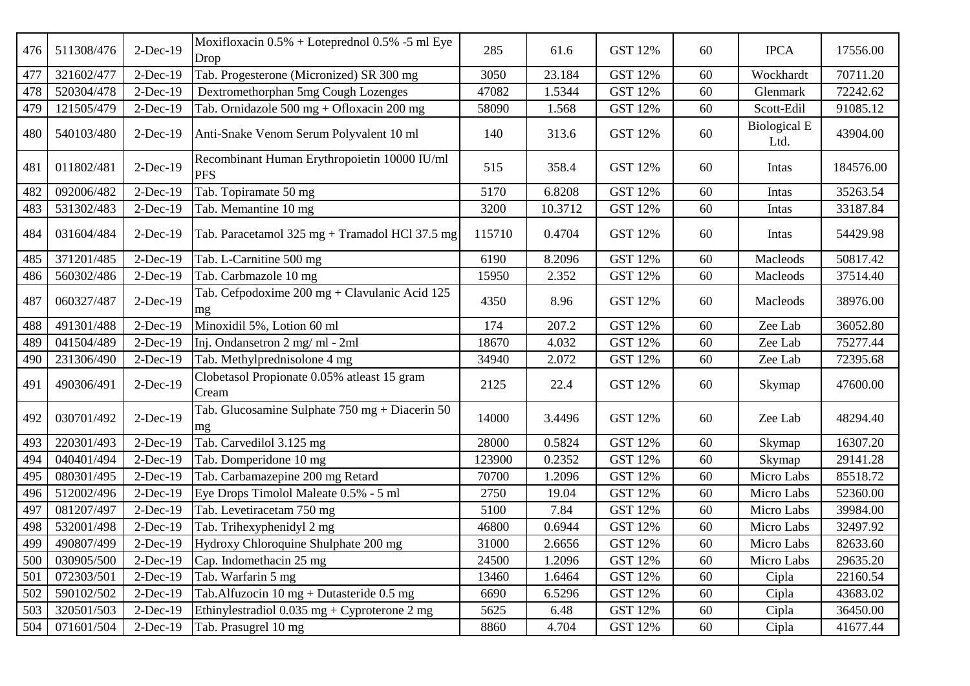| 476 | 511308/476 | $2-Dec-19$  | Moxifloxacin 0.5% + Loteprednol 0.5% -5 ml Eye<br>Drop            | 285    | 61.6    | <b>GST 12%</b> | 60 | <b>IPCA</b>                 | 17556.00  |
|-----|------------|-------------|-------------------------------------------------------------------|--------|---------|----------------|----|-----------------------------|-----------|
| 477 | 321602/477 | $2-Dec-19$  | Tab. Progesterone (Micronized) SR 300 mg                          | 3050   | 23.184  | <b>GST 12%</b> | 60 | Wockhardt                   | 70711.20  |
| 478 | 520304/478 | $2-Dec-19$  | Dextromethorphan 5mg Cough Lozenges                               | 47082  | 1.5344  | <b>GST 12%</b> | 60 | Glenmark                    | 72242.62  |
| 479 | 121505/479 | $2-Dec-19$  | Tab. Ornidazole 500 mg + Ofloxacin 200 mg                         | 58090  | 1.568   | <b>GST 12%</b> | 60 | Scott-Edil                  | 91085.12  |
| 480 | 540103/480 | $2-Dec-19$  | Anti-Snake Venom Serum Polyvalent 10 ml                           | 140    | 313.6   | <b>GST 12%</b> | 60 | <b>Biological E</b><br>Ltd. | 43904.00  |
| 481 | 011802/481 | $2-Dec-19$  | Recombinant Human Erythropoietin 10000 IU/ml<br><b>PFS</b>        | 515    | 358.4   | <b>GST 12%</b> | 60 | Intas                       | 184576.00 |
| 482 | 092006/482 | $2-Dec-19$  | Tab. Topiramate 50 mg                                             | 5170   | 6.8208  | <b>GST 12%</b> | 60 | Intas                       | 35263.54  |
| 483 | 531302/483 | $2-Dec-19$  | Tab. Memantine 10 mg                                              | 3200   | 10.3712 | <b>GST 12%</b> | 60 | Intas                       | 33187.84  |
| 484 | 031604/484 | $2-Dec-19$  | Tab. Paracetamol 325 mg + Tramadol HCl 37.5 mg                    | 115710 | 0.4704  | GST 12%        | 60 | Intas                       | 54429.98  |
| 485 | 371201/485 | $2-Dec-19$  | Tab. L-Carnitine 500 mg                                           | 6190   | 8.2096  | <b>GST 12%</b> | 60 | Macleods                    | 50817.42  |
| 486 | 560302/486 | $2-Dec-19$  | Tab. Carbmazole 10 mg                                             | 15950  | 2.352   | <b>GST 12%</b> | 60 | Macleods                    | 37514.40  |
| 487 | 060327/487 | $2-Dec-19$  | Tab. Cefpodoxime 200 mg + Clavulanic Acid 125<br>mg               | 4350   | 8.96    | <b>GST 12%</b> | 60 | Macleods                    | 38976.00  |
| 488 | 491301/488 | 2-Dec-19    | Minoxidil 5%, Lotion 60 ml                                        | 174    | 207.2   | <b>GST 12%</b> | 60 | Zee Lab                     | 36052.80  |
| 489 | 041504/489 | $2-Dec-19$  | Inj. Ondansetron 2 mg/ml - 2ml                                    | 18670  | 4.032   | <b>GST 12%</b> | 60 | Zee Lab                     | 75277.44  |
| 490 | 231306/490 | $2-Dec-19$  | Tab. Methylprednisolone 4 mg                                      | 34940  | 2.072   | <b>GST 12%</b> | 60 | Zee Lab                     | 72395.68  |
| 491 | 490306/491 | $2-Dec-19$  | Clobetasol Propionate 0.05% atleast 15 gram<br>Cream              | 2125   | 22.4    | <b>GST 12%</b> | 60 | Skymap                      | 47600.00  |
| 492 | 030701/492 | $2-Dec-19$  | Tab. Glucosamine Sulphate 750 mg + Diacerin 50<br>mg              | 14000  | 3.4496  | <b>GST 12%</b> | 60 | Zee Lab                     | 48294.40  |
| 493 | 220301/493 | $2-Dec-19$  | Tab. Carvedilol 3.125 mg                                          | 28000  | 0.5824  | <b>GST 12%</b> | 60 | Skymap                      | 16307.20  |
| 494 | 040401/494 | $2-Dec-19$  | Tab. Domperidone 10 mg                                            | 123900 | 0.2352  | <b>GST 12%</b> | 60 | Skymap                      | 29141.28  |
| 495 | 080301/495 | $2-Dec-19$  | Tab. Carbamazepine 200 mg Retard                                  | 70700  | 1.2096  | <b>GST 12%</b> | 60 | Micro Labs                  | 85518.72  |
| 496 | 512002/496 | $2-Dec-19$  | Eye Drops Timolol Maleate 0.5% - 5 ml                             | 2750   | 19.04   | <b>GST 12%</b> | 60 | Micro Labs                  | 52360.00  |
| 497 | 081207/497 | $2-Dec-19$  | Tab. Levetiracetam 750 mg                                         | 5100   | 7.84    | <b>GST 12%</b> | 60 | Micro Labs                  | 39984.00  |
| 498 | 532001/498 | $2-Dec-19$  | Tab. Trihexyphenidyl 2 mg                                         | 46800  | 0.6944  | <b>GST 12%</b> | 60 | Micro Labs                  | 32497.92  |
| 499 | 490807/499 | $2-Dec-19$  | Hydroxy Chloroquine Shulphate 200 mg                              | 31000  | 2.6656  | GST 12%        | 60 | Micro Labs                  | 82633.60  |
| 500 | 030905/500 | $2$ -Dec-19 | Cap. Indomethacin 25 mg                                           | 24500  | 1.2096  | <b>GST 12%</b> | 60 | Micro Labs                  | 29635.20  |
| 501 | 072303/501 | $2-Dec-19$  | Tab. Warfarin 5 mg                                                | 13460  | 1.6464  | <b>GST 12%</b> | 60 | Cipla                       | 22160.54  |
| 502 | 590102/502 | $2-Dec-19$  | Tab.Alfuzocin $10 \text{ mg} + \text{Dutasteride} 0.5 \text{ mg}$ | 6690   | 6.5296  | GST 12%        | 60 | Cipla                       | 43683.02  |
| 503 | 320501/503 | $2$ -Dec-19 | Ethinylestradiol $0.035$ mg + Cyproterone 2 mg                    | 5625   | 6.48    | <b>GST 12%</b> | 60 | Cipla                       | 36450.00  |
| 504 | 071601/504 | $2$ -Dec-19 | Tab. Prasugrel 10 mg                                              | 8860   | 4.704   | GST 12%        | 60 | Cipla                       | 41677.44  |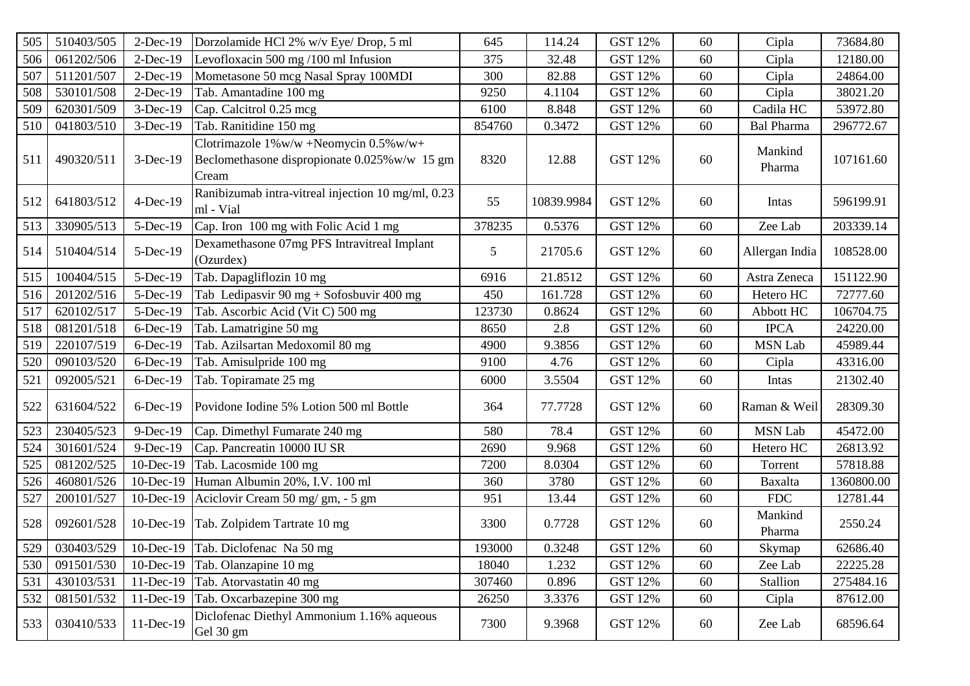| 505 | 510403/505 | $2-Dec-19$  | Dorzolamide HCl 2% w/v Eye/ Drop, 5 ml                                                                  | 645    | 114.24     | GST 12%        | 60 | Cipla             | 73684.80   |
|-----|------------|-------------|---------------------------------------------------------------------------------------------------------|--------|------------|----------------|----|-------------------|------------|
| 506 | 061202/506 | $2-Dec-19$  | Levofloxacin 500 mg /100 ml Infusion                                                                    | 375    | 32.48      | GST 12%        | 60 | Cipla             | 12180.00   |
| 507 | 511201/507 | $2-Dec-19$  | Mometasone 50 mcg Nasal Spray 100MDI                                                                    | 300    | 82.88      | <b>GST 12%</b> | 60 | Cipla             | 24864.00   |
| 508 | 530101/508 | $2-Dec-19$  | Tab. Amantadine 100 mg                                                                                  | 9250   | 4.1104     | <b>GST 12%</b> | 60 | Cipla             | 38021.20   |
| 509 | 620301/509 | $3-Dec-19$  | Cap. Calcitrol 0.25 mcg                                                                                 | 6100   | 8.848      | <b>GST 12%</b> | 60 | Cadila HC         | 53972.80   |
| 510 | 041803/510 | $3-Dec-19$  | Tab. Ranitidine 150 mg                                                                                  | 854760 | 0.3472     | <b>GST 12%</b> | 60 | <b>Bal Pharma</b> | 296772.67  |
| 511 | 490320/511 | 3-Dec-19    | Clotrimazole $1\%$ w/w +Neomycin $0.5\%$ w/w+<br>Beclomethasone dispropionate 0.025% w/w 15 gm<br>Cream | 8320   | 12.88      | <b>GST 12%</b> | 60 | Mankind<br>Pharma | 107161.60  |
| 512 | 641803/512 | $4$ -Dec-19 | Ranibizumab intra-vitreal injection 10 mg/ml, 0.23<br>ml - Vial                                         | 55     | 10839.9984 | <b>GST 12%</b> | 60 | Intas             | 596199.91  |
| 513 | 330905/513 | 5-Dec-19    | Cap. Iron 100 mg with Folic Acid 1 mg                                                                   | 378235 | 0.5376     | <b>GST 12%</b> | 60 | Zee Lab           | 203339.14  |
| 514 | 510404/514 | 5-Dec-19    | Dexamethasone 07mg PFS Intravitreal Implant<br>(Ozurdex)                                                | 5      | 21705.6    | <b>GST 12%</b> | 60 | Allergan India    | 108528.00  |
| 515 | 100404/515 | 5-Dec-19    | Tab. Dapagliflozin 10 mg                                                                                | 6916   | 21.8512    | <b>GST 12%</b> | 60 | Astra Zeneca      | 151122.90  |
| 516 | 201202/516 | 5-Dec-19    | Tab Ledipasvir 90 mg + Sofosbuvir 400 mg                                                                | 450    | 161.728    | <b>GST 12%</b> | 60 | Hetero HC         | 72777.60   |
| 517 | 620102/517 | 5-Dec-19    | Tab. Ascorbic Acid (Vit C) 500 mg                                                                       | 123730 | 0.8624     | <b>GST 12%</b> | 60 | Abbott HC         | 106704.75  |
| 518 | 081201/518 | 6-Dec-19    | Tab. Lamatrigine 50 mg                                                                                  | 8650   | 2.8        | <b>GST 12%</b> | 60 | <b>IPCA</b>       | 24220.00   |
| 519 | 220107/519 | 6-Dec-19    | Tab. Azilsartan Medoxomil 80 mg                                                                         | 4900   | 9.3856     | <b>GST 12%</b> | 60 | <b>MSN Lab</b>    | 45989.44   |
| 520 | 090103/520 | 6-Dec-19    | Tab. Amisulpride 100 mg                                                                                 | 9100   | 4.76       | <b>GST 12%</b> | 60 | Cipla             | 43316.00   |
| 521 | 092005/521 | 6-Dec-19    | Tab. Topiramate 25 mg                                                                                   | 6000   | 3.5504     | <b>GST 12%</b> | 60 | Intas             | 21302.40   |
| 522 | 631604/522 | $6$ -Dec-19 | Povidone Iodine 5% Lotion 500 ml Bottle                                                                 | 364    | 77.7728    | <b>GST 12%</b> | 60 | Raman & Weil      | 28309.30   |
| 523 | 230405/523 | 9-Dec-19    | Cap. Dimethyl Fumarate 240 mg                                                                           | 580    | 78.4       | <b>GST 12%</b> | 60 | <b>MSN Lab</b>    | 45472.00   |
| 524 | 301601/524 | 9-Dec-19    | Cap. Pancreatin 10000 IU SR                                                                             | 2690   | 9.968      | GST 12%        | 60 | Hetero HC         | 26813.92   |
| 525 | 081202/525 | 10-Dec-19   | Tab. Lacosmide 100 mg                                                                                   | 7200   | 8.0304     | <b>GST 12%</b> | 60 | Torrent           | 57818.88   |
| 526 | 460801/526 | 10-Dec-19   | Human Albumin 20%, I.V. 100 ml                                                                          | 360    | 3780       | <b>GST 12%</b> | 60 | Baxalta           | 1360800.00 |
| 527 | 200101/527 |             | 10-Dec-19 Aciclovir Cream 50 mg/gm, - 5 gm                                                              | 951    | 13.44      | <b>GST 12%</b> | 60 | <b>FDC</b>        | 12781.44   |
| 528 | 092601/528 |             | 10-Dec-19 Tab. Zolpidem Tartrate 10 mg                                                                  | 3300   | 0.7728     | <b>GST 12%</b> | 60 | Mankind<br>Pharma | 2550.24    |
|     |            |             | 529 030403/529 10-Dec-19 Tab. Diclofenac Na 50 mg                                                       | 193000 | 0.3248     | <b>GST 12%</b> | 60 | Skymap            | 62686.40   |
| 530 | 091501/530 |             | 10-Dec-19 Tab. Olanzapine 10 mg                                                                         | 18040  | 1.232      | <b>GST 12%</b> | 60 | Zee Lab           | 22225.28   |
| 531 | 430103/531 |             | 11-Dec-19 Tab. Atorvastatin 40 mg                                                                       | 307460 | 0.896      | GST 12%        | 60 | Stallion          | 275484.16  |
| 532 | 081501/532 |             | 11-Dec-19 Tab. Oxcarbazepine 300 mg                                                                     | 26250  | 3.3376     | GST 12%        | 60 | Cipla             | 87612.00   |
| 533 | 030410/533 | 11-Dec-19   | Diclofenac Diethyl Ammonium 1.16% aqueous<br>Gel 30 gm                                                  | 7300   | 9.3968     | GST 12%        | 60 | Zee Lab           | 68596.64   |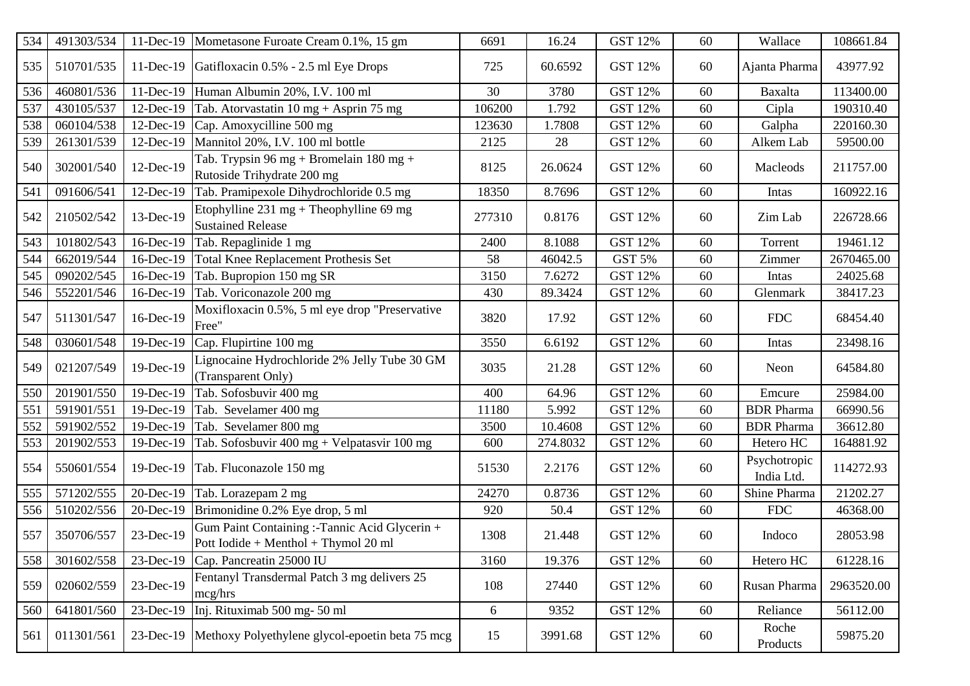| 534 | 491303/534 | $11-Dec-19$ | Mometasone Furoate Cream 0.1%, 15 gm                                                  | 6691   | 16.24    | <b>GST 12%</b> | 60 | Wallace                    | 108661.84  |
|-----|------------|-------------|---------------------------------------------------------------------------------------|--------|----------|----------------|----|----------------------------|------------|
| 535 | 510701/535 | $11-Dec-19$ | Gatifloxacin 0.5% - 2.5 ml Eye Drops                                                  | 725    | 60.6592  | <b>GST 12%</b> | 60 | Ajanta Pharma              | 43977.92   |
| 536 | 460801/536 | 11-Dec-19   | Human Albumin 20%, I.V. 100 ml                                                        | 30     | 3780     | <b>GST 12%</b> | 60 | Baxalta                    | 113400.00  |
| 537 | 430105/537 | 12-Dec-19   | Tab. Atorvastatin $10 \text{ mg} + \text{Asprin } 75 \text{ mg}$                      | 106200 | 1.792    | <b>GST 12%</b> | 60 | Cipla                      | 190310.40  |
| 538 | 060104/538 | 12-Dec-19   | Cap. Amoxycilline 500 mg                                                              | 123630 | 1.7808   | <b>GST 12%</b> | 60 | Galpha                     | 220160.30  |
| 539 | 261301/539 | 12-Dec-19   | Mannitol 20%, I.V. 100 ml bottle                                                      | 2125   | 28       | <b>GST 12%</b> | 60 | Alkem Lab                  | 59500.00   |
| 540 | 302001/540 | 12-Dec-19   | Tab. Trypsin 96 mg + Bromelain 180 mg +<br>Rutoside Trihydrate 200 mg                 | 8125   | 26.0624  | <b>GST 12%</b> | 60 | Macleods                   | 211757.00  |
| 541 | 091606/541 | 12-Dec-19   | Tab. Pramipexole Dihydrochloride 0.5 mg                                               | 18350  | 8.7696   | <b>GST 12%</b> | 60 | Intas                      | 160922.16  |
| 542 | 210502/542 | 13-Dec-19   | Etophylline $231 \text{ mg} + \text{The }$ 69 mg<br><b>Sustained Release</b>          | 277310 | 0.8176   | GST 12%        | 60 | Zim Lab                    | 226728.66  |
| 543 | 101802/543 | 16-Dec-19   | Tab. Repaglinide 1 mg                                                                 | 2400   | 8.1088   | <b>GST 12%</b> | 60 | Torrent                    | 19461.12   |
| 544 | 662019/544 | 16-Dec-19   | Total Knee Replacement Prothesis Set                                                  | 58     | 46042.5  | GST 5%         | 60 | Zimmer                     | 2670465.00 |
| 545 | 090202/545 | 16-Dec-19   | Tab. Bupropion 150 mg SR                                                              | 3150   | 7.6272   | <b>GST 12%</b> | 60 | Intas                      | 24025.68   |
| 546 | 552201/546 | 16-Dec-19   | Tab. Voriconazole 200 mg                                                              | 430    | 89.3424  | <b>GST 12%</b> | 60 | Glenmark                   | 38417.23   |
| 547 | 511301/547 | 16-Dec-19   | Moxifloxacin 0.5%, 5 ml eye drop "Preservative<br>Free"                               | 3820   | 17.92    | <b>GST 12%</b> | 60 | <b>FDC</b>                 | 68454.40   |
| 548 | 030601/548 | 19-Dec-19   | Cap. Flupirtine 100 mg                                                                | 3550   | 6.6192   | <b>GST 12%</b> | 60 | Intas                      | 23498.16   |
| 549 | 021207/549 | 19-Dec-19   | Lignocaine Hydrochloride 2% Jelly Tube 30 GM<br>(Transparent Only)                    | 3035   | 21.28    | <b>GST 12%</b> | 60 | Neon                       | 64584.80   |
| 550 | 201901/550 | 19-Dec-19   | Tab. Sofosbuvir 400 mg                                                                | 400    | 64.96    | <b>GST 12%</b> | 60 | Emcure                     | 25984.00   |
| 551 | 591901/551 | 19-Dec-19   | Tab. Sevelamer 400 mg                                                                 | 11180  | 5.992    | <b>GST 12%</b> | 60 | <b>BDR</b> Pharma          | 66990.56   |
| 552 | 591902/552 | 19-Dec-19   | Tab. Sevelamer 800 mg                                                                 | 3500   | 10.4608  | <b>GST 12%</b> | 60 | <b>BDR</b> Pharma          | 36612.80   |
| 553 | 201902/553 | 19-Dec-19   | Tab. Sofosbuvir 400 mg + Velpatasvir 100 mg                                           | 600    | 274.8032 | GST 12%        | 60 | Hetero HC                  | 164881.92  |
| 554 | 550601/554 | 19-Dec-19   | Tab. Fluconazole 150 mg                                                               | 51530  | 2.2176   | <b>GST 12%</b> | 60 | Psychotropic<br>India Ltd. | 114272.93  |
| 555 | 571202/555 | 20-Dec-19   | Tab. Lorazepam 2 mg                                                                   | 24270  | 0.8736   | <b>GST 12%</b> | 60 | Shine Pharma               | 21202.27   |
| 556 | 510202/556 | 20-Dec-19   | Brimonidine 0.2% Eye drop, 5 ml                                                       | 920    | 50.4     | GST 12%        | 60 | <b>FDC</b>                 | 46368.00   |
| 557 | 350706/557 | 23-Dec-19   | Gum Paint Containing :-Tannic Acid Glycerin +<br>Pott Iodide + Menthol + Thymol 20 ml | 1308   | 21.448   | <b>GST 12%</b> | 60 | Indoco                     | 28053.98   |
| 558 | 301602/558 | 23-Dec-19   | Cap. Pancreatin 25000 IU                                                              | 3160   | 19.376   | <b>GST 12%</b> | 60 | Hetero HC                  | 61228.16   |
| 559 | 020602/559 | 23-Dec-19   | Fentanyl Transdermal Patch 3 mg delivers 25<br>mcg/hrs                                | 108    | 27440    | GST 12%        | 60 | Rusan Pharma               | 2963520.00 |
| 560 | 641801/560 | 23-Dec-19   | Inj. Rituximab 500 mg- 50 ml                                                          | 6      | 9352     | <b>GST 12%</b> | 60 | Reliance                   | 56112.00   |
| 561 | 011301/561 | 23-Dec-19   | Methoxy Polyethylene glycol-epoetin beta 75 mcg                                       | 15     | 3991.68  | <b>GST 12%</b> | 60 | Roche<br>Products          | 59875.20   |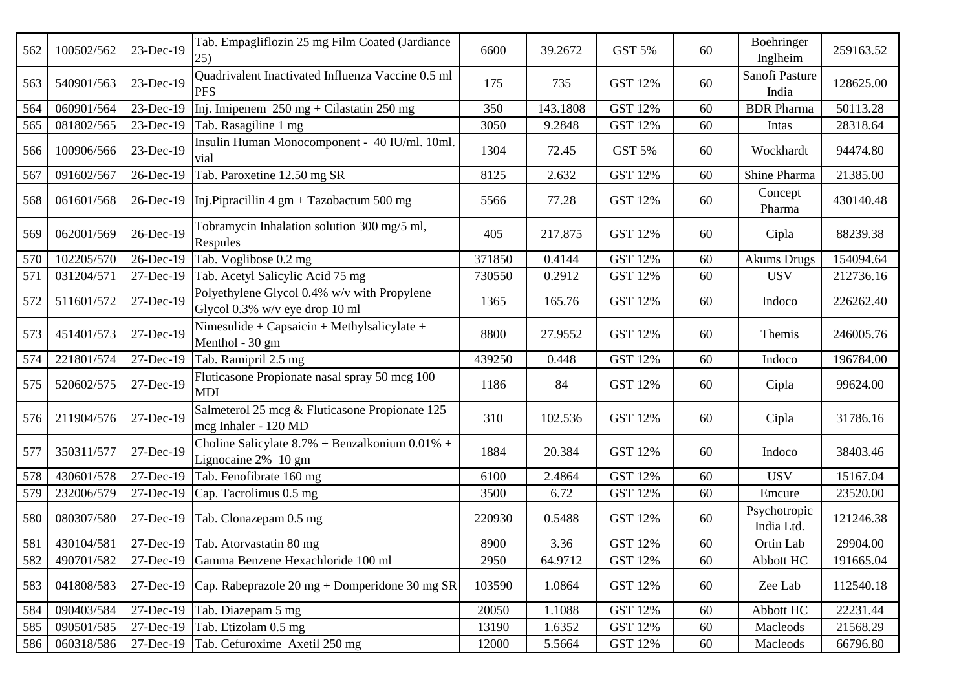| 562 | 100502/562 | 23-Dec-19 | Tab. Empagliflozin 25 mg Film Coated (Jardiance<br>25)                        | 6600   | 39.2672  | GST 5%         | 60 | Boehringer<br>Inglheim     | 259163.52 |
|-----|------------|-----------|-------------------------------------------------------------------------------|--------|----------|----------------|----|----------------------------|-----------|
| 563 | 540901/563 | 23-Dec-19 | Quadrivalent Inactivated Influenza Vaccine 0.5 ml<br><b>PFS</b>               | 175    | 735      | <b>GST 12%</b> | 60 | Sanofi Pasture<br>India    | 128625.00 |
| 564 | 060901/564 | 23-Dec-19 | Inj. Imipenem $250 \text{ mg} + \text{Cilast}$ atin $250 \text{ mg}$          | 350    | 143.1808 | <b>GST 12%</b> | 60 | <b>BDR</b> Pharma          | 50113.28  |
| 565 | 081802/565 | 23-Dec-19 | Tab. Rasagiline 1 mg                                                          | 3050   | 9.2848   | <b>GST 12%</b> | 60 | Intas                      | 28318.64  |
| 566 | 100906/566 | 23-Dec-19 | Insulin Human Monocomponent - 40 IU/ml. 10ml.<br>vial                         | 1304   | 72.45    | <b>GST 5%</b>  | 60 | Wockhardt                  | 94474.80  |
| 567 | 091602/567 | 26-Dec-19 | Tab. Paroxetine 12.50 mg SR                                                   | 8125   | 2.632    | <b>GST 12%</b> | 60 | Shine Pharma               | 21385.00  |
| 568 | 061601/568 | 26-Dec-19 | Inj. Pipracillin 4 gm + Tazobactum 500 mg                                     | 5566   | 77.28    | <b>GST 12%</b> | 60 | Concept<br>Pharma          | 430140.48 |
| 569 | 062001/569 | 26-Dec-19 | Tobramycin Inhalation solution 300 mg/5 ml,<br>Respules                       | 405    | 217.875  | <b>GST 12%</b> | 60 | Cipla                      | 88239.38  |
| 570 | 102205/570 | 26-Dec-19 | Tab. Voglibose 0.2 mg                                                         | 371850 | 0.4144   | GST 12%        | 60 | <b>Akums Drugs</b>         | 154094.64 |
| 571 | 031204/571 | 27-Dec-19 | Tab. Acetyl Salicylic Acid 75 mg                                              | 730550 | 0.2912   | <b>GST 12%</b> | 60 | <b>USV</b>                 | 212736.16 |
| 572 | 511601/572 | 27-Dec-19 | Polyethylene Glycol 0.4% w/v with Propylene<br>Glycol 0.3% w/v eye drop 10 ml | 1365   | 165.76   | <b>GST 12%</b> | 60 | Indoco                     | 226262.40 |
| 573 | 451401/573 | 27-Dec-19 | Nimesulide + Capsaicin + Methylsalicylate +<br>Menthol - 30 gm                | 8800   | 27.9552  | <b>GST 12%</b> | 60 | Themis                     | 246005.76 |
| 574 | 221801/574 | 27-Dec-19 | Tab. Ramipril 2.5 mg                                                          | 439250 | 0.448    | <b>GST 12%</b> | 60 | Indoco                     | 196784.00 |
| 575 | 520602/575 | 27-Dec-19 | Fluticasone Propionate nasal spray 50 mcg 100<br><b>MDI</b>                   | 1186   | 84       | <b>GST 12%</b> | 60 | Cipla                      | 99624.00  |
| 576 | 211904/576 | 27-Dec-19 | Salmeterol 25 mcg & Fluticasone Propionate 125<br>mcg Inhaler - 120 MD        | 310    | 102.536  | <b>GST 12%</b> | 60 | Cipla                      | 31786.16  |
| 577 | 350311/577 | 27-Dec-19 | Choline Salicylate $8.7\%$ + Benzalkonium 0.01% +<br>Lignocaine 2% 10 gm      | 1884   | 20.384   | <b>GST 12%</b> | 60 | Indoco                     | 38403.46  |
| 578 | 430601/578 | 27-Dec-19 | Tab. Fenofibrate 160 mg                                                       | 6100   | 2.4864   | <b>GST 12%</b> | 60 | <b>USV</b>                 | 15167.04  |
| 579 | 232006/579 | 27-Dec-19 | Cap. Tacrolimus 0.5 mg                                                        | 3500   | 6.72     | <b>GST 12%</b> | 60 | Emcure                     | 23520.00  |
| 580 | 080307/580 | 27-Dec-19 | Tab. Clonazepam 0.5 mg                                                        | 220930 | 0.5488   | <b>GST 12%</b> | 60 | Psychotropic<br>India Ltd. | 121246.38 |
| 581 | 430104/581 |           | 27-Dec-19 Tab. Atorvastatin 80 mg                                             | 8900   | 3.36     | <b>GST 12%</b> | 60 | Ortin Lab                  | 29904.00  |
| 582 | 490701/582 | 27-Dec-19 | Gamma Benzene Hexachloride 100 ml                                             | 2950   | 64.9712  | <b>GST 12%</b> | 60 | Abbott HC                  | 191665.04 |
| 583 | 041808/583 | 27-Dec-19 | Cap. Rabeprazole 20 mg + Domperidone 30 mg SR                                 | 103590 | 1.0864   | <b>GST 12%</b> | 60 | Zee Lab                    | 112540.18 |
| 584 | 090403/584 | 27-Dec-19 | Tab. Diazepam 5 mg                                                            | 20050  | 1.1088   | <b>GST 12%</b> | 60 | Abbott HC                  | 22231.44  |
| 585 | 090501/585 | 27-Dec-19 | Tab. Etizolam 0.5 mg                                                          | 13190  | 1.6352   | GST 12%        | 60 | Macleods                   | 21568.29  |
| 586 | 060318/586 | 27-Dec-19 | Tab. Cefuroxime Axetil 250 mg                                                 | 12000  | 5.5664   | <b>GST 12%</b> | 60 | Macleods                   | 66796.80  |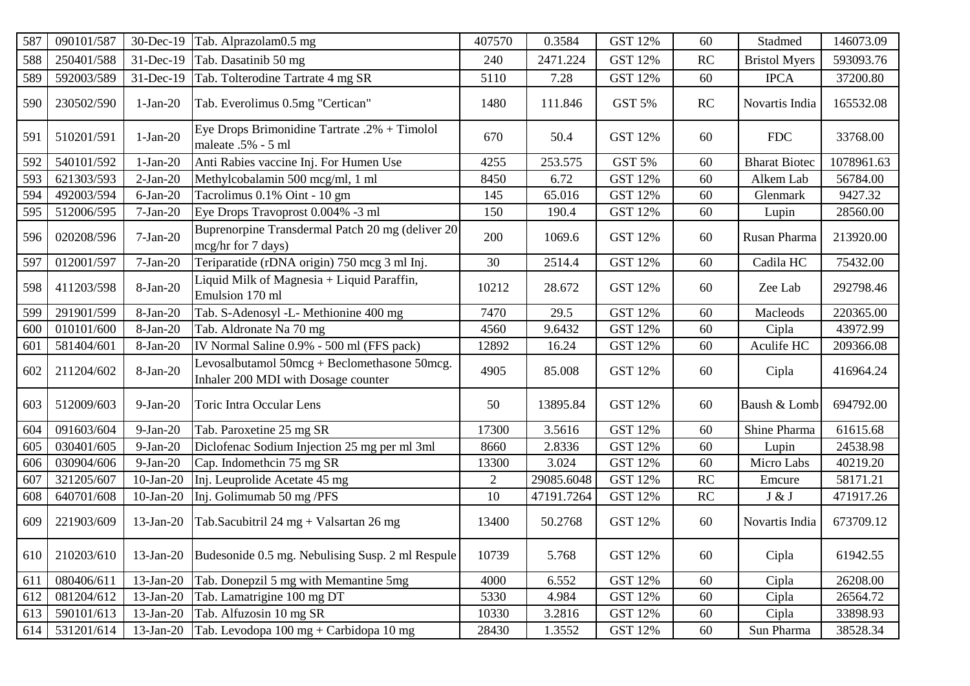| 587 | 090101/587 | 30-Dec-19    | Tab. Alprazolam0.5 mg                                                               | 407570         | 0.3584     | <b>GST 12%</b> | 60 | Stadmed              | 146073.09  |
|-----|------------|--------------|-------------------------------------------------------------------------------------|----------------|------------|----------------|----|----------------------|------------|
| 588 | 250401/588 | 31-Dec-19    | Tab. Dasatinib 50 mg                                                                | 240            | 2471.224   | <b>GST 12%</b> | RC | <b>Bristol Myers</b> | 593093.76  |
| 589 | 592003/589 | 31-Dec-19    | Tab. Tolterodine Tartrate 4 mg SR                                                   | 5110           | 7.28       | <b>GST 12%</b> | 60 | <b>IPCA</b>          | 37200.80   |
| 590 | 230502/590 | $1-Jan-20$   | Tab. Everolimus 0.5mg "Certican"                                                    | 1480           | 111.846    | <b>GST 5%</b>  | RC | Novartis India       | 165532.08  |
| 591 | 510201/591 | $1-Jan-20$   | Eye Drops Brimonidine Tartrate .2% + Timolol<br>maleate .5% - 5 ml                  | 670            | 50.4       | <b>GST 12%</b> | 60 | <b>FDC</b>           | 33768.00   |
| 592 | 540101/592 | $1-Jan-20$   | Anti Rabies vaccine Inj. For Humen Use                                              | 4255           | 253.575    | GST 5%         | 60 | <b>Bharat Biotec</b> | 1078961.63 |
| 593 | 621303/593 | $2-Jan-20$   | Methylcobalamin 500 mcg/ml, 1 ml                                                    | 8450           | 6.72       | <b>GST 12%</b> | 60 | Alkem Lab            | 56784.00   |
| 594 | 492003/594 | $6$ -Jan-20  | Tacrolimus 0.1% Oint - 10 gm                                                        | 145            | 65.016     | <b>GST 12%</b> | 60 | Glenmark             | 9427.32    |
| 595 | 512006/595 | $7-Jan-20$   | Eye Drops Travoprost 0.004% -3 ml                                                   | 150            | 190.4      | <b>GST 12%</b> | 60 | Lupin                | 28560.00   |
| 596 | 020208/596 | $7-Jan-20$   | Buprenorpine Transdermal Patch 20 mg (deliver 20<br>mcg/hr for 7 days)              | 200            | 1069.6     | <b>GST 12%</b> | 60 | Rusan Pharma         | 213920.00  |
| 597 | 012001/597 | $7-Jan-20$   | Teriparatide (rDNA origin) 750 mcg 3 ml Inj.                                        | 30             | 2514.4     | <b>GST 12%</b> | 60 | Cadila HC            | 75432.00   |
| 598 | 411203/598 | 8-Jan-20     | Liquid Milk of Magnesia + Liquid Paraffin,<br>Emulsion 170 ml                       | 10212          | 28.672     | <b>GST 12%</b> | 60 | Zee Lab              | 292798.46  |
| 599 | 291901/599 | 8-Jan-20     | Tab. S-Adenosyl -L- Methionine 400 mg                                               | 7470           | 29.5       | <b>GST 12%</b> | 60 | Macleods             | 220365.00  |
| 600 | 010101/600 | 8-Jan-20     | Tab. Aldronate Na 70 mg                                                             | 4560           | 9.6432     | <b>GST 12%</b> | 60 | Cipla                | 43972.99   |
| 601 | 581404/601 | 8-Jan-20     | IV Normal Saline 0.9% - 500 ml (FFS pack)                                           | 12892          | 16.24      | <b>GST 12%</b> | 60 | Aculife HC           | 209366.08  |
| 602 | 211204/602 | 8-Jan-20     | Levosalbutamol 50mcg + Beclomethasone 50mcg.<br>Inhaler 200 MDI with Dosage counter | 4905           | 85.008     | <b>GST 12%</b> | 60 | Cipla                | 416964.24  |
| 603 | 512009/603 | $9-Jan-20$   | Toric Intra Occular Lens                                                            | 50             | 13895.84   | <b>GST 12%</b> | 60 | Baush & Lomb         | 694792.00  |
| 604 | 091603/604 | $9-Ian-20$   | Tab. Paroxetine 25 mg SR                                                            | 17300          | 3.5616     | <b>GST 12%</b> | 60 | Shine Pharma         | 61615.68   |
| 605 | 030401/605 | $9-Ian-20$   | Diclofenac Sodium Injection 25 mg per ml 3ml                                        | 8660           | 2.8336     | <b>GST 12%</b> | 60 | Lupin                | 24538.98   |
| 606 | 030904/606 | $9-Ian-20$   | Cap. Indomethcin 75 mg SR                                                           | 13300          | 3.024      | <b>GST 12%</b> | 60 | Micro Labs           | 40219.20   |
| 607 | 321205/607 | $10$ -Jan-20 | Inj. Leuprolide Acetate 45 mg                                                       | $\overline{2}$ | 29085.6048 | <b>GST 12%</b> | RC | Emcure               | 58171.21   |
| 608 | 640701/608 | $10$ -Jan-20 | Inj. Golimumab 50 mg /PFS                                                           | 10             | 47191.7264 | <b>GST 12%</b> | RC | J & J                | 471917.26  |
| 609 | 221903/609 | 13-Jan-20    | Tab.Sacubitril 24 mg + Valsartan 26 mg                                              | 13400          | 50.2768    | <b>GST 12%</b> | 60 | Novartis India       | 673709.12  |
| 610 | 210203/610 | 13-Jan-20    | Budesonide 0.5 mg. Nebulising Susp. 2 ml Respule                                    | 10739          | 5.768      | <b>GST 12%</b> | 60 | Cipla                | 61942.55   |
| 611 | 080406/611 | 13-Jan-20    | Tab. Donepzil 5 mg with Memantine 5mg                                               | 4000           | 6.552      | GST 12%        | 60 | Cipla                | 26208.00   |
| 612 | 081204/612 | 13-Jan-20    | Tab. Lamatrigine 100 mg DT                                                          | 5330           | 4.984      | <b>GST 12%</b> | 60 | Cipla                | 26564.72   |
| 613 | 590101/613 | 13-Jan-20    | Tab. Alfuzosin 10 mg SR                                                             | 10330          | 3.2816     | GST 12%        | 60 | Cipla                | 33898.93   |
| 614 | 531201/614 | 13-Jan-20    | Tab. Levodopa 100 mg + Carbidopa 10 mg                                              | 28430          | 1.3552     | GST 12%        | 60 | Sun Pharma           | 38528.34   |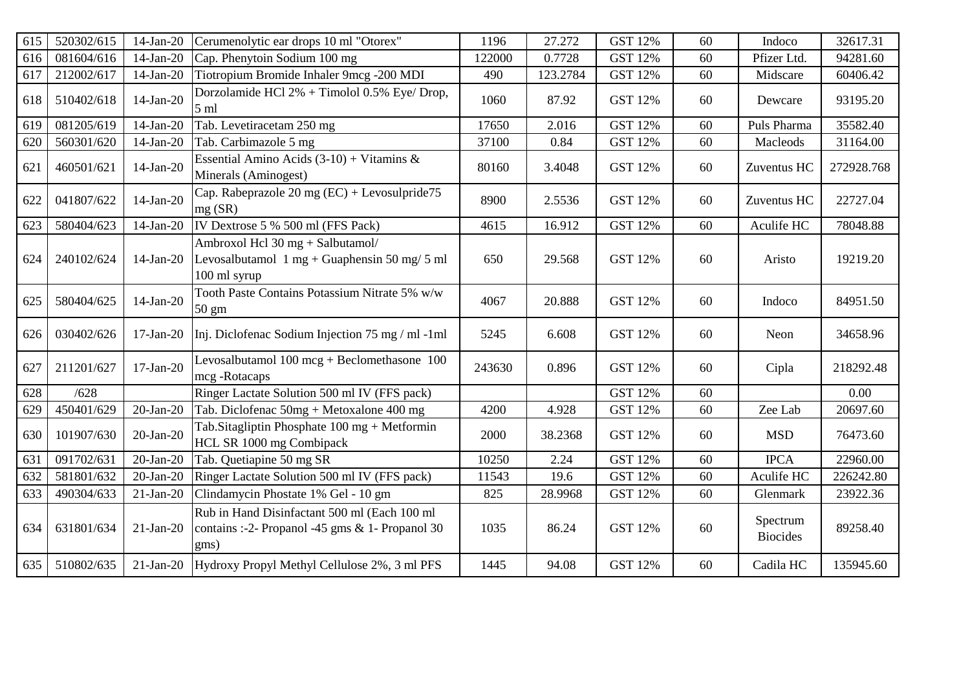| 615 | 520302/615 | $14$ -Jan-20    | Cerumenolytic ear drops 10 ml "Otorex"                                                                     | 1196   | 27.272   | <b>GST 12%</b> | 60 | Indoco                      | 32617.31   |
|-----|------------|-----------------|------------------------------------------------------------------------------------------------------------|--------|----------|----------------|----|-----------------------------|------------|
| 616 | 081604/616 | $14$ -Jan-20    | Cap. Phenytoin Sodium 100 mg                                                                               | 122000 | 0.7728   | <b>GST 12%</b> | 60 | Pfizer Ltd.                 | 94281.60   |
| 617 | 212002/617 | 14-Jan-20       | Tiotropium Bromide Inhaler 9mcg -200 MDI                                                                   | 490    | 123.2784 | <b>GST 12%</b> | 60 | Midscare                    | 60406.42   |
| 618 | 510402/618 | $14$ -Jan-20    | Dorzolamide HCl 2% + Timolol 0.5% Eye/ Drop,<br>5 <sub>ml</sub>                                            | 1060   | 87.92    | <b>GST 12%</b> | 60 | Dewcare                     | 93195.20   |
| 619 | 081205/619 | $14-Jan-20$     | Tab. Levetiracetam 250 mg                                                                                  | 17650  | 2.016    | <b>GST 12%</b> | 60 | Puls Pharma                 | 35582.40   |
| 620 | 560301/620 | 14-Jan-20       | Tab. Carbimazole 5 mg                                                                                      | 37100  | 0.84     | <b>GST 12%</b> | 60 | Macleods                    | 31164.00   |
| 621 | 460501/621 | 14-Jan-20       | Essential Amino Acids $(3-10) + \text{Vitamins } \&$<br>Minerals (Aminogest)                               | 80160  | 3.4048   | <b>GST 12%</b> | 60 | Zuventus HC                 | 272928.768 |
| 622 | 041807/622 | $14$ -Jan-20    | Cap. Rabeprazole 20 mg (EC) + Levosulpride75<br>mg(SR)                                                     | 8900   | 2.5536   | <b>GST 12%</b> | 60 | Zuventus HC                 | 22727.04   |
| 623 | 580404/623 | $14$ -Jan-20    | IV Dextrose 5 % 500 ml (FFS Pack)                                                                          | 4615   | 16.912   | <b>GST 12%</b> | 60 | Aculife HC                  | 78048.88   |
| 624 | 240102/624 | $14$ -Jan-20    | Ambroxol Hcl 30 mg + Salbutamol/<br>Levosalbutamol $1 mg + \text{Guaphension}$ 50 mg/ 5 ml<br>100 ml syrup | 650    | 29.568   | <b>GST 12%</b> | 60 | Aristo                      | 19219.20   |
| 625 | 580404/625 | $14-Jan-20$     | Tooth Paste Contains Potassium Nitrate 5% w/w<br>$50 \text{ gm}$                                           | 4067   | 20.888   | <b>GST 12%</b> | 60 | Indoco                      | 84951.50   |
| 626 | 030402/626 | $17-Jan-20$     | Inj. Diclofenac Sodium Injection 75 mg / ml -1ml                                                           | 5245   | 6.608    | <b>GST 12%</b> | 60 | Neon                        | 34658.96   |
| 627 | 211201/627 | $17-Jan-20$     | Levosalbutamol $100$ mcg + Beclomethasone $100$<br>mcg-Rotacaps                                            | 243630 | 0.896    | <b>GST 12%</b> | 60 | Cipla                       | 218292.48  |
| 628 | /628       |                 | Ringer Lactate Solution 500 ml IV (FFS pack)                                                               |        |          | <b>GST 12%</b> | 60 |                             | 0.00       |
| 629 | 450401/629 | $20$ -Jan- $20$ | Tab. Diclofenac 50mg + Metoxalone 400 mg                                                                   | 4200   | 4.928    | <b>GST 12%</b> | 60 | Zee Lab                     | 20697.60   |
| 630 | 101907/630 | $20$ -Jan- $20$ | Tab. Sitagliptin Phosphate $100 \text{ mg} + \text{Metformin}$<br>HCL SR 1000 mg Combipack                 | 2000   | 38.2368  | <b>GST 12%</b> | 60 | <b>MSD</b>                  | 76473.60   |
| 631 | 091702/631 | $20$ -Jan-20    | Tab. Quetiapine 50 mg SR                                                                                   | 10250  | 2.24     | <b>GST 12%</b> | 60 | <b>IPCA</b>                 | 22960.00   |
| 632 | 581801/632 | $20$ -Jan- $20$ | Ringer Lactate Solution 500 ml IV (FFS pack)                                                               | 11543  | 19.6     | <b>GST 12%</b> | 60 | Aculife HC                  | 226242.80  |
| 633 | 490304/633 | $21-Jan-20$     | Clindamycin Phostate 1% Gel - 10 gm                                                                        | 825    | 28.9968  | <b>GST 12%</b> | 60 | Glenmark                    | 23922.36   |
| 634 | 631801/634 | $21-Jan-20$     | Rub in Hand Disinfactant 500 ml (Each 100 ml<br>contains :-2- Propanol -45 gms $& 1$ - Propanol 30<br>gms) | 1035   | 86.24    | <b>GST 12%</b> | 60 | Spectrum<br><b>Biocides</b> | 89258.40   |
| 635 | 510802/635 | $21$ -Jan-20    | Hydroxy Propyl Methyl Cellulose 2%, 3 ml PFS                                                               | 1445   | 94.08    | <b>GST 12%</b> | 60 | Cadila HC                   | 135945.60  |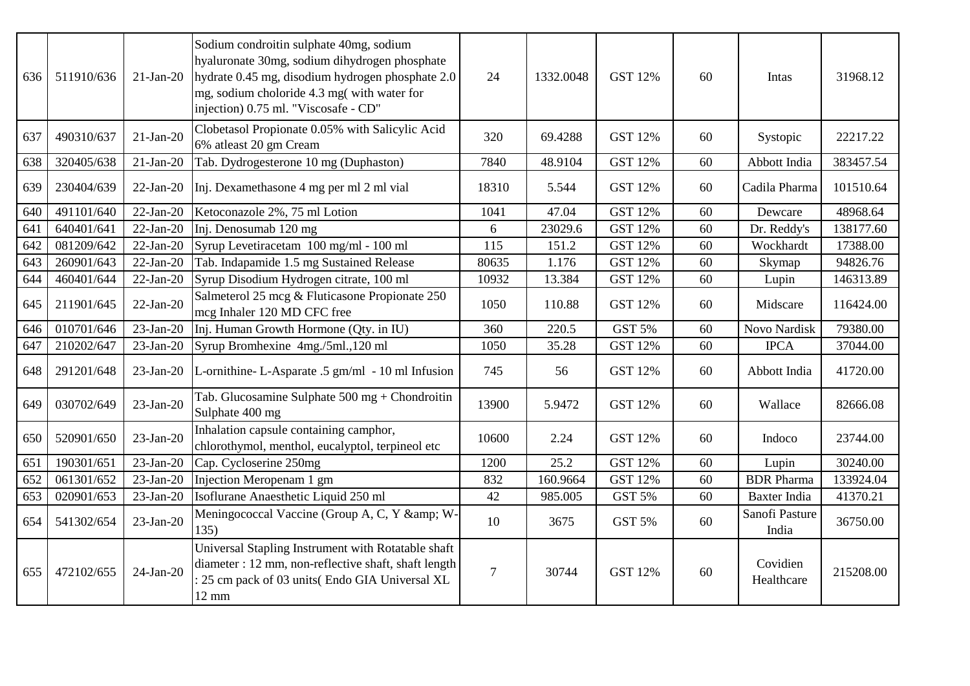| 636 | 511910/636 | $21-Jan-20$  | Sodium condroitin sulphate 40mg, sodium<br>hyaluronate 30mg, sodium dihydrogen phosphate<br>hydrate 0.45 mg, disodium hydrogen phosphate 2.0<br>mg, sodium choloride 4.3 mg(with water for<br>injection) 0.75 ml. "Viscosafe - CD" | 24             | 1332.0048 | <b>GST 12%</b> | 60 | Intas                   | 31968.12  |
|-----|------------|--------------|------------------------------------------------------------------------------------------------------------------------------------------------------------------------------------------------------------------------------------|----------------|-----------|----------------|----|-------------------------|-----------|
| 637 | 490310/637 | $21-Jan-20$  | Clobetasol Propionate 0.05% with Salicylic Acid<br>6% atleast 20 gm Cream                                                                                                                                                          | 320            | 69.4288   | <b>GST 12%</b> | 60 | Systopic                | 22217.22  |
| 638 | 320405/638 | $21-Jan-20$  | Tab. Dydrogesterone 10 mg (Duphaston)                                                                                                                                                                                              | 7840           | 48.9104   | <b>GST 12%</b> | 60 | Abbott India            | 383457.54 |
| 639 | 230404/639 | $22-Jan-20$  | Inj. Dexamethasone 4 mg per ml 2 ml vial                                                                                                                                                                                           | 18310          | 5.544     | <b>GST 12%</b> | 60 | Cadila Pharma           | 101510.64 |
| 640 | 491101/640 | $22-Jan-20$  | Ketoconazole 2%, 75 ml Lotion                                                                                                                                                                                                      | 1041           | 47.04     | <b>GST 12%</b> | 60 | Dewcare                 | 48968.64  |
| 641 | 640401/641 | $22-Jan-20$  | Inj. Denosumab 120 mg                                                                                                                                                                                                              | 6              | 23029.6   | <b>GST 12%</b> | 60 | Dr. Reddy's             | 138177.60 |
| 642 | 081209/642 | $22-Jan-20$  | Syrup Levetiracetam 100 mg/ml - 100 ml                                                                                                                                                                                             | 115            | 151.2     | <b>GST 12%</b> | 60 | Wockhardt               | 17388.00  |
| 643 | 260901/643 | $22-Jan-20$  | Tab. Indapamide 1.5 mg Sustained Release                                                                                                                                                                                           | 80635          | 1.176     | <b>GST 12%</b> | 60 | Skymap                  | 94826.76  |
| 644 | 460401/644 | $22-Jan-20$  | Syrup Disodium Hydrogen citrate, 100 ml                                                                                                                                                                                            | 10932          | 13.384    | <b>GST 12%</b> | 60 | Lupin                   | 146313.89 |
| 645 | 211901/645 | $22-Jan-20$  | Salmeterol 25 mcg & Fluticasone Propionate 250<br>mcg Inhaler 120 MD CFC free                                                                                                                                                      | 1050           | 110.88    | <b>GST 12%</b> | 60 | Midscare                | 116424.00 |
| 646 | 010701/646 | $23-Jan-20$  | Inj. Human Growth Hormone (Qty. in IU)                                                                                                                                                                                             | 360            | 220.5     | GST 5%         | 60 | Novo Nardisk            | 79380.00  |
| 647 | 210202/647 | $23$ -Jan-20 | Syrup Bromhexine 4mg./5ml.,120 ml                                                                                                                                                                                                  | 1050           | 35.28     | <b>GST 12%</b> | 60 | <b>IPCA</b>             | 37044.00  |
| 648 | 291201/648 | $23$ -Jan-20 | L-ornithine-L-Asparate .5 gm/ml - 10 ml Infusion                                                                                                                                                                                   | 745            | 56        | <b>GST 12%</b> | 60 | Abbott India            | 41720.00  |
| 649 | 030702/649 | $23$ -Jan-20 | Tab. Glucosamine Sulphate 500 mg + Chondroitin<br>Sulphate 400 mg                                                                                                                                                                  | 13900          | 5.9472    | <b>GST 12%</b> | 60 | Wallace                 | 82666.08  |
| 650 | 520901/650 | $23$ -Jan-20 | Inhalation capsule containing camphor,<br>chlorothymol, menthol, eucalyptol, terpineol etc                                                                                                                                         | 10600          | 2.24      | GST 12%        | 60 | Indoco                  | 23744.00  |
| 651 | 190301/651 | $23$ -Jan-20 | Cap. Cycloserine 250mg                                                                                                                                                                                                             | 1200           | 25.2      | <b>GST 12%</b> | 60 | Lupin                   | 30240.00  |
| 652 | 061301/652 | $23$ -Jan-20 | Injection Meropenam 1 gm                                                                                                                                                                                                           | 832            | 160.9664  | <b>GST 12%</b> | 60 | <b>BDR</b> Pharma       | 133924.04 |
| 653 | 020901/653 | $23$ -Jan-20 | Isoflurane Anaesthetic Liquid 250 ml                                                                                                                                                                                               | 42             | 985.005   | GST 5%         | 60 | <b>Baxter India</b>     | 41370.21  |
| 654 | 541302/654 | $23$ -Jan-20 | Meningococcal Vaccine (Group A, C, Y & W-<br>135)                                                                                                                                                                                  | 10             | 3675      | <b>GST 5%</b>  | 60 | Sanofi Pasture<br>India | 36750.00  |
| 655 | 472102/655 | $24$ -Jan-20 | Universal Stapling Instrument with Rotatable shaft<br>diameter : 12 mm, non-reflective shaft, shaft length<br>: 25 cm pack of 03 units(Endo GIA Universal XL<br>$12 \text{ mm}$                                                    | $\overline{7}$ | 30744     | <b>GST 12%</b> | 60 | Covidien<br>Healthcare  | 215208.00 |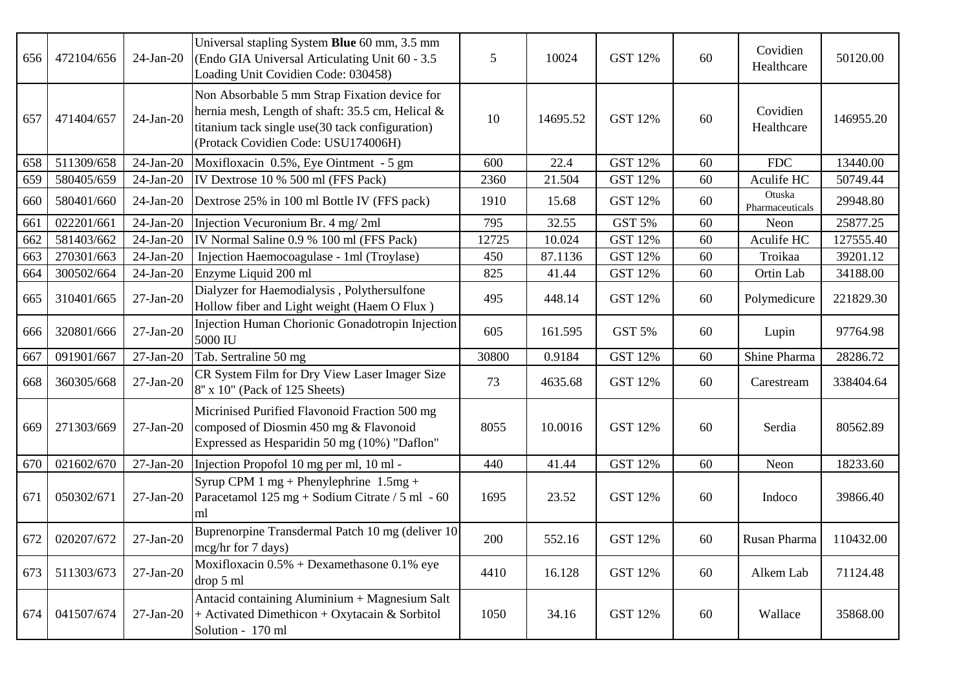| 656 | 472104/656 | $24-Jan-20$     | Universal stapling System Blue 60 mm, 3.5 mm<br>(Endo GIA Universal Articulating Unit 60 - 3.5)<br>Loading Unit Covidien Code: 030458)                                                      | 5     | 10024    | <b>GST 12%</b> | 60 | Covidien<br>Healthcare    | 50120.00  |
|-----|------------|-----------------|---------------------------------------------------------------------------------------------------------------------------------------------------------------------------------------------|-------|----------|----------------|----|---------------------------|-----------|
| 657 | 471404/657 | $24$ -Jan-20    | Non Absorbable 5 mm Strap Fixation device for<br>hernia mesh, Length of shaft: 35.5 cm, Helical &<br>titanium tack single use(30 tack configuration)<br>(Protack Covidien Code: USU174006H) | 10    | 14695.52 | <b>GST 12%</b> | 60 | Covidien<br>Healthcare    | 146955.20 |
| 658 | 511309/658 | $24$ -Jan-20    | Moxifloxacin 0.5%, Eye Ointment - 5 gm                                                                                                                                                      | 600   | 22.4     | <b>GST 12%</b> | 60 | <b>FDC</b>                | 13440.00  |
| 659 | 580405/659 | $24$ -Jan-20    | IV Dextrose 10 % 500 ml (FFS Pack)                                                                                                                                                          | 2360  | 21.504   | <b>GST 12%</b> | 60 | Aculife HC                | 50749.44  |
| 660 | 580401/660 | $24$ -Jan-20    | Dextrose 25% in 100 ml Bottle IV (FFS pack)                                                                                                                                                 | 1910  | 15.68    | <b>GST 12%</b> | 60 | Otuska<br>Pharmaceuticals | 29948.80  |
| 661 | 022201/661 | $24-Jan-20$     | Injection Vecuronium Br. 4 mg/2ml                                                                                                                                                           | 795   | 32.55    | GST 5%         | 60 | Neon                      | 25877.25  |
| 662 | 581403/662 | $24-Jan-20$     | IV Normal Saline 0.9 % 100 ml (FFS Pack)                                                                                                                                                    | 12725 | 10.024   | <b>GST 12%</b> | 60 | Aculife HC                | 127555.40 |
| 663 | 270301/663 | $24$ -Jan-20    | Injection Haemocoagulase - 1ml (Troylase)                                                                                                                                                   | 450   | 87.1136  | <b>GST 12%</b> | 60 | Troikaa                   | 39201.12  |
| 664 | 300502/664 | 24-Jan-20       | Enzyme Liquid 200 ml                                                                                                                                                                        | 825   | 41.44    | <b>GST 12%</b> | 60 | Ortin Lab                 | 34188.00  |
| 665 | 310401/665 | $27-Jan-20$     | Dialyzer for Haemodialysis, Polythersulfone<br>Hollow fiber and Light weight (Haem O Flux)                                                                                                  | 495   | 448.14   | <b>GST 12%</b> | 60 | Polymedicure              | 221829.30 |
| 666 | 320801/666 | $27$ -Jan- $20$ | Injection Human Chorionic Gonadotropin Injection<br>5000 IU                                                                                                                                 | 605   | 161.595  | <b>GST 5%</b>  | 60 | Lupin                     | 97764.98  |
| 667 | 091901/667 | $27$ -Jan- $20$ | Tab. Sertraline 50 mg                                                                                                                                                                       | 30800 | 0.9184   | <b>GST 12%</b> | 60 | Shine Pharma              | 28286.72  |
| 668 | 360305/668 | $27-Jan-20$     | CR System Film for Dry View Laser Imager Size<br>8" x 10" (Pack of 125 Sheets)                                                                                                              | 73    | 4635.68  | <b>GST 12%</b> | 60 | Carestream                | 338404.64 |
| 669 | 271303/669 | $27-Jan-20$     | Micrinised Purified Flavonoid Fraction 500 mg<br>composed of Diosmin 450 mg & Flavonoid<br>Expressed as Hesparidin 50 mg (10%) "Daflon"                                                     | 8055  | 10.0016  | <b>GST 12%</b> | 60 | Serdia                    | 80562.89  |
| 670 | 021602/670 | $27$ -Jan- $20$ | Injection Propofol 10 mg per ml, 10 ml -                                                                                                                                                    | 440   | 41.44    | <b>GST 12%</b> | 60 | Neon                      | 18233.60  |
| 671 | 050302/671 | $27-Jan-20$     | Syrup CPM 1 mg + Phenylephrine $1.5mg +$<br>Paracetamol 125 mg + Sodium Citrate $/ 5$ ml - 60<br>ml                                                                                         | 1695  | 23.52    | <b>GST 12%</b> | 60 | Indoco                    | 39866.40  |
| 672 | 020207/672 | $27$ -Jan- $20$ | Buprenorpine Transdermal Patch 10 mg (deliver 10<br>mcg/hr for 7 days)                                                                                                                      | 200   | 552.16   | <b>GST 12%</b> | 60 | Rusan Pharma              | 110432.00 |
| 673 | 511303/673 | $27$ -Jan- $20$ | Moxifloxacin $0.5%$ + Dexamethasone 0.1% eye<br>drop 5 ml                                                                                                                                   | 4410  | 16.128   | <b>GST 12%</b> | 60 | Alkem Lab                 | 71124.48  |
| 674 | 041507/674 | $27-Jan-20$     | Antacid containing Aluminium + Magnesium Salt<br>+ Activated Dimethicon + Oxytacain & Sorbitol<br>Solution - 170 ml                                                                         | 1050  | 34.16    | GST 12%        | 60 | Wallace                   | 35868.00  |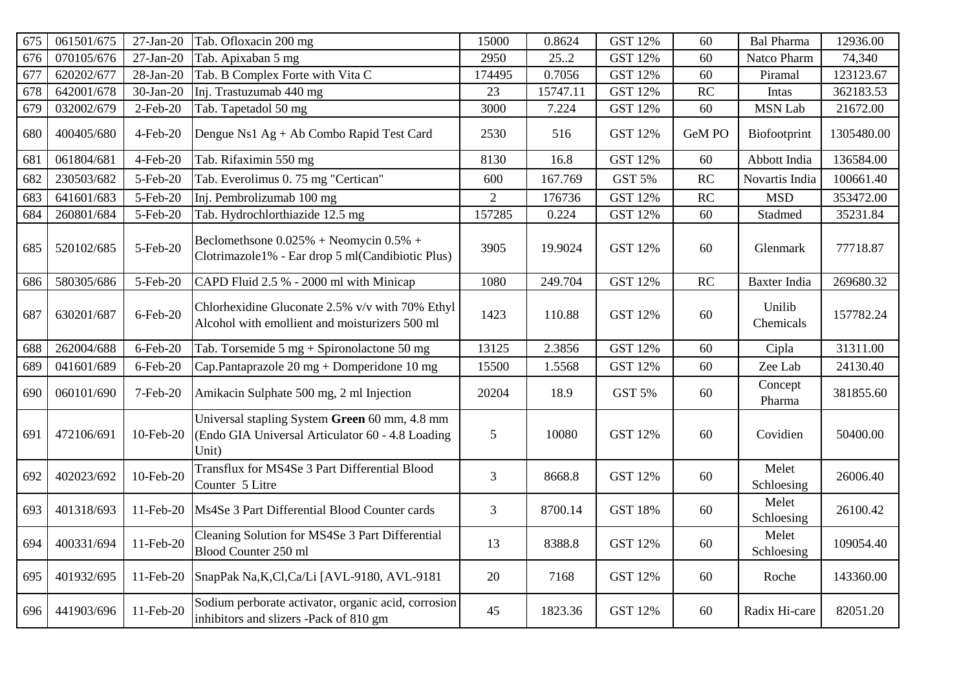| 675 | 061501/675 | $27-Jan-20$ | Tab. Ofloxacin 200 mg                                                                                      | 15000          | 0.8624   | <b>GST 12%</b> | 60     | <b>Bal Pharma</b>   | 12936.00   |
|-----|------------|-------------|------------------------------------------------------------------------------------------------------------|----------------|----------|----------------|--------|---------------------|------------|
| 676 | 070105/676 | $27-Jan-20$ | Tab. Apixaban 5 mg                                                                                         | 2950           | 25.2     | <b>GST 12%</b> | 60     | Natco Pharm         | 74,340     |
| 677 | 620202/677 | 28-Jan-20   | Tab. B Complex Forte with Vita C                                                                           | 174495         | 0.7056   | <b>GST 12%</b> | 60     | Piramal             | 123123.67  |
| 678 | 642001/678 | 30-Jan-20   | Inj. Trastuzumab 440 mg                                                                                    | 23             | 15747.11 | <b>GST 12%</b> | RC     | Intas               | 362183.53  |
| 679 | 032002/679 | 2-Feb-20    | Tab. Tapetadol 50 mg                                                                                       | 3000           | 7.224    | <b>GST 12%</b> | 60     | <b>MSN Lab</b>      | 21672.00   |
| 680 | 400405/680 | 4-Feb-20    | Dengue Ns1 Ag + Ab Combo Rapid Test Card                                                                   | 2530           | 516      | <b>GST 12%</b> | GeM PO | Biofootprint        | 1305480.00 |
| 681 | 061804/681 | 4-Feb-20    | Tab. Rifaximin 550 mg                                                                                      | 8130           | 16.8     | <b>GST 12%</b> | 60     | Abbott India        | 136584.00  |
| 682 | 230503/682 | 5-Feb-20    | Tab. Everolimus 0. 75 mg "Certican"                                                                        | 600            | 167.769  | GST 5%         | RC     | Novartis India      | 100661.40  |
| 683 | 641601/683 | 5-Feb-20    | Inj. Pembrolizumab 100 mg                                                                                  | $\overline{2}$ | 176736   | <b>GST 12%</b> | RC     | <b>MSD</b>          | 353472.00  |
| 684 | 260801/684 | 5-Feb-20    | Tab. Hydrochlorthiazide 12.5 mg                                                                            | 157285         | 0.224    | <b>GST 12%</b> | 60     | Stadmed             | 35231.84   |
| 685 | 520102/685 | 5-Feb-20    | Beclomethsone $0.025%$ + Neomycin $0.5%$ +<br>Clotrimazole1% - Ear drop 5 ml(Candibiotic Plus)             | 3905           | 19.9024  | <b>GST 12%</b> | 60     | Glenmark            | 77718.87   |
| 686 | 580305/686 | 5-Feb-20    | CAPD Fluid 2.5 % - 2000 ml with Minicap                                                                    | 1080           | 249.704  | <b>GST 12%</b> | RC     | Baxter India        | 269680.32  |
| 687 | 630201/687 | 6-Feb-20    | Chlorhexidine Gluconate 2.5% v/v with 70% Ethyl<br>Alcohol with emollient and moisturizers 500 ml          | 1423           | 110.88   | <b>GST 12%</b> | 60     | Unilib<br>Chemicals | 157782.24  |
| 688 | 262004/688 | $6$ -Feb-20 | Tab. Torsemide $5 \text{ mg} + \text{Spironolactone} 50 \text{ mg}$                                        | 13125          | 2.3856   | <b>GST 12%</b> | 60     | Cipla               | 31311.00   |
| 689 | 041601/689 | 6-Feb-20    | Cap.Pantaprazole 20 mg + Domperidone 10 mg                                                                 | 15500          | 1.5568   | <b>GST 12%</b> | 60     | Zee Lab             | 24130.40   |
| 690 | 060101/690 | 7-Feb-20    | Amikacin Sulphate 500 mg, 2 ml Injection                                                                   | 20204          | 18.9     | <b>GST 5%</b>  | 60     | Concept<br>Pharma   | 381855.60  |
| 691 | 472106/691 | 10-Feb-20   | Universal stapling System Green 60 mm, 4.8 mm<br>(Endo GIA Universal Articulator 60 - 4.8 Loading<br>Unit) | 5              | 10080    | <b>GST 12%</b> | 60     | Covidien            | 50400.00   |
| 692 | 402023/692 | 10-Feb-20   | Transflux for MS4Se 3 Part Differential Blood<br>Counter 5 Litre                                           | $\overline{3}$ | 8668.8   | <b>GST 12%</b> | 60     | Melet<br>Schloesing | 26006.40   |
| 693 | 401318/693 | 11-Feb-20   | Ms4Se 3 Part Differential Blood Counter cards                                                              | 3              | 8700.14  | <b>GST 18%</b> | 60     | Melet<br>Schloesing | 26100.42   |
| 694 | 400331/694 | 11-Feb-20   | Cleaning Solution for MS4Se 3 Part Differential<br>Blood Counter 250 ml                                    | 13             | 8388.8   | <b>GST 12%</b> | 60     | Melet<br>Schloesing | 109054.40  |
| 695 | 401932/695 | 11-Feb-20   | SnapPak Na, K, Cl, Ca/Li [AVL-9180, AVL-9181                                                               | 20             | 7168     | <b>GST 12%</b> | 60     | Roche               | 143360.00  |
| 696 | 441903/696 | 11-Feb-20   | Sodium perborate activator, organic acid, corrosion<br>inhibitors and slizers -Pack of 810 gm              | 45             | 1823.36  | <b>GST 12%</b> | 60     | Radix Hi-care       | 82051.20   |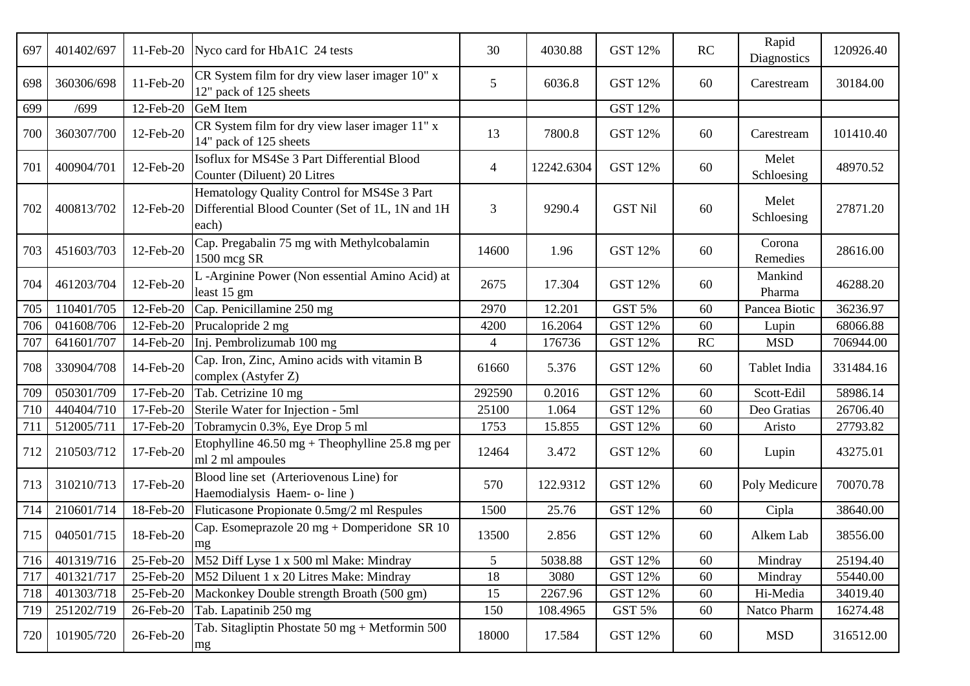| 697 | 401402/697 | 11-Feb-20 | Nyco card for HbA1C 24 tests                                                                              | 30              | 4030.88    | <b>GST 12%</b> | RC        | Rapid<br>Diagnostics | 120926.40 |
|-----|------------|-----------|-----------------------------------------------------------------------------------------------------------|-----------------|------------|----------------|-----------|----------------------|-----------|
| 698 | 360306/698 | 11-Feb-20 | CR System film for dry view laser imager 10" x<br>12" pack of 125 sheets                                  | 5 <sup>5</sup>  | 6036.8     | <b>GST 12%</b> | 60        | Carestream           | 30184.00  |
| 699 | /699       | 12-Feb-20 | <b>GeM</b> Item                                                                                           |                 |            | <b>GST 12%</b> |           |                      |           |
| 700 | 360307/700 | 12-Feb-20 | CR System film for dry view laser imager 11" x<br>14" pack of 125 sheets                                  | 13              | 7800.8     | <b>GST 12%</b> | 60        | Carestream           | 101410.40 |
| 701 | 400904/701 | 12-Feb-20 | Isoflux for MS4Se 3 Part Differential Blood<br>Counter (Diluent) 20 Litres                                | 4               | 12242.6304 | <b>GST 12%</b> | 60        | Melet<br>Schloesing  | 48970.52  |
| 702 | 400813/702 | 12-Feb-20 | Hematology Quality Control for MS4Se 3 Part<br>Differential Blood Counter (Set of 1L, 1N and 1H)<br>each) | 3               | 9290.4     | <b>GST Nil</b> | 60        | Melet<br>Schloesing  | 27871.20  |
| 703 | 451603/703 | 12-Feb-20 | Cap. Pregabalin 75 mg with Methylcobalamin<br>1500 mcg SR                                                 | 14600           | 1.96       | <b>GST 12%</b> | 60        | Corona<br>Remedies   | 28616.00  |
| 704 | 461203/704 | 12-Feb-20 | L -Arginine Power (Non essential Amino Acid) at<br>least 15 gm                                            | 2675            | 17.304     | <b>GST 12%</b> | 60        | Mankind<br>Pharma    | 46288.20  |
| 705 | 110401/705 | 12-Feb-20 | Cap. Penicillamine 250 mg                                                                                 | 2970            | 12.201     | <b>GST 5%</b>  | 60        | Pancea Biotic        | 36236.97  |
| 706 | 041608/706 | 12-Feb-20 | Prucalopride 2 mg                                                                                         | 4200            | 16.2064    | <b>GST 12%</b> | 60        | Lupin                | 68066.88  |
| 707 | 641601/707 | 14-Feb-20 | Inj. Pembrolizumab 100 mg                                                                                 | 4               | 176736     | <b>GST 12%</b> | <b>RC</b> | <b>MSD</b>           | 706944.00 |
| 708 | 330904/708 | 14-Feb-20 | Cap. Iron, Zinc, Amino acids with vitamin B<br>complex (Astyfer Z)                                        | 61660           | 5.376      | <b>GST 12%</b> | 60        | Tablet India         | 331484.16 |
| 709 | 050301/709 | 17-Feb-20 | Tab. Cetrizine 10 mg                                                                                      | 292590          | 0.2016     | <b>GST 12%</b> | 60        | Scott-Edil           | 58986.14  |
| 710 | 440404/710 | 17-Feb-20 | Sterile Water for Injection - 5ml                                                                         | 25100           | 1.064      | <b>GST 12%</b> | 60        | Deo Gratias          | 26706.40  |
| 711 | 512005/711 | 17-Feb-20 | Tobramycin 0.3%, Eye Drop 5 ml                                                                            | 1753            | 15.855     | <b>GST 12%</b> | 60        | Aristo               | 27793.82  |
| 712 | 210503/712 | 17-Feb-20 | Etophylline $46.50 \text{ mg} + \text{The }25.8 \text{ mg}$ per<br>ml 2 ml ampoules                       | 12464           | 3.472      | <b>GST 12%</b> | 60        | Lupin                | 43275.01  |
| 713 | 310210/713 | 17-Feb-20 | Blood line set (Arteriovenous Line) for<br>Haemodialysis Haem- o- line)                                   | 570             | 122.9312   | <b>GST 12%</b> | 60        | Poly Medicure        | 70070.78  |
| 714 | 210601/714 | 18-Feb-20 | Fluticasone Propionate 0.5mg/2 ml Respules                                                                | 1500            | 25.76      | <b>GST 12%</b> | 60        | Cipla                | 38640.00  |
| 715 | 040501/715 | 18-Feb-20 | Cap. Esomeprazole 20 mg + Domperidone SR 10<br>mg                                                         | 13500           | 2.856      | <b>GST 12%</b> | 60        | Alkem Lab            | 38556.00  |
| 716 | 401319/716 | 25-Feb-20 | M52 Diff Lyse 1 x 500 ml Make: Mindray                                                                    | $5\overline{)}$ | 5038.88    | <b>GST 12%</b> | 60        | Mindray              | 25194.40  |
| 717 | 401321/717 | 25-Feb-20 | M52 Diluent 1 x 20 Litres Make: Mindray                                                                   | 18              | 3080       | <b>GST 12%</b> | 60        | Mindray              | 55440.00  |
| 718 | 401303/718 | 25-Feb-20 | Mackonkey Double strength Broath (500 gm)                                                                 | 15              | 2267.96    | <b>GST 12%</b> | 60        | Hi-Media             | 34019.40  |
| 719 | 251202/719 | 26-Feb-20 | Tab. Lapatinib 250 mg                                                                                     | 150             | 108.4965   | GST 5%         | 60        | Natco Pharm          | 16274.48  |
| 720 | 101905/720 | 26-Feb-20 | Tab. Sitagliptin Phostate 50 mg + Metformin 500<br>mg                                                     | 18000           | 17.584     | GST 12%        | 60        | <b>MSD</b>           | 316512.00 |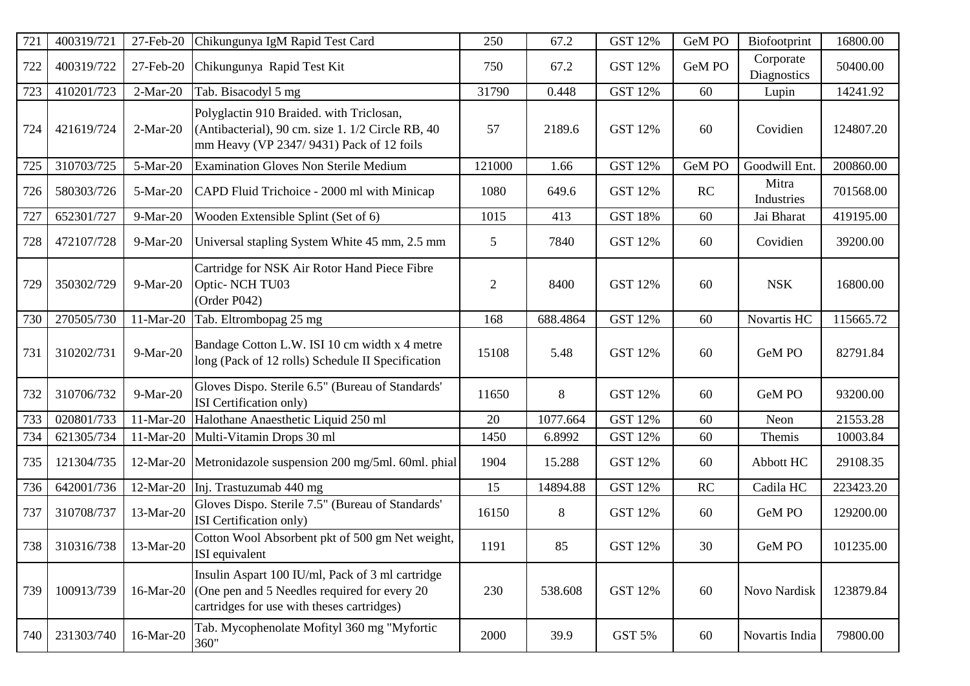| 721 | 400319/721     | 27-Feb-20  | Chikungunya IgM Rapid Test Card                                                                                                                 | 250            | 67.2     | <b>GST 12%</b> | GeM PO    | Biofootprint             | 16800.00  |
|-----|----------------|------------|-------------------------------------------------------------------------------------------------------------------------------------------------|----------------|----------|----------------|-----------|--------------------------|-----------|
| 722 | 400319/722     | 27-Feb-20  | Chikungunya Rapid Test Kit                                                                                                                      | 750            | 67.2     | GST 12%        | GeM PO    | Corporate<br>Diagnostics | 50400.00  |
| 723 | 410201/723     | $2-Mar-20$ | Tab. Bisacodyl 5 mg                                                                                                                             | 31790          | 0.448    | <b>GST 12%</b> | 60        | Lupin                    | 14241.92  |
| 724 | 421619/724     | $2-Mar-20$ | Polyglactin 910 Braided. with Triclosan,<br>(Antibacterial), 90 cm. size 1. 1/2 Circle RB, 40<br>mm Heavy (VP 2347/9431) Pack of 12 foils       | 57             | 2189.6   | <b>GST 12%</b> | 60        | Covidien                 | 124807.20 |
| 725 | 310703/725     | 5-Mar-20   | <b>Examination Gloves Non Sterile Medium</b>                                                                                                    | 121000         | 1.66     | <b>GST 12%</b> | GeM PO    | Goodwill Ent.            | 200860.00 |
| 726 | 580303/726     | 5-Mar-20   | CAPD Fluid Trichoice - 2000 ml with Minicap                                                                                                     | 1080           | 649.6    | <b>GST 12%</b> | RC        | Mitra<br>Industries      | 701568.00 |
| 727 | 652301/727     | 9-Mar-20   | Wooden Extensible Splint (Set of 6)                                                                                                             | 1015           | 413      | <b>GST 18%</b> | 60        | Jai Bharat               | 419195.00 |
| 728 | 472107/728     | 9-Mar-20   | Universal stapling System White 45 mm, 2.5 mm                                                                                                   | 5              | 7840     | <b>GST 12%</b> | 60        | Covidien                 | 39200.00  |
| 729 | 350302/729     | 9-Mar-20   | Cartridge for NSK Air Rotor Hand Piece Fibre<br>Optic- NCH TU03<br>(Order P042)                                                                 | $\overline{c}$ | 8400     | <b>GST 12%</b> | 60        | <b>NSK</b>               | 16800.00  |
| 730 | 270505/730     | 11-Mar-20  | Tab. Eltrombopag 25 mg                                                                                                                          | 168            | 688.4864 | <b>GST 12%</b> | 60        | Novartis HC              | 115665.72 |
| 731 | 310202/731     | 9-Mar-20   | Bandage Cotton L.W. ISI 10 cm width x 4 metre<br>long (Pack of 12 rolls) Schedule II Specification                                              | 15108          | 5.48     | <b>GST 12%</b> | 60        | GeM PO                   | 82791.84  |
| 732 | 310706/732     | 9-Mar-20   | Gloves Dispo. Sterile 6.5" (Bureau of Standards'<br>ISI Certification only)                                                                     | 11650          | 8        | <b>GST 12%</b> | 60        | GeM PO                   | 93200.00  |
| 733 | 020801/733     | 11-Mar-20  | Halothane Anaesthetic Liquid 250 ml                                                                                                             | 20             | 1077.664 | <b>GST 12%</b> | 60        | Neon                     | 21553.28  |
| 734 | 621305/734     | 11-Mar-20  | Multi-Vitamin Drops 30 ml                                                                                                                       | 1450           | 6.8992   | <b>GST 12%</b> | 60        | Themis                   | 10003.84  |
| 735 | 121304/735     | 12-Mar-20  | Metronidazole suspension 200 mg/5ml. 60ml. phial                                                                                                | 1904           | 15.288   | <b>GST 12%</b> | 60        | Abbott HC                | 29108.35  |
| 736 | 642001/736     | 12-Mar-20  | Inj. Trastuzumab 440 mg                                                                                                                         | 15             | 14894.88 | <b>GST 12%</b> | <b>RC</b> | Cadila HC                | 223423.20 |
| 737 | 310708/737     | 13-Mar-20  | Gloves Dispo. Sterile 7.5" (Bureau of Standards'<br>ISI Certification only)                                                                     | 16150          | 8        | <b>GST 12%</b> | 60        | GeM PO                   | 129200.00 |
|     | 738 310316/738 | 13-Mar-20  | Cotton Wool Absorbent pkt of 500 gm Net weight,<br>ISI equivalent                                                                               | 1191           | 85       | <b>GST 12%</b> | 30        | GeM PO                   | 101235.00 |
| 739 | 100913/739     | 16-Mar-20  | Insulin Aspart 100 IU/ml, Pack of 3 ml cartridge<br>(One pen and 5 Needles required for every 20)<br>cartridges for use with theses cartridges) | 230            | 538.608  | <b>GST 12%</b> | 60        | Novo Nardisk             | 123879.84 |
| 740 | 231303/740     | 16-Mar-20  | Tab. Mycophenolate Mofityl 360 mg "Myfortic<br>360"                                                                                             | 2000           | 39.9     | GST 5%         | 60        | Novartis India           | 79800.00  |